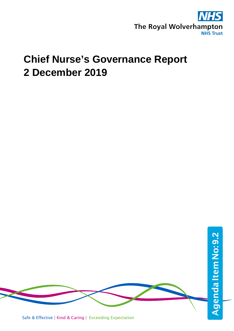

# **Chief Nurse's Governance Report 2 December 2019**

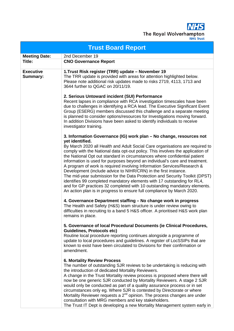**NHS** The Royal Wolverhampton

|                              | <b>Trust Board Report</b>                                                                                                                                                                                                                                                                                                                                                                                                                                                                                                                                                                                                                                                                                                                                                                 |
|------------------------------|-------------------------------------------------------------------------------------------------------------------------------------------------------------------------------------------------------------------------------------------------------------------------------------------------------------------------------------------------------------------------------------------------------------------------------------------------------------------------------------------------------------------------------------------------------------------------------------------------------------------------------------------------------------------------------------------------------------------------------------------------------------------------------------------|
| <b>Meeting Date:</b>         | 2nd December 19                                                                                                                                                                                                                                                                                                                                                                                                                                                                                                                                                                                                                                                                                                                                                                           |
| Title:                       | <b>CNO Governance Report</b>                                                                                                                                                                                                                                                                                                                                                                                                                                                                                                                                                                                                                                                                                                                                                              |
| <b>Executive</b><br>Summary: | 1. Trust Risk register (TRR) update - November 19<br>The TRR update is provided with areas for attention highlighted below.<br>Please note additional risk updates made to risks 2719, 4113, 1713 and<br>3644 further to QGAC on 20/11/19.                                                                                                                                                                                                                                                                                                                                                                                                                                                                                                                                                |
|                              | 2. Serious Untoward incident (SUI) Performance<br>Recent lapses in compliance with RCA investigation timescales have been<br>due to challenges in identifying a RCA lead. The Executive Significant Event<br>Group (ESERG) members discussed this challenge and a separate meeting<br>is planned to consider options/resources for Investigations moving forward.<br>In addition Divisions have been asked to identify individuals to receive<br>investigator training.                                                                                                                                                                                                                                                                                                                   |
|                              | 3. Information Governance (IG) work plan - No change, resources not<br>yet identified.                                                                                                                                                                                                                                                                                                                                                                                                                                                                                                                                                                                                                                                                                                    |
|                              | By March 2020 all Health and Adult Social Care organisations are required to<br>comply with the National data opt-out policy. This involves the application of<br>the National Opt out standard in circumstances where confidential patient<br>information is used for purposes beyond an individual's care and treatment.<br>A program of work is required involving Information Services/Research &<br>Development (include advice to NIHR/CRN) in the first instance.<br>The mid-year submission for the Data Protection and Security Toolkit (DPST)<br>identifies 99 completed mandatory elements with 17 outstanding for RL4,<br>and for GP practices 32 completed with 10 outstanding mandatory elements.<br>An action plan is in progress to ensure full compliance by March 2020. |
|                              | 4. Governance Department staffing - No change work in progress<br>The Health and Safety (H&S) team structure is under review owing to<br>difficulties in recruiting to a band 5 H&S officer. A prioritised H&S work plan<br>remains in place.                                                                                                                                                                                                                                                                                                                                                                                                                                                                                                                                             |
|                              | 5. Governance of local Procedural Documents (ie Clinical Procedures,<br><b>Guidelines, Protocols etc)</b>                                                                                                                                                                                                                                                                                                                                                                                                                                                                                                                                                                                                                                                                                 |
|                              | Routine local procedure reporting continues alongside a programme of<br>update to local procedures and guidelines. A register of LocSSIPs that are<br>known to exist have been circulated to Divisions for their confirmation or<br>amendment.                                                                                                                                                                                                                                                                                                                                                                                                                                                                                                                                            |
|                              | <b>6. Mortality Review Process</b><br>The number of outstanding SJR reviews to be undertaking is reducing with<br>the introduction of dedicated Mortality Reviewers.<br>A change in the Trust Mortality review process is proposed where there will<br>now be one generic SJR conducted by Mortality Reviewers. A stage 2 SJR<br>would only be conducted as part of a quality assurance process or in set<br>circumstances only eg. Where SJR is contested by Directorate or where<br>Mortality Reviewer requests a $2nd$ opinion. The process changes are under<br>consultation with MRG members and key stakeholders.<br>The Trust IT Dept is developing a new Mortality Management system early in                                                                                     |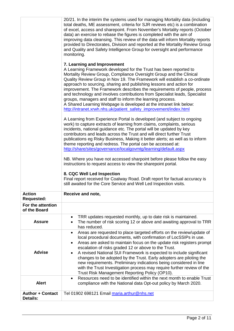|                                            | 20/21. In the interim the systems used for managing Mortality data (including<br>total deaths, ME assessment, criteria for SJR reviews etc) is a combination<br>of excel, access and sharepoint. From November's Mortality reports (October<br>data) an exercise to rebase the figures is completed with the aim of<br>improving data cleansing. This review of the data will inform Mortality reports<br>provided to Directorates, Division and reported at the Mortality Review Group<br>and Quality and Safety Intelligence Group for oversight and performance<br>monitoring.<br>7. Learning and Improvement<br>A Learning Framework developed for the Trust has been reported to<br>Mortality Review Group, Compliance Oversight Group and the Clinical<br>Quality Review Group in Nov 19. The Framework will establish a co-ordinate<br>approach to sourcing, sharing and publishing lessons and action for<br>improvement. The Framework describes the requirements of people, process<br>and technology and involves contributions from Specialist leads, Specialist<br>groups, managers and staff to inform the learning process.<br>A Shared Learning Webpage is developed at the intranet link below:<br>http://intranet.xrwh.nhs.uk/patient_safety_improvement/index.html<br>A Learning from Experience Portal is developed (and subject to ongoing<br>work) to capture extracts of learning from claims, complaints, serious<br>incidents, national guidance etc. The portal will be updated by key<br>contributors and leads across the Trust and will direct further Trust<br>publications eg Risky Business, Making it better alerts; as well as to inform<br>theme reporting and redress. The portal can be accessed at:<br>http://share/sites/governance/localgovmtg/learning/default.aspx<br>NB. Where you have not accessed sharpoint before please follow the easy<br>instructions to request access to view the sharepoint portal.<br>8. CQC Well Led Inspection<br>Final report received for Coalway Road. Draft report for factual accuracy is<br>still awaited for the Core Service and Well Led Inspection visits. |
|--------------------------------------------|----------------------------------------------------------------------------------------------------------------------------------------------------------------------------------------------------------------------------------------------------------------------------------------------------------------------------------------------------------------------------------------------------------------------------------------------------------------------------------------------------------------------------------------------------------------------------------------------------------------------------------------------------------------------------------------------------------------------------------------------------------------------------------------------------------------------------------------------------------------------------------------------------------------------------------------------------------------------------------------------------------------------------------------------------------------------------------------------------------------------------------------------------------------------------------------------------------------------------------------------------------------------------------------------------------------------------------------------------------------------------------------------------------------------------------------------------------------------------------------------------------------------------------------------------------------------------------------------------------------------------------------------------------------------------------------------------------------------------------------------------------------------------------------------------------------------------------------------------------------------------------------------------------------------------------------------------------------------------------------------------------------------------------------------------------------------------------------------------------------------------------------------|
| <b>Action</b><br><b>Requested:</b>         | Receive and note,                                                                                                                                                                                                                                                                                                                                                                                                                                                                                                                                                                                                                                                                                                                                                                                                                                                                                                                                                                                                                                                                                                                                                                                                                                                                                                                                                                                                                                                                                                                                                                                                                                                                                                                                                                                                                                                                                                                                                                                                                                                                                                                            |
| For the attention<br>of the Board          |                                                                                                                                                                                                                                                                                                                                                                                                                                                                                                                                                                                                                                                                                                                                                                                                                                                                                                                                                                                                                                                                                                                                                                                                                                                                                                                                                                                                                                                                                                                                                                                                                                                                                                                                                                                                                                                                                                                                                                                                                                                                                                                                              |
| <b>Assure</b>                              | TRR updates requested monthly, up to date risk is maintained.<br>$\bullet$<br>The number of risk scoring 12 or above and awaiting approval to TRR<br>has reduced.                                                                                                                                                                                                                                                                                                                                                                                                                                                                                                                                                                                                                                                                                                                                                                                                                                                                                                                                                                                                                                                                                                                                                                                                                                                                                                                                                                                                                                                                                                                                                                                                                                                                                                                                                                                                                                                                                                                                                                            |
| <b>Advise</b>                              | Areas are requested to place targeted efforts on the review/update of<br>$\bullet$<br>local procedural documents, with confirmation of LocSSIPs in use.<br>Areas are asked to maintain focus on the update risk registers prompt<br>escalation of risks graded 12 or above to the Trust.<br>A revised National SUI Framework is expected to include significant<br>changes to be adopted by the Trust. Early adopters are piloting the<br>new requirements. Preliminary indications being considered in line<br>with the Trust Investigation process may require further review of the<br>Trust Risk Management Reporting Policy (OP10).                                                                                                                                                                                                                                                                                                                                                                                                                                                                                                                                                                                                                                                                                                                                                                                                                                                                                                                                                                                                                                                                                                                                                                                                                                                                                                                                                                                                                                                                                                     |
| <b>Alert</b>                               | Resources need to be identified within the next month to enable Trust<br>$\bullet$<br>compliance with the National data Opt-out policy by March 2020.                                                                                                                                                                                                                                                                                                                                                                                                                                                                                                                                                                                                                                                                                                                                                                                                                                                                                                                                                                                                                                                                                                                                                                                                                                                                                                                                                                                                                                                                                                                                                                                                                                                                                                                                                                                                                                                                                                                                                                                        |
| <b>Author + Contact</b><br><b>Details:</b> | Tel 01902 698121 Email maria.arthur@nhs.net                                                                                                                                                                                                                                                                                                                                                                                                                                                                                                                                                                                                                                                                                                                                                                                                                                                                                                                                                                                                                                                                                                                                                                                                                                                                                                                                                                                                                                                                                                                                                                                                                                                                                                                                                                                                                                                                                                                                                                                                                                                                                                  |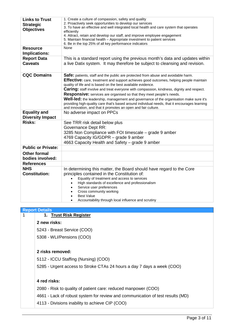| <b>Links to Trust</b><br><b>Strategic</b><br><b>Objectives</b> | 1. Create a culture of compassion, safety and quality<br>2. Proactively seek opportunities to develop our services<br>3. To have an effective and well integrated local health and care system that operates<br>efficiently<br>4. Attract, retain and develop our staff, and improve employee engagement<br>5. Maintain financial health - Appropriate investment to patient services<br>6. Be in the top 25% of all key performance indicators                                                                                                                                                                                                                                                          |
|----------------------------------------------------------------|----------------------------------------------------------------------------------------------------------------------------------------------------------------------------------------------------------------------------------------------------------------------------------------------------------------------------------------------------------------------------------------------------------------------------------------------------------------------------------------------------------------------------------------------------------------------------------------------------------------------------------------------------------------------------------------------------------|
| <b>Resource</b><br>Implications:                               | None                                                                                                                                                                                                                                                                                                                                                                                                                                                                                                                                                                                                                                                                                                     |
| <b>Report Data</b><br><b>Caveats</b>                           | This is a standard report using the previous month's data and updates within<br>a live Datix system. It may therefore be subject to cleansing and revision.                                                                                                                                                                                                                                                                                                                                                                                                                                                                                                                                              |
| <b>CQC Domains</b>                                             | <b>Safe:</b> patients, staff and the public are protected from abuse and avoidable harm.<br><b>Effective:</b> care, treatment and support achieves good outcomes, helping people maintain<br>quality of life and is based on the best available evidence.<br><b>Caring:</b> staff involve and treat everyone with compassion, kindness, dignity and respect.<br>Responsive: services are organised so that they meet people's needs.<br><b>Well-led:</b> the leadership, management and governance of the organisation make sure it's<br>providing high-quality care that's based around individual needs, that it encourages learning<br>and innovation, and that it promotes an open and fair culture. |
| <b>Equality and</b><br><b>Diversity Impact</b>                 | No adverse impact on PPCs                                                                                                                                                                                                                                                                                                                                                                                                                                                                                                                                                                                                                                                                                |
| <b>Risks:</b>                                                  | See TRR risk detail below plus<br><b>Governance Dept RR:</b><br>3285 Non Compliance with FOI timescale – grade 9 amber<br>4769 Capacity IG/GDPR - grade 9 amber<br>4663 Capacity Health and Safety - grade 9 amber                                                                                                                                                                                                                                                                                                                                                                                                                                                                                       |
| <b>Public or Private:</b>                                      |                                                                                                                                                                                                                                                                                                                                                                                                                                                                                                                                                                                                                                                                                                          |
| <b>Other formal</b><br>bodies involved:                        |                                                                                                                                                                                                                                                                                                                                                                                                                                                                                                                                                                                                                                                                                                          |
| <b>References</b>                                              |                                                                                                                                                                                                                                                                                                                                                                                                                                                                                                                                                                                                                                                                                                          |
| <b>NHS</b><br><b>Constitution:</b>                             | In determining this matter, the Board should have regard to the Core<br>principles contained in the Constitution of:<br>Equality of treatment and access to services<br>High standards of excellence and professionalism<br>$\bullet$<br>Service user preferences<br>Cross community working<br><b>Best Value</b><br>Accountability through local influence and scrutiny                                                                                                                                                                                                                                                                                                                                 |

## **Report Details**

| 1. Trust Risk Register |
|------------------------|
|------------------------|

#### **2 new risks:**

5243 - Breast Service (COO)

5308 - WLI/Pensions (COO)

#### **2 risks removed:**

5112 - ICCU Staffing (Nursing) (COO)

5285 - Urgent access to Stroke CTAs 24 hours a day 7 days a week (COO)

#### **4 red risks:**

2080 - Risk to quality of patient care: reduced manpower (COO)

4661 - Lack of robust system for review and communication of test results (MD)

4113 - Divisions inability to achieve CIP (COO)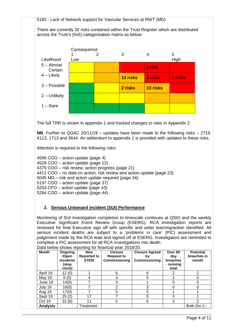5182 - Lack of Network support for Vascular Services at RWT (MD)

There are currently 32 risks contained within the Trust Register which are distributed across the Trust's (5x5) categorisation matrix as below:



The full TRR is shown in appendix 1 and tracked changes to risks in Appendix 2.

**NB**. Further to QGAC 20/11/19 – updates have been made to the following risks – 2719, 4113, 1713 and 3644. An addendum to appendix 1 is provided with updates to these risks.

Attention is required to the following risks:

4596 COO – action update (page 4)

4529 COO – action update (page 12)

4375 COO – risk review, action progress (page 21)

4411 COO – no date on action, risk review and action update (page 23)

5045 MD – risk and action update required (page 34)

5197 COO – action update (page 37)

5253 CFO – action update (page 43)

5284 COO – action update (page 44)

#### **2. Serious Untoward incident (SUI) Performance**

Monitoring of SUI investigation completion to timescale continues at QSIG and the weekly Executive Significant Event Review Group (ESERG). RCA investigation reports are reviewed for final Executive sign off with specific and wider learning/action identified. All serious incident deaths are subject to a 'problems in care' (PIC) assessment and judgement made by the RCA lead and signed off at ESERG. Investigators are reminded to complete a PIC assessment for all RCA investigations into death.

| <b>Month</b>    | Ongoing         | <b>New</b>         | Data below shows reporting for financial year 2019/20.<br><b>Closure</b> | <b>Closure Agreed</b> | Over <sub>60</sub> | <b>Potential</b> |
|-----------------|-----------------|--------------------|--------------------------------------------------------------------------|-----------------------|--------------------|------------------|
|                 | /Open           | <b>Reported to</b> | <b>Request to</b>                                                        | bγ                    | dav                | breaches in      |
|                 | incidents       | <b>STEIS</b>       | Commissioning                                                            | <b>Commissioning</b>  | breaches           | month            |
|                 | (stop<br>clock) |                    |                                                                          |                       | - running<br>total |                  |
| April 19        | 12(0)           |                    | 6                                                                        | 6                     | 2                  | 2                |
| <b>May 19</b>   | 9(0)            | 4                  | 3                                                                        | 5                     |                    | 0                |
| June 19         | 14(0)           |                    | 3                                                                        |                       |                    |                  |
| July 19         | 16(0)           |                    | $\overline{2}$                                                           | 3                     |                    |                  |
| Aug 19          | 17(0)           |                    | 5                                                                        | 5                     |                    |                  |
| Sept 19         | 25(2)           | 17                 |                                                                          | 5                     | 0                  |                  |
| Oct 19          | 32(6)           | 11                 | 5                                                                        | 6                     | 2                  | 2                |
| <b>Analysis</b> |                 | Treatment          |                                                                          |                       |                    | Both Div 1:-     |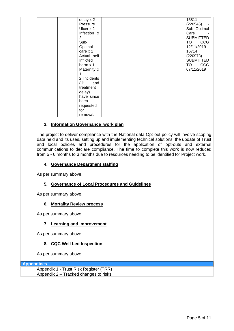| delay x 2   |  | 15811            |
|-------------|--|------------------|
| Pressure    |  | $(220545) -$     |
| Ulcer x 2   |  | Sub Optimal      |
| Infection x |  | Care             |
| 2           |  | <b>SUBMITTED</b> |
| Sub-        |  | TO CCG           |
| Optimal     |  | 12/11/2019       |
| care x 1    |  | 16714            |
| Actual self |  | $(220973) -$     |
| Inflicted   |  | <b>SUBMITTED</b> |
| harm x 1    |  | TO CCG           |
| Maternity x |  | 07/11/2019       |
|             |  |                  |
| 2 Incidents |  |                  |
| (IP and     |  |                  |
| treatment   |  |                  |
| delay)      |  |                  |
| have since  |  |                  |
| been        |  |                  |
| requested   |  |                  |
| for         |  |                  |
| removal.    |  |                  |
|             |  |                  |

#### **3. Information Governance work plan**

The project to deliver compliance with the National data Opt-out policy will involve scoping data held and its uses, setting up and implementing technical solutions, the update of Trust and local policies and procedures for the application of opt-outs and external communications to declare compliance. The time to complete this work is now reduced from 5 - 6 months to 3 months due to resources needing to be identified for Project work.

#### **4. Governance Department staffing**

As per summary above.

#### **5. Governance of Local Procedures and Guidelines**

As per summary above.

#### **6. Mortality Review process**

As per summary above.

#### **7. Learning and Improvement**

As per summary above.

#### **8. CQC Well Led Inspection**

As per summary above.

#### **Appendices**

Appendix 1 - Trust Risk Register (TRR) Appendix 2 – Tracked changes to risks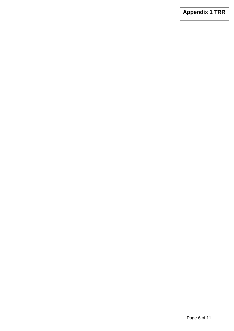**Appendix 1 TRR**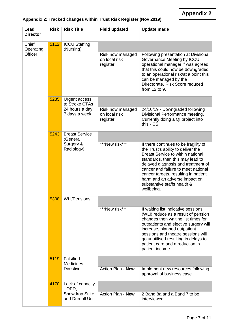# **Appendix 2**

## **Appendix 2: Tracked changes within Trust Risk Register (Nov 2019)**

| Lead<br><b>Director</b> | <b>Risk</b> | <b>Risk Title</b>                         | <b>Field updated</b>                          | <b>Update made</b>                                                                                                                                                                                                                                                                                                                                             |
|-------------------------|-------------|-------------------------------------------|-----------------------------------------------|----------------------------------------------------------------------------------------------------------------------------------------------------------------------------------------------------------------------------------------------------------------------------------------------------------------------------------------------------------------|
| Chief<br>Operating      | 5112        | <b>ICCU Staffing</b><br>(Nursing)         |                                               |                                                                                                                                                                                                                                                                                                                                                                |
| Officer                 |             |                                           | Risk now managed<br>on local risk<br>register | Following presentation at Divisional<br>Governance Meeting by ICCU<br>operational manager if was agreed<br>that this could now be downgraded<br>to an operational risk/at a point this<br>can be managed by the<br>Directorate. Risk Score reduced<br>from 12 to 9.                                                                                            |
|                         | 5285        | Urgent access<br>to Stroke CTAs           |                                               |                                                                                                                                                                                                                                                                                                                                                                |
|                         |             | 24 hours a day<br>7 days a week           | Risk now managed<br>on local risk<br>register | 24/10/19 - Downgraded following<br>Divisional Performance meeting.<br>Currently doing a QI project into<br>this.- CS                                                                                                                                                                                                                                           |
|                         | 5243        | <b>Breast Service</b><br>(General         |                                               |                                                                                                                                                                                                                                                                                                                                                                |
|                         |             | Surgery &<br>Radiology)                   | ***New risk***                                | If there continues to be fragility of<br>the Trust's ability to deliver the<br><b>Breast Service to within national</b><br>standards, then this may lead to<br>delayed diagnosis and treatment of<br>cancer and failure to meet national<br>cancer targets, resulting in patient<br>harm and an adverse impact on<br>substantive staffs health &<br>wellbeing. |
|                         | 5308        | <b>WLI/Pensions</b>                       |                                               |                                                                                                                                                                                                                                                                                                                                                                |
|                         |             |                                           | ***New risk***                                | If waiting list indicative sessions<br>(WLI) reduce as a result of pension<br>changes then waiting list times for<br>outpatients and elective surgery will<br>increase, planned outpatient<br>sessions and theatre sessions will<br>go unutilised resulting in delays to<br>patient care and a reduction in<br>patient income.                                 |
|                         | 5119        | Falsified<br><b>Medicines</b>             |                                               |                                                                                                                                                                                                                                                                                                                                                                |
|                         |             | <b>Directive</b>                          | Action Plan - New                             | Implement new resources following<br>approval of business case                                                                                                                                                                                                                                                                                                 |
|                         | 4170        | Lack of capacity<br>$-$ OPD,              |                                               |                                                                                                                                                                                                                                                                                                                                                                |
|                         |             | <b>Snowdrop Suite</b><br>and Durnall Unit | Action Plan - New                             | 2 Band 8a and a Band 7 to be<br>interviewed                                                                                                                                                                                                                                                                                                                    |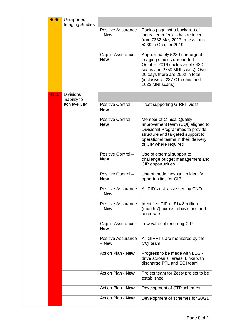| 4696 | Unreported<br><b>Imaging Studies</b> |                                      |                                                                                                                                                                                                                             |
|------|--------------------------------------|--------------------------------------|-----------------------------------------------------------------------------------------------------------------------------------------------------------------------------------------------------------------------------|
|      |                                      | <b>Positive Assurance</b><br>– New   | Backlog against a backdrop of<br>increased referrals has reduced<br>from 7332 May 2017 to less than<br>5239 in October 2019                                                                                                 |
|      |                                      | Gap in Assurance -<br><b>New</b>     | Approximately 5239 non-urgent<br>imaging studies unreported<br>October 2019 (inclusive of 642 CT<br>scans and 2759 MRI scans). Over<br>20 days there are 2502 in total<br>(inclusive of 237 CT scans and<br>1633 MRI scans) |
| 4113 | <b>Divisions</b><br>inability to     |                                      |                                                                                                                                                                                                                             |
|      | achieve CIP                          | Positive Control-<br><b>New</b>      | <b>Trust supporting GIRFT Visits</b>                                                                                                                                                                                        |
|      |                                      | Positive Control -<br><b>New</b>     | <b>Member of Clinical Quality</b><br>Improvement team (CQI) aligned to<br>Divisional Programmes to provide<br>structure and targeted support to<br>operational teams in their delivery<br>of CIP where required             |
|      |                                      | Positive Control-<br><b>New</b>      | Use of external support to<br>challenge budget management and<br>CIP opportunities                                                                                                                                          |
|      |                                      | Positive Control-<br><b>New</b>      | Use of model hospital to identify<br>opportunities for CIP                                                                                                                                                                  |
|      |                                      | <b>Positive Assurance</b><br>– New   | All PID's risk assessed by CNO                                                                                                                                                                                              |
|      |                                      | <b>Positive Assurance</b><br>- New   | Identified CIP of £14.8 million<br>(month 7) across all divisions and<br>corporate                                                                                                                                          |
|      |                                      | Gap in Assurance -<br><b>New</b>     | Low value of recurring CIP                                                                                                                                                                                                  |
|      |                                      | <b>Positive Assurance</b><br>$-$ New | All GIRFT's are monitored by the<br>CQI team                                                                                                                                                                                |
|      |                                      | Action Plan - New                    | Progress to be made with LOS -<br>drive across all areas. Links with<br>discharge PTL and CQI team                                                                                                                          |
|      |                                      | Action Plan - New                    | Project team for Zesty project to be<br>established                                                                                                                                                                         |
|      |                                      | Action Plan - New                    | Development of STP schemes                                                                                                                                                                                                  |
|      |                                      | Action Plan - New                    | Development of schemes for 20/21                                                                                                                                                                                            |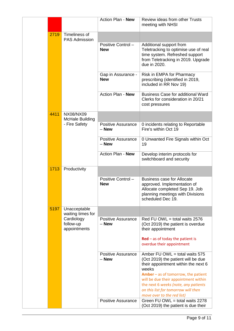|      |                                         | Action Plan - New                    | Review ideas from other Trusts<br>meeting with NHSI                                                                                                                                                                                             |
|------|-----------------------------------------|--------------------------------------|-------------------------------------------------------------------------------------------------------------------------------------------------------------------------------------------------------------------------------------------------|
| 2719 | Timeliness of<br><b>PAS Admission</b>   |                                      |                                                                                                                                                                                                                                                 |
|      |                                         | Positive Control -<br><b>New</b>     | Additional support from<br>Teletracking to optimise use of real<br>time system. Refreshed support<br>from Teletracking in 2019. Upgrade<br>due in 2020.                                                                                         |
|      |                                         | Gap in Assurance -<br><b>New</b>     | Risk in EMPA for Pharmacy<br>prescribing (identified in 2019,<br>included in RR Nov 19)                                                                                                                                                         |
|      |                                         | Action Plan - New                    | <b>Business Case for additional Ward</b><br>Clerks for consideration in 20/21<br>cost pressures                                                                                                                                                 |
| 4411 | NX08/NX09<br><b>McHale Building</b>     |                                      |                                                                                                                                                                                                                                                 |
|      | - Fire Safety                           | <b>Positive Assurance</b><br>$-$ New | 0 incidents relating to Reportable<br>Fire's within Oct 19                                                                                                                                                                                      |
|      |                                         | Positive Assurance<br>$-$ New        | 0 Unwanted Fire Signals within Oct<br>19                                                                                                                                                                                                        |
|      |                                         | Action Plan - New                    | Develop interim protocols for<br>switchboard and security                                                                                                                                                                                       |
| 1713 | Productivity                            |                                      |                                                                                                                                                                                                                                                 |
|      |                                         | Positive Control-<br><b>New</b>      | <b>Business case for Allocate</b><br>approved. Implementation of<br>Allocate completed Sep 19. Job<br>planning meetings with Divisions<br>scheduled Dec 19.                                                                                     |
| 5197 | Unacceptable<br>waiting times for       |                                      |                                                                                                                                                                                                                                                 |
|      | Cardiology<br>follow-up<br>appointments | Positive Assurance<br>$-$ New        | Red FU OWL = total waits $2576$<br>(Oct 2019) the patient is overdue<br>their appointment                                                                                                                                                       |
|      |                                         |                                      | $Red - as of today the patient is$<br>overdue their appointment                                                                                                                                                                                 |
|      |                                         | <b>Positive Assurance</b><br>$-$ New | Amber FU OWL = total waits $575$<br>(Oct 2019) the patient will be due<br>their appointment within the next 6<br>weeks<br>Amber $-$ as of tomorrow, the patient<br>will be due their appointment within<br>the next 6 weeks (note, any patients |
|      |                                         |                                      | on this list for tomorrow will then<br>move over to the red list)                                                                                                                                                                               |
|      |                                         | <b>Positive Assurance</b>            | Green FU OWL = total waits 2278<br>(Oct 2019) the patient is due their                                                                                                                                                                          |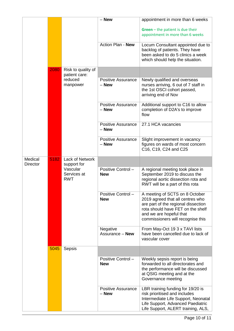|                            |      |                                       | - New                              | appointment in more than 6 weeks                                                                                                                                                                               |
|----------------------------|------|---------------------------------------|------------------------------------|----------------------------------------------------------------------------------------------------------------------------------------------------------------------------------------------------------------|
|                            |      |                                       |                                    | Green $-$ the patient is due their                                                                                                                                                                             |
|                            |      |                                       |                                    | appointment in more than 6 weeks                                                                                                                                                                               |
|                            |      |                                       | Action Plan - New                  | Locum Consultant appointed due to<br>backlog of patients. They have<br>been asked to do 5 clinics a week<br>which should help the situation.                                                                   |
|                            | 2080 | Risk to quality of<br>patient care:   |                                    |                                                                                                                                                                                                                |
|                            |      | reduced<br>manpower                   | Positive Assurance<br>- New        | Newly qualified and overseas<br>nurses arriving, 6 out of 7 staff in<br>the 1st OSCI cohort passed,<br>arriving end of Nov                                                                                     |
|                            |      |                                       | <b>Positive Assurance</b><br>- New | Additional support to C16 to allow<br>completion of D2A's to improve<br>flow                                                                                                                                   |
|                            |      |                                       | Positive Assurance<br>- New        | 27.1 HCA vacancies                                                                                                                                                                                             |
|                            |      |                                       | <b>Positive Assurance</b><br>- New | Slight improvement in vacancy<br>figures on wards of most concern<br>C16, C19, C24 and C25                                                                                                                     |
| Medical<br><b>Director</b> | 5182 | Lack of Network<br>support for        |                                    |                                                                                                                                                                                                                |
|                            |      | Vascular<br>Services at<br><b>RWT</b> | Positive Control-<br><b>New</b>    | A regional meeting took place in<br>September 2019 to discuss the<br>regional aortic dissection rota and<br>RWT will be a part of this rota                                                                    |
|                            |      |                                       | Positive Control-<br><b>New</b>    | A meeting of SCTS on 8 October<br>2019 agreed that all centres who<br>are part of the regional dissection<br>rota should have FET on the shelf<br>and we are hopeful that<br>commissioners will recognise this |
|                            |      |                                       | Negative<br>Assurance - New        | From May-Oct 19 3 x TAVI lists<br>have been cancelled due to lack of<br>vascular cover                                                                                                                         |
|                            | 5045 | Sepsis                                |                                    |                                                                                                                                                                                                                |
|                            |      |                                       | Positive Control-<br><b>New</b>    | Weekly sepsis report is being<br>forwarded to all directorates and<br>the performance will be discussed<br>at QSIG meeting and at the<br>Governance meeting                                                    |
|                            |      |                                       | <b>Positive Assurance</b><br>- New | LBR training funding for 19/20 is<br>risk prioritised and includes<br>Intermediate Life Support, Neonatal<br>Life Support, Advanced Paediatric<br>Life Support, ALERT training, ALS,                           |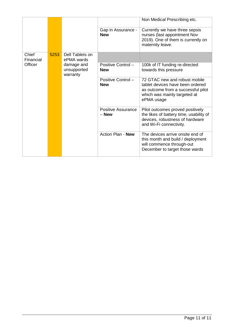|                    |      |                                       |                                  | Non Medical Prescribing etc.                                                                                                                          |
|--------------------|------|---------------------------------------|----------------------------------|-------------------------------------------------------------------------------------------------------------------------------------------------------|
|                    |      |                                       | Gap in Assurance -<br><b>New</b> | Currently we have three sepsis<br>nurses (last appointment Nov<br>2019). One of them is currently on<br>maternity leave.                              |
| Chief<br>Financial | 5253 | Dell Tablets on<br>ePMA wards         |                                  |                                                                                                                                                       |
| Officer            |      | damage and<br>unsupported<br>warranty | Positive Control-<br><b>New</b>  | 100k of IT funding re-directed<br>towards this pressure                                                                                               |
|                    |      |                                       | Positive Control-<br><b>New</b>  | 72 GTAC new and robust mobile<br>tablet devices have been ordered<br>as outcome from a successful pilot<br>which was mainly targeted at<br>ePMA usage |
|                    |      |                                       | Positive Assurance<br>$-$ New    | Pilot outcomes proved positively<br>the likes of battery time, usability of<br>devices, robustness of hardware<br>and Wi-Fi connectivity.             |
|                    |      |                                       | Action Plan - New                | The devices arrive onsite end of<br>this month and build / deployment<br>will commence through-out<br>December to target those wards                  |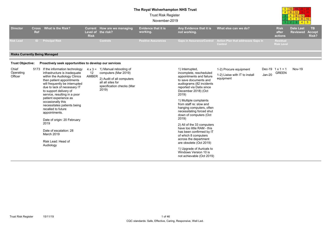#### **The Royal Wolverhampton NHS Trust**

 $\overline{A}$ 2

4

10

15

12

**8** 

86 9 612

5

Trust Risk Register

November-2019

|                                      |                            |                                                                                                                                                                                                                                                                                                                                                                                                                                                                                                  |             |                                                                                                                                                        | <b>INOVEILIDEL-SO 13</b>               |                                                                                                                                                                                                                                                                                                                                                                                                                                                                                                                                                                                                 |                                                                                   | $\blacktriangleleft$                    | $2 \mid 3 \mid 4 \mid 5$            |                                     |
|--------------------------------------|----------------------------|--------------------------------------------------------------------------------------------------------------------------------------------------------------------------------------------------------------------------------------------------------------------------------------------------------------------------------------------------------------------------------------------------------------------------------------------------------------------------------------------------|-------------|--------------------------------------------------------------------------------------------------------------------------------------------------------|----------------------------------------|-------------------------------------------------------------------------------------------------------------------------------------------------------------------------------------------------------------------------------------------------------------------------------------------------------------------------------------------------------------------------------------------------------------------------------------------------------------------------------------------------------------------------------------------------------------------------------------------------|-----------------------------------------------------------------------------------|-----------------------------------------|-------------------------------------|-------------------------------------|
| <b>Director</b>                      | <b>Cross</b><br><b>Ref</b> | What is the Risk?                                                                                                                                                                                                                                                                                                                                                                                                                                                                                | <b>Risk</b> | Current How are we managing<br>Level of the risk?                                                                                                      | <b>Evidence that it is</b><br>working. | Any Evidence that it is<br>not working.                                                                                                                                                                                                                                                                                                                                                                                                                                                                                                                                                         | What else can we do?                                                              | <b>Risk</b><br>after<br>actions         | <b>Date Last</b><br><b>Reviewed</b> | <b>TB</b><br><b>Accept</b><br>Risk? |
| <b>Risk Lead</b>                     | ID                         | <b>Principal Risk</b>                                                                                                                                                                                                                                                                                                                                                                                                                                                                            |             | <b>Controls</b>                                                                                                                                        | <b>Positive Assurances</b>             | <b>Gaps in Assurance/Control</b>                                                                                                                                                                                                                                                                                                                                                                                                                                                                                                                                                                | Action Plan that addresses Gaps in<br>Control                                     | <b>Residual</b><br><b>Risk Level</b>    |                                     |                                     |
| <b>Risks Currently Being Managed</b> |                            |                                                                                                                                                                                                                                                                                                                                                                                                                                                                                                  |             |                                                                                                                                                        |                                        |                                                                                                                                                                                                                                                                                                                                                                                                                                                                                                                                                                                                 |                                                                                   |                                         |                                     |                                     |
| <b>Trust Objective:</b>              |                            | Proactively seek opportunities to develop our services                                                                                                                                                                                                                                                                                                                                                                                                                                           |             |                                                                                                                                                        |                                        |                                                                                                                                                                                                                                                                                                                                                                                                                                                                                                                                                                                                 |                                                                                   |                                         |                                     |                                     |
| Chief<br>Operating<br>Officer        |                            | 5173 If the information technology<br>infrastructure is inadequate<br>within the Audiology Clinics<br>then patient appointments<br>will frequently be interrupted<br>due to lack of necessary IT<br>to support delivery of<br>service, resulting in a poor<br>patient experience as<br>occasionally this<br>necessitates patients being<br>recalled to future<br>appointments.<br>Date of origin: 20 February<br>2019<br>Date of escalation: 28<br>March 2019<br>Risk Lead: Head of<br>Audiology | 12<br>AMBER | $4 \times 3 = 1$ ) Manual rebooting of<br>computers (Mar 2019)<br>2) Audit of all computers<br>all all sites for<br>specification checks (Mar<br>2019) |                                        | 1) Interrupted,<br>incomplete, rescheduled<br>appointments and failure<br>to save documents and<br>audiograms (82 incidents<br>reported via Datix since<br>December 2018) (Oct<br>2019)<br>1) Multiple complaints<br>from staff re: slow and<br>hanging computers, often<br>necessitating forced shut<br>down of computers (Oct<br>2019)<br>2) All of the 33 computers<br>have too little RAM - this<br>has been confirmed by IT<br>of which 8 computers<br>across the department<br>are obsolete (Oct 2019)<br>1) Upgrade of Auricals to<br>Windows Version 10 is<br>not achievable (Oct 2019) | 1-2) Procure equipment<br>$Jan-20$<br>1-2) Liaise with IT to install<br>equipment | Dec-19 $1 \times 1 = 1$<br><b>GREEN</b> | <b>Nov-19</b>                       |                                     |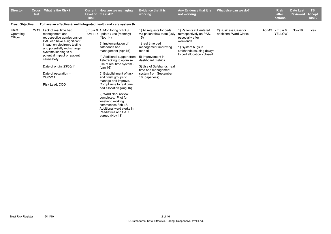| <b>Director</b>               | <b>Cross</b><br><b>Ref</b> | What is the Risk?                                                                                                                                                                                                                                                                                                                 | <b>Current</b><br><b>Risk</b> | How are we managing<br>Level of the risk?                                                                                                                                                                                                                                                                                                                                                                                                                                                                                                            | <b>Evidence that it is</b><br>working.                                                                                                                                                                                                                          | Any Evidence that it is<br>not working.                                                                                                                              | What else can we do?                            | <b>Risk</b><br>after<br>actions          | <b>Date Last</b><br><b>Reviewed</b> | <b>TB</b><br><b>Accept</b><br>Risk? |
|-------------------------------|----------------------------|-----------------------------------------------------------------------------------------------------------------------------------------------------------------------------------------------------------------------------------------------------------------------------------------------------------------------------------|-------------------------------|------------------------------------------------------------------------------------------------------------------------------------------------------------------------------------------------------------------------------------------------------------------------------------------------------------------------------------------------------------------------------------------------------------------------------------------------------------------------------------------------------------------------------------------------------|-----------------------------------------------------------------------------------------------------------------------------------------------------------------------------------------------------------------------------------------------------------------|----------------------------------------------------------------------------------------------------------------------------------------------------------------------|-------------------------------------------------|------------------------------------------|-------------------------------------|-------------------------------------|
| <b>Trust Objective:</b>       |                            | To have an effective & well integrated health and care system th                                                                                                                                                                                                                                                                  |                               |                                                                                                                                                                                                                                                                                                                                                                                                                                                                                                                                                      |                                                                                                                                                                                                                                                                 |                                                                                                                                                                      |                                                 |                                          |                                     |                                     |
| Chief<br>Operating<br>Officer |                            | 2719 Lack of real time bed<br>management and<br>retrospective admissions on<br>PAS can have a significant<br>impact on electronic testing<br>and potentially e-discharge<br>systems leading to a<br>potential impact on patient<br>care/safety.<br>Date of origin: 23/05/11<br>Date of escalation =<br>24/05/11<br>Risk Lead: COO |                               | $3 \times 3 = 9$ 1) Monitoring of PAS<br>AMBER update / use (monthly)<br>(Nov 14)<br>3) Implementation of<br>safehands bed<br>management (Apr 15)<br>4) Additional support from<br>Teletracking to optimise<br>use of real time system -<br>(Jan 16)<br>5) Establishment of task<br>and finish groups to<br>manage and improve.<br>Compliance to real time<br>bed allocation (Aug 16)<br>2) Ward clerk review<br>completed. Pilot for<br>weekend working<br>commences Feb 18.<br>Additional ward clerks in<br>Paediatrics and SAU<br>agreed (Nov 18) | 1) All requests for beds<br>via patient flow team (July<br>15)<br>1) real time bed<br>management improving<br>mon-fri<br>5) Improvement in<br>dashboard metrics<br>3) Use of Safehands, real<br>time bed management<br>system from September<br>16 (paperless). | 1) Patients still entered<br>retrospectively on PAS.<br>especially after<br>weekends.<br>1) System bugs in<br>safehands causing delays<br>to bed allocation - closed | 2) Business Case for<br>additional Ward Clerks. | Apr-19 $2 \times 3 = 6$<br><b>YELLOW</b> | <b>Nov-19</b>                       | Yes                                 |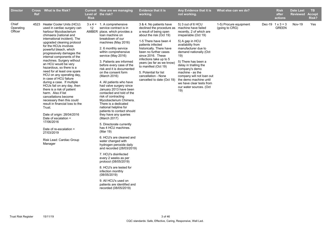| <b>Director</b>               | Cross<br><b>Ref</b> | What is the Risk?                                                                                                                                                                                                                                                                                                                                                                                                                                                                                                                                                                                                                                                                                                                                                                                                                         | <b>Risk</b> | Current How are we managing<br>Level of the risk?                                                                                                                                                                                                                                                                                                                                                                                                                                                                                                                                                                                                                                                                                                                                                                                                                                                                                                                                                                                                      | <b>Evidence that it is</b><br>working.                                                                                                                                                                                                                                                                                                                                                          | Any Evidence that it is<br>not working.                                                                                                                                                                                                                                                                                                                                                                   | What else can we do?                     | <b>Risk</b><br>after<br>actions         | <b>Date Last</b><br><b>Reviewed</b> | TB.<br><b>Accept</b><br>Risk? |
|-------------------------------|---------------------|-------------------------------------------------------------------------------------------------------------------------------------------------------------------------------------------------------------------------------------------------------------------------------------------------------------------------------------------------------------------------------------------------------------------------------------------------------------------------------------------------------------------------------------------------------------------------------------------------------------------------------------------------------------------------------------------------------------------------------------------------------------------------------------------------------------------------------------------|-------------|--------------------------------------------------------------------------------------------------------------------------------------------------------------------------------------------------------------------------------------------------------------------------------------------------------------------------------------------------------------------------------------------------------------------------------------------------------------------------------------------------------------------------------------------------------------------------------------------------------------------------------------------------------------------------------------------------------------------------------------------------------------------------------------------------------------------------------------------------------------------------------------------------------------------------------------------------------------------------------------------------------------------------------------------------------|-------------------------------------------------------------------------------------------------------------------------------------------------------------------------------------------------------------------------------------------------------------------------------------------------------------------------------------------------------------------------------------------------|-----------------------------------------------------------------------------------------------------------------------------------------------------------------------------------------------------------------------------------------------------------------------------------------------------------------------------------------------------------------------------------------------------------|------------------------------------------|-----------------------------------------|-------------------------------------|-------------------------------|
| Chief<br>Operating<br>Officer |                     | 4523 Heater Cooler Units (HCU)<br>used in cardiac surgery can<br>harbour Mycobacterium<br>chimaera (national and<br>international incident). The<br>upgraded cleaning protocol<br>for the HCUs involves<br>powerful bleach, which<br>progressively damages the<br>internal components of the<br>machines. Surgery without<br>an HCU would be very<br>hazardous, so there is a<br>need for at least one spare<br>HCU on any operating day,<br>in case of HCU failure<br>during a case. If multiple<br>HCUs fail on any day, then<br>there is a risk of patient<br>harm. Also if list<br>cancellations become<br>necessary then this could<br>result in financial loss to the<br>Trust.<br>Date of origin: 28/04/2016<br>Date of escalation =<br>17/06/2016<br>Date of re-escalation =<br>27/03/2019<br>Risk Lead: Cardiac Group<br>Manager | 12          | $3 \times 4 = 1$ . A comprehensive<br>service contract is in<br>AMBER place, which provides a<br>loan machine on<br>breakdown of our<br>machines (May 2016)<br>2. 6 monthly service<br>within comprehensive<br>service (May 2016)<br>3. Patients are informed<br>before every case of the<br>risk and it is documented<br>on the consent form<br>(March 2016)<br>4. All patients who have<br>had valve surgery since<br>January 2013 have been<br>contacted and told of the<br>risk of contracting<br>Mycobacterium Chimera.<br>There is a dedicated<br>national helpline for<br>patients to contact should<br>they have any queries<br>(March 2017)<br>5. Directorate currently<br>has 4 HCU machines.<br>(Mar 19)<br>6. HCU's are cleaned and<br>water changed with<br>hydrogen peroxide daily<br>and recorded (28/03/2019)<br>7. HCU's disinfected<br>every 2 weeks as per<br>protocol (08/05/2019)<br>8. HCU's are tested for<br>infection monthly<br>(08/05/2019)<br>9. All HCU's used on<br>patients are identified and<br>recorded (08/05/2019) | 3 & 4. No patients have<br>declined the procedure as<br>a result of being open<br>about the risk (Oct 19)<br>1-5 There have been 4<br>patients infected<br>historically. There have<br>been no further cases<br>since 2016. These<br>infections take up to 5<br>years (as far as we know)<br>to manifest (Oct 19)<br>5. Potential for list<br>cancellation - None<br>cancelled to date (Oct 19) | 5) 3 out of 6 HCU<br>machine have failed<br>recently, 2 of which are<br>irrepairable (Oct 19)<br>5) A gap in HCU<br>availability from<br>manufacturer due to<br>demand nationally (Oct<br>19)<br>5) There has been a<br>delay in trialling the<br>company's demo<br>machine - as the<br>company will not loan out<br>the demo machine until<br>we have clear tests from<br>our water sources. (Oct<br>19) | 1-5) Procure equipment<br>(going to CRG) | Dec-19 $1 \times 3 = 3$<br><b>GREEN</b> | <b>Nov-19</b>                       | Yes                           |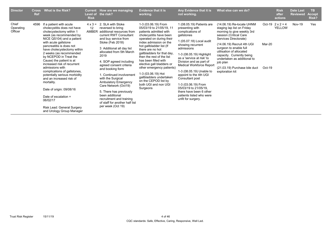| <b>Director</b>               | <b>Cross</b><br>Ref | What is the Risk?                                                                                                                                                                                                                                                                                                                                                                                                                                                                                                                                                                                      | <b>Risk</b>                          | Current How are we managing<br>Level of the risk?                                                                                                                                                                                                                                                                                                                                                                                                                                                                             | <b>Evidence that it is</b><br>working.                                                                                                                                                                                                                                                                                                                                                                                                                               | Any Evidence that it is<br>not working.                                                                                                                                                                                                                                                                                                                                                                                                                                    | What else can we do?                                                                                                                                                                                                                                                                                                                                     |                  | <b>Risk</b><br>after<br>actions   | <b>Date Last</b><br><b>Reviewed</b> | TB.<br><b>Accept</b><br>Risk? |
|-------------------------------|---------------------|--------------------------------------------------------------------------------------------------------------------------------------------------------------------------------------------------------------------------------------------------------------------------------------------------------------------------------------------------------------------------------------------------------------------------------------------------------------------------------------------------------------------------------------------------------------------------------------------------------|--------------------------------------|-------------------------------------------------------------------------------------------------------------------------------------------------------------------------------------------------------------------------------------------------------------------------------------------------------------------------------------------------------------------------------------------------------------------------------------------------------------------------------------------------------------------------------|----------------------------------------------------------------------------------------------------------------------------------------------------------------------------------------------------------------------------------------------------------------------------------------------------------------------------------------------------------------------------------------------------------------------------------------------------------------------|----------------------------------------------------------------------------------------------------------------------------------------------------------------------------------------------------------------------------------------------------------------------------------------------------------------------------------------------------------------------------------------------------------------------------------------------------------------------------|----------------------------------------------------------------------------------------------------------------------------------------------------------------------------------------------------------------------------------------------------------------------------------------------------------------------------------------------------------|------------------|-----------------------------------|-------------------------------------|-------------------------------|
| Chief<br>Operating<br>Officer | 4596                | If a patient with acute<br>cholecystitis does not have<br>cholecystectomy within 1<br>week (as recommended by<br>NICE QS104) and a patient<br>with acute gallstone<br>pancreatitis is does not<br>have cholecystectomy within<br>2 weeks (as recommended<br>by NCEPOD in Treat the<br>Cause) the patient is at<br>increased risk of recurrent<br>admissions with<br>complications of gallstones,<br>potentially serious morbidity<br>and an increased risk of<br>mortality.<br>Date of origin: 09/08/16<br>Date of escalation =<br>06/02/17<br>Risk Lead: General Surgery<br>and Urology Group Manager | $4 \times 3 =$<br>12<br><b>AMBER</b> | 2. SLA with Stoke<br>reversed to bring<br>additional resources from<br>current RWT Consultant<br>and buy service from<br>Stoke (Feb 2018)<br>3 Additional all day list<br>allocated from 5th March<br>2019<br>4. SOP agreed including<br>agreed consent criteria<br>and booking form<br>1. Continued involvement<br>with the Surgical<br><b>Ambulatory Emergency</b><br>Care Network (Oct19)<br>5. There has previously<br>been additional<br>recruitment and training<br>of staff for another half list<br>per week (Oct 19) | 1-3 (03.06.19) From<br>05/03/19 to 21/05/19, 11<br>patients admitted with<br>cholecystitis have been<br>operated on during their<br>index admission on the<br>hot gallbladder list (If<br>there are no hot<br>gallbladders for that day,<br>then the rest of the list<br>has been filled with<br>elective gall bladders or<br>other emergency patients)<br>1-3 (03.06.19) Hot<br>gallbladders undertaken<br>on the CEPOD list by<br>both UGI and non UGI<br>Surgeons | 1 (08.05.19) Patients are<br>presenting with<br>complications of<br>gallstones<br>1 (05.07.18) Local audit<br>showing recurrent<br>admissions<br>1-3 (08.05.19) Highlight<br>as a 'service at risk' to<br>Division and as part of<br><b>Medical Workforce Report</b><br>1-3 (08.05.19) Unable to<br>appoint to the 4th UGI<br>Consultant post<br>1-3 (03.06.19) From<br>05/03/19 to 21/05/19.<br>there have been 6 other<br>patients listed who were<br>unfit for surgery. | (14.06.19) Re-locate UHNM<br>staging lap list on Friday<br>morning to give weekly 3rd<br>session (Critical Care<br>Services Directorate)<br>(14.06.19) Recruit 4th UGI<br>surgeon to enable full<br>utilisation of allocated<br>capacity. Currently being<br>undertaken as additional to<br>job plan<br>(21.03.19) Purchase bile duct<br>exploration kit | Mar-20<br>Oct-19 | Oct-19 $2 \times 2 = 4$<br>YELLOW | <b>Nov-19</b>                       | Yes                           |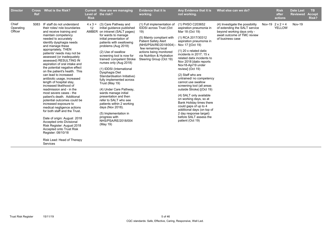| <b>Director</b>               | <b>Cross</b><br>Ref | <b>What is the Risk?</b>                                                                                                                                                                                                                                                                                                                                                                                                                                                                                                                                                                                                                                                                                                                                                                                                                                                                                  | <b>Current</b><br>Level of<br><b>Risk</b> | How are we managing<br>the risk?                                                                                                                                                                                                                                                                                                                                                                                                                                                                                                                                                                                                                                  | <b>Evidence that it is</b><br>working.                                                                                                                                                                                                                                                | Any Evidence that it is<br>not working.                                                                                                                                                                                                                                                                                                                                                                                                                                                                                                                                                                                    | What else can we do?                                                                                                                              | <b>Risk</b><br>after<br>actions          | <b>Date Last</b><br><b>Reviewed</b> | <b>TB</b><br><b>Accept</b><br>Risk? |
|-------------------------------|---------------------|-----------------------------------------------------------------------------------------------------------------------------------------------------------------------------------------------------------------------------------------------------------------------------------------------------------------------------------------------------------------------------------------------------------------------------------------------------------------------------------------------------------------------------------------------------------------------------------------------------------------------------------------------------------------------------------------------------------------------------------------------------------------------------------------------------------------------------------------------------------------------------------------------------------|-------------------------------------------|-------------------------------------------------------------------------------------------------------------------------------------------------------------------------------------------------------------------------------------------------------------------------------------------------------------------------------------------------------------------------------------------------------------------------------------------------------------------------------------------------------------------------------------------------------------------------------------------------------------------------------------------------------------------|---------------------------------------------------------------------------------------------------------------------------------------------------------------------------------------------------------------------------------------------------------------------------------------|----------------------------------------------------------------------------------------------------------------------------------------------------------------------------------------------------------------------------------------------------------------------------------------------------------------------------------------------------------------------------------------------------------------------------------------------------------------------------------------------------------------------------------------------------------------------------------------------------------------------------|---------------------------------------------------------------------------------------------------------------------------------------------------|------------------------------------------|-------------------------------------|-------------------------------------|
| Chief<br>Operating<br>Officer | 5083                | IF staff do not understand<br>their roles/ role boundaries<br>and receive training and<br>maintain competency<br>needed to accurately<br>identify dysphagia needs<br>and manage these<br>appropriately, THEN<br>patients' needs may not be<br>assessed (or inadequately<br>assessed) RESULTING IN<br>aspiration of oral intake and<br>the potential negative effect<br>on the patient's health. This<br>can lead to increased<br>antibiotic usage, increased<br>length of hospital stay,<br>increased likelihood of<br>readmission and - in the<br>most severe cases - the<br>patient's death. Additional<br>potential outcomes could be<br>increased exposure to<br>medical negligence actions<br>for both staff and the Trust.<br>Date of origin: August 2018<br>Accepted onto Divisional<br>Risk Register: August 2018<br>Accepted onto Trust Risk<br>Register: 08/10/18<br>Risk Lead: Head of Therapy | $4 \times 3 =$<br>12                      | (3) Care Pathway and<br>initial guidance published<br>AMBER on intranet (SALT pages)<br>for wards to manage<br>initial presentation of<br>patients with swallowing<br>problems (Aug 2018)<br>(2) Use of swallow<br>screening tool is now for<br>trained/ competent Stroke<br>nurses only (Aug 2018)<br>(1) IDDSI (International<br>Dysphagia Diet<br>Standardisation Initiative)<br>fully implemented across<br>Trust (May 19)<br>(4) Under Care Pathway,<br>wards manage initial<br>presentation and then<br>refer to SALT who see<br>patients within 2 working<br>days (Nov 2018).<br>(5) Implementation in<br>progress with<br>NHS/PSA/RE/2018/004<br>(May 19) | (1) Full implementation of<br><b>IDDSI</b> across Trust (Oct<br>19)<br>(5) Mainly compliant with<br><b>Patient Safety Alert</b><br>(NHS/PSA/RE/2018/004) - Nov 17 [(Oct 19)<br>few remaining local<br>actions being monitored<br>via Nutrition & Hydration<br>Steering Group (Oct 19) | (1) PHSO C203652<br>aspiration pneumonia in<br>Mar 18 (Oct 19)<br>(1) RCA 2017/30312<br>aspiration pneumonia in<br>$(1)$ 20 x related datix<br>incidents in 2017; 15 x<br>related datix incidents to<br>Nov 2018 [datix reports]<br>Nov18-Apr19 under<br>review] (Oct 19)<br>(2) Staff who are<br>untrained/ no competency<br>cannot use swallow<br>screening tool (all areas<br>outside Stroke) [(Oct 19)<br>(4) SALT only available<br>on working days, so at<br>Bank Holiday times there<br>could gaps of up to 4<br>additional days (on top of<br>2 day response target)<br>before SALT assess the<br>patient (Oct 19) | (4) Investigate the possibility<br>of extending the SALT service<br>beyond working days only -<br>await outcome of TMC review<br>of business case | Nov-19 $2 \times 2 = 4$<br><b>YELLOW</b> | <b>Nov-19</b>                       |                                     |

Services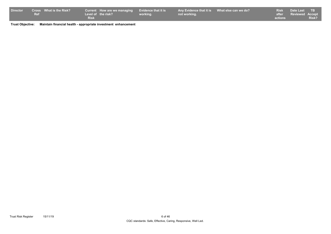| <b>Director</b> |            | <b>Cross</b> What is the Risk? |             | Current How are we managing Evidence that it is |          | Any Evidence that it is What else can we do? |         | Risk Date Last TB     |       |
|-----------------|------------|--------------------------------|-------------|-------------------------------------------------|----------|----------------------------------------------|---------|-----------------------|-------|
|                 | <b>Ref</b> |                                |             | Level of the risk?                              | working. | not working.                                 |         | after Reviewed Accept |       |
|                 |            |                                | <b>Risk</b> |                                                 |          |                                              | actions |                       | Risk? |

**Trust Objective: Maintain financial health - appropriate investment enhancement**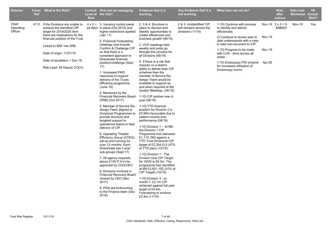| <b>Director</b>               | <b>Ref</b> | Cross What is the Risk?                                                                        | <b>Risk</b>                                                                                                                                                                                                                         | Current How are we managing<br>Level of the risk?                                                                           | <b>Evidence that it is</b><br>working.                                                                                       | Any Evidence that it is<br>not working.                                                                                                  | What else can we do?                                                                          |               | <b>Risk</b><br>after<br>actions  | <b>Date Last</b><br><b>Reviewed</b> | TB.<br><b>Accept</b><br>Risk? |  |
|-------------------------------|------------|------------------------------------------------------------------------------------------------|-------------------------------------------------------------------------------------------------------------------------------------------------------------------------------------------------------------------------------------|-----------------------------------------------------------------------------------------------------------------------------|------------------------------------------------------------------------------------------------------------------------------|------------------------------------------------------------------------------------------------------------------------------------------|-----------------------------------------------------------------------------------------------|---------------|----------------------------------|-------------------------------------|-------------------------------|--|
| Chief<br>Operating<br>Officer |            | 4113 If the Divisions are unable to<br>achieve the identified CIP<br>target for 2019/2020 then |                                                                                                                                                                                                                                     | $4 \times 5 = 3$ . Vacancy control panel<br>20 RED in place (Oct 2015) and<br>higher restrictions applied                   | 2, 3 & 4. Structure in<br>place to discuss and<br>identify opportunities to                                                  | 2 & 3. Unidentified CIP<br>still remains across the<br>divisions (11/19)                                                                 | 1-10) Continue with process<br>to identify and deliver<br>efficiencies                        |               | Nov-19 $3 \times 3 = 9$<br>AMBER | <b>Nov-19</b>                       | Yes                           |  |
|                               |            | there are implications for the<br>financial position of the Trust<br>Linked to BAF risk SR8.   |                                                                                                                                                                                                                                     | (Jan 17)<br>2. Financial Forecasting<br>meetings now include                                                                | create efficiencies and<br>business growth (06/19)<br>3. VCP meetings held                                                   |                                                                                                                                          | 2) Continue to review year to<br>date underspends with a view<br>to take non-recurrent to CIP | <b>Nov-19</b> |                                  |                                     |                               |  |
|                               |            | Date of origin: 11/01/19                                                                       |                                                                                                                                                                                                                                     | Confirm & Challenge CIP<br>so that there is a<br>consistent approach to                                                     | weekly and posts go<br>through this process for<br>all Divsions (06/19)                                                      |                                                                                                                                          | 1-10) Progress to be made<br>with LOS - drive across all<br>areas                             | <b>Nov-19</b> |                                  |                                     |                               |  |
|                               |            | Date of escalation = Dec 18<br>Risk Lead: All Deputy COO's                                     |                                                                                                                                                                                                                                     | Directorate financial<br>position/challenge (Sept<br>17)                                                                    | 5. If there is a risk that<br>impacts on a team's<br>ability to deliver their CIP                                            |                                                                                                                                          | 1-10) Endoscopy PID scheme Apr-20<br>for increased utilisation of                             |               |                                  |                                     |                               |  |
|                               |            |                                                                                                |                                                                                                                                                                                                                                     | 1. Increased PMO<br>resources to support<br>delivery of the Trusts<br>efficiency programme<br>(June 16)                     | schemes then the<br>member of Service Re-<br>deisgn Team would be<br>available to support as<br>and when required at the     |                                                                                                                                          | Endoscopy rooms                                                                               |               |                                  |                                     |                               |  |
|                               |            |                                                                                                | 4. Monitored by the<br>Financial Recovery Board<br>(FRB) (Oct 2017)<br>5. Member of Service Re-<br>design Team aligned to<br>Divisional Programmes to<br>provide structure and<br>targeted support to<br>operational teams in their |                                                                                                                             | Quality Meetings. (06/19)<br>1-10) CIP partner now in<br>post (06/19)                                                        |                                                                                                                                          |                                                                                               |               |                                  |                                     |                               |  |
|                               |            |                                                                                                |                                                                                                                                                                                                                                     | 1-10) YTD financial<br>position for Division 2 is<br>£0.95m favourable due to<br>patient income over<br>performance (08/19) |                                                                                                                              |                                                                                                                                          |                                                                                               |               |                                  |                                     |                               |  |
|                               |            |                                                                                                |                                                                                                                                                                                                                                     | delivery of CIP                                                                                                             | 1-10) Division 1 - At M6,<br>the Division 1 CIP                                                                              |                                                                                                                                          |                                                                                               |               |                                  |                                     |                               |  |
|                               |            |                                                                                                |                                                                                                                                                                                                                                     |                                                                                                                             | 6. Operating Theatre<br>Efficiency Group (OTEG)<br>set-up and running for<br>over 12 months, Each<br>Directorate has 'Local' | Programme has delivered<br>£1,113, 564 against a<br><b>YTD Trust Divisional CIP</b><br>target of £2,354,512 (47%<br>of YTD plan) (10/19) |                                                                                               |               |                                  |                                     |                               |  |
|                               |            |                                                                                                |                                                                                                                                                                                                                                     |                                                                                                                             | sub-groups (Sept 17)<br>7. All agency requests<br>above £100 P.H to be<br>approved by COO/CEO                                | 1-10) Division 1 - The<br>Division One CIP Target<br>for 19/20 is £9.3m. The<br>programme has identified<br>at M6 £2,921,152 (31% of     |                                                                                               |               |                                  |                                     |                               |  |
|                               |            |                                                                                                |                                                                                                                                                                                                                                     | 8. Divisions involved in<br><b>Financial Recovery Board</b><br>chaired by CEO (Nov<br>2017)                                 | CIP Target) (10/19)<br>1-10) Division 3 - at<br>month 7: £2.1m CIP                                                           |                                                                                                                                          |                                                                                               |               |                                  |                                     |                               |  |
|                               |            |                                                                                                |                                                                                                                                                                                                                                     | 9. PIDs are forthcoming<br>to the Finance team (Dec<br>2018)                                                                | achieved against full year<br>target of £4.4m.<br>Forecasting to achieve<br>£2.9m (11/19)                                    |                                                                                                                                          |                                                                                               |               |                                  |                                     |                               |  |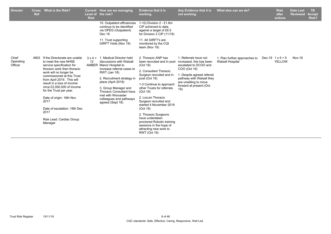| <b>Director</b>               | <b>Cross</b><br>Ref | What is the Risk?                                                                                                                                                                                                                                                                                                                                                                                                 | Level of<br><b>Risk</b> | Current How are we managing<br>the risk?                                                                                                                                                                                                                                                                                 | <b>Evidence that it is</b><br>working.                                                                                                                                                                                                                                                                                                                                                                                                               | Any Evidence that it is<br>not working.                                                                                                                                                                          | What else can we do?                                     | <b>Risk</b><br>after<br>actions          | <b>Date Last</b><br><b>Reviewed</b> | TB.<br><b>Accept</b><br>Risk? |
|-------------------------------|---------------------|-------------------------------------------------------------------------------------------------------------------------------------------------------------------------------------------------------------------------------------------------------------------------------------------------------------------------------------------------------------------------------------------------------------------|-------------------------|--------------------------------------------------------------------------------------------------------------------------------------------------------------------------------------------------------------------------------------------------------------------------------------------------------------------------|------------------------------------------------------------------------------------------------------------------------------------------------------------------------------------------------------------------------------------------------------------------------------------------------------------------------------------------------------------------------------------------------------------------------------------------------------|------------------------------------------------------------------------------------------------------------------------------------------------------------------------------------------------------------------|----------------------------------------------------------|------------------------------------------|-------------------------------------|-------------------------------|
|                               |                     |                                                                                                                                                                                                                                                                                                                                                                                                                   |                         | 10. Outpatient efficiencies<br>continue to be identified<br>via OPEG (Outpatient)<br>Dec 18                                                                                                                                                                                                                              | 1-10) Division 2 - £1.6m<br>CIP achieved to date,<br>against a target of £6.5<br>for Division 2 CIP (11/19)                                                                                                                                                                                                                                                                                                                                          |                                                                                                                                                                                                                  |                                                          |                                          |                                     |                               |
|                               |                     |                                                                                                                                                                                                                                                                                                                                                                                                                   |                         | 11. Trust supporting<br>GIRFT Visits (Nov 19)                                                                                                                                                                                                                                                                            | 11. All GIRFT's are<br>monitored by the CQI<br>team (Nov 19)                                                                                                                                                                                                                                                                                                                                                                                         |                                                                                                                                                                                                                  |                                                          |                                          |                                     |                               |
| Chief<br>Operating<br>Officer | 4903                | If the Directorate are unable<br>to meet the new NHSE<br>service specification for<br>thoracic work then thoracic<br>work will no longer be<br>commissioned at this Trust<br>from April 2019. This will<br>result in a loss of income<br>circa £2,000,000 of income<br>for the Trust per year.<br>Date of origin: 16th Nov<br>2017<br>Date of escalation: 18th Dec<br>2017<br>Risk Lead: Cardiac Group<br>Manager | $3 \times 4 =$<br>12    | 1. Medical Director held<br>discussions with Walsall<br>AMBER Manor Hospital to<br>increase referral cases to<br><b>RWT</b> (Jan 18)<br>2. Recruitment strategy in<br>place (April 2018)<br>3. Group Manager and<br><b>Thoracic Consultant have</b><br>met with Worcester<br>colleagues and pathways<br>agreed (Sept 18) | 2. Thoracic ANP has<br>been recruited and in post<br>(Oct 19)<br>2. Consultant Thoracic<br>Surgeon recruited and in<br>post (Oct 19)<br>1-3 Continue to approach<br>other Trusts for referrals<br>(Oct 19)<br>2. Locum Thoracic<br>Surgeon recruited and<br>started 4 November 2019<br>(Oct 19)<br>2. Thoracic Surgeons<br>have undertaken<br>proctored Robotic training<br>sessions in the hope of<br>attracting new work to<br><b>RWT (Oct 19)</b> | 1. Referrals have not<br>increased, this has been<br>escalated to DCOO and<br>COO (Oct 19)<br>1. Despite agreed referral<br>pathway with Walsall they<br>are unwilling to move<br>forward at present (Oct<br>19) | 1. Plan further approaches to<br><b>Walsall Hospital</b> | Dec-19 $1 \times 5 = 5$<br><b>YELLOW</b> | <b>Nov-19</b>                       |                               |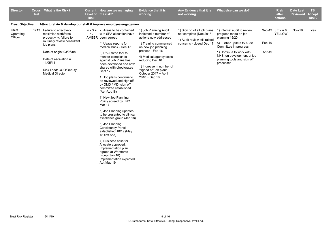| <b>Director</b>               | <b>Cross</b><br><b>Ref</b> | <b>What is the Risk?</b>                                                                                                                                                                                                                         | <b>Risk</b>       | Current How are we managing<br>Level of the risk?                                                                                                                                                                                                                                                                                                                                                                                                                                                                                                                                                                                                                                                                                                                                                 | <b>Evidence that it is</b><br>working.                                                                                                                                                                                                                                                    | Any Evidence that it is<br>not working.                                                                             | What else can we do?                                                                                                                                                                                                                |                  | <b>Risk</b><br>after<br>actions          | <b>Date Last</b><br><b>Reviewed</b> | <b>TB</b><br><b>Accept</b><br>Risk? |
|-------------------------------|----------------------------|--------------------------------------------------------------------------------------------------------------------------------------------------------------------------------------------------------------------------------------------------|-------------------|---------------------------------------------------------------------------------------------------------------------------------------------------------------------------------------------------------------------------------------------------------------------------------------------------------------------------------------------------------------------------------------------------------------------------------------------------------------------------------------------------------------------------------------------------------------------------------------------------------------------------------------------------------------------------------------------------------------------------------------------------------------------------------------------------|-------------------------------------------------------------------------------------------------------------------------------------------------------------------------------------------------------------------------------------------------------------------------------------------|---------------------------------------------------------------------------------------------------------------------|-------------------------------------------------------------------------------------------------------------------------------------------------------------------------------------------------------------------------------------|------------------|------------------------------------------|-------------------------------------|-------------------------------------|
| <b>Trust Objective:</b>       |                            | Attract, retain & develop our staff & improve employee engagemen                                                                                                                                                                                 |                   |                                                                                                                                                                                                                                                                                                                                                                                                                                                                                                                                                                                                                                                                                                                                                                                                   |                                                                                                                                                                                                                                                                                           |                                                                                                                     |                                                                                                                                                                                                                                     |                  |                                          |                                     |                                     |
| Chief<br>Operating<br>Officer |                            | 1713 Failure to effectively<br>maximise workforce<br>productivity; failure to<br>routinely review consultant<br>job plans.<br>Date of origin: 03/06/08<br>Date of escalation $=$<br>11/05/11<br>Risk Lead: COO/Deputy<br><b>Medical Director</b> | $12 \overline{ }$ | $4 \times 3 = 2$ ) Areas to be contained<br>with SPA allocation have<br>AMBER been agreed<br>4) Usage reports for<br>medical bank - Dec 17<br>3) RAG rated tool to<br>monitor compliance<br>against Job Plans has<br>been developed and now<br>shared with directorates<br>Sept 17.<br>1) Job plans continue to<br>be reviewed and sign off<br>by DMD / MD- sign off<br>committee established<br>(Apr-Aug18)<br>1) New Job Planning<br>Policy agreed by LNC<br>Mar 17<br>5) Job Planning updates<br>to be presented to clinical<br>excellence group (Jan 18)<br>6) Job Planning<br><b>Consistency Panel</b><br>established 18/19 (May<br>18 first one).<br>7) Business case for<br>Allocate approved.<br>Implementation plan<br>agreed at Workforce<br>group (Jan 18).<br>Implementation expected | 1) Job Planning Audit<br>indicated a number of<br>actions now addressed<br>1) Training commenced<br>on new job planning<br>process - Feb 16<br>4) Medical agency costs<br>reducing Dec 18.<br>1) Increase in number of<br>'signed off' job plans<br>October 2017 + April<br>2018 + Sep 18 | 1) Sign off of all job plans<br>not complete (Dec 2018)<br>1) Audit review still raised<br>concerns - closed Dec 17 | 1) Internal audit to review<br>progress made on job<br>planning 19/20<br>5) Further update to Audit<br>Committee in progress.<br>1) Continue to work with<br>NHSI on development of job<br>planning tools and sign off<br>processes | Feb-19<br>Apr-19 | Sep-19 $3 \times 2 = 6$<br><b>YELLOW</b> | <b>Nov-19</b>                       | Yes                                 |
|                               |                            |                                                                                                                                                                                                                                                  |                   | Apr/May 19                                                                                                                                                                                                                                                                                                                                                                                                                                                                                                                                                                                                                                                                                                                                                                                        |                                                                                                                                                                                                                                                                                           |                                                                                                                     |                                                                                                                                                                                                                                     |                  |                                          |                                     |                                     |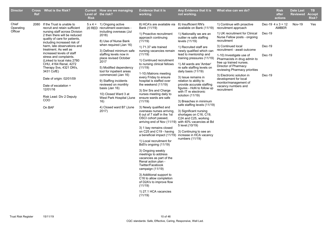| <b>Director</b>    | <b>Ref</b> | Cross What is the Risk?                                                                                                       | <b>Risk</b> | Current How are we managing<br>Level of the risk?                        | Evidence that it is<br>working.                                                                                                               | Any Evidence that it is<br>not working.                                                                                                                                                    | What else can we do?                                                                |          | <b>Risk</b><br>after<br>actions   | <b>Date Last</b><br><b>Reviewed</b> | <b>TB</b><br><b>Accept</b><br><b>Risk?</b> |
|--------------------|------------|-------------------------------------------------------------------------------------------------------------------------------|-------------|--------------------------------------------------------------------------|-----------------------------------------------------------------------------------------------------------------------------------------------|--------------------------------------------------------------------------------------------------------------------------------------------------------------------------------------------|-------------------------------------------------------------------------------------|----------|-----------------------------------|-------------------------------------|--------------------------------------------|
| Chief<br>Operating |            | 2080 If the Trust is unable to<br>recruit and retain sufficient                                                               |             | $5 \times 4 = 1$ ) Ongoing active<br>20 RED recruitment exercises -      | 8) HCA's are available via<br>Bank (11/19)                                                                                                    | 8) Insufficient RN's<br>available on Bank (11/19)                                                                                                                                          | 1) Continue with proactive<br>recruitment approach                                  |          | Dec-19 $4 \times 3 = 12$<br>AMBER | <b>Nov-19</b>                       | Yes                                        |
| Officer            |            | nursing staff across Division<br>2 then there will be reduced<br>quality of care for patients,<br>including increased risk of |             | including overseas (Jul<br>2018)<br>8) Use of Nurse Bank                 | 1) Proactive recruitment<br>approach continuing<br>(11/19)                                                                                    | 1) Nationallly we are an<br>outlier re safe staffing<br>levels (11/19)                                                                                                                     | 1) UK recruitment for Clinical<br>Nurse Fellow posts - ongoing<br>recruitment       | Dec-19   |                                   |                                     |                                            |
|                    |            | harm, late observations and<br>treatment. As well as<br>increased levels of staff                                             |             | when required (Jan 16)<br>3) Defined minimum safe                        | 1) 71.37 wte trained<br>nursing vacancies remain                                                                                              | 1) Recruited staff are<br>newly qualified which can                                                                                                                                        | 3) Continued local<br>recruitment - await outcome                                   | $Dec-19$ |                                   |                                     |                                            |
|                    |            | stress and complaints.<br>(Linked to local risks 2780<br>CHU, 4164 Renal, 4272                                                |             | staffing levels now in<br>place revised October<br>2017                  | (11/19)<br>1) Continued recruitment<br>to nursing clinical fellows                                                                            | lead to mentorship and<br>training pressures (11/19)<br>1) All wards are 'Amber'                                                                                                           | 1-10) Investigate use of<br>Pharmacists in drug admin to<br>free up trained nurses. | Dec-19   |                                   |                                     |                                            |
|                    |            | Therapy Svs, 4321 DN's,<br>3431 CofE)                                                                                         |             | 5) Modified dependency<br>tool for inpatient areas<br>commenced (Jan 16) | (11/19)<br>1-10) Matrons meeting                                                                                                              | re safe staffing levels on<br>daily basis (11/19)                                                                                                                                          | Director of Pharmacy<br>reviewing Pharmacy priorities<br>3) Electronic solution in  | Dec-19   |                                   |                                     |                                            |
|                    |            | Date of origin: 02/01/09<br>Date of escalation $=$                                                                            |             | 9) Staffing incidents<br>reviewed on monthly                             | every Friday to ensure<br>hospital is staffed over<br>the weekend (11/19)                                                                     | 3) Issue remains in<br>relation to ability to<br>provide accurate staffing                                                                                                                 | development for local<br>monitor/management of                                      |          |                                   |                                     |                                            |
|                    |            | 12/01/16<br>Risk Lead: Div 2 Deputy                                                                                           |             | basis (Jan 16)<br>10) Closed Ward 3 at                                   | 3) Snr Srs and Charge<br>nurses meeting daily to                                                                                              | figures - HoN to follow up<br>with IT re electronic<br>solution (11/19)                                                                                                                    | vacancy numbers and<br>recruitment                                                  |          |                                   |                                     |                                            |
|                    |            | <b>COO</b>                                                                                                                    |             | West Park Hospital (June<br>16)<br>4) Closed ward B7 (June<br>2017)      | ensure wards are safe<br>(11/19)<br>3) Newly qualified and<br>overseas nurses arriving,<br>6 out of 7 staff in the 1st<br>OSCI cohort passed, | 3) Breaches in minimum<br>safe staffing levels (11/19)<br>3) Significant nursing<br>shortages on C16, C19,<br>C24 and C25, working<br>arriving end of Nov (11/19) with 40% vacancies at Bd |                                                                                     |          |                                   |                                     |                                            |
|                    |            | On BAF                                                                                                                        |             |                                                                          |                                                                                                                                               |                                                                                                                                                                                            |                                                                                     |          |                                   |                                     |                                            |
|                    |            |                                                                                                                               |             |                                                                          | 3) 1 bay remains closed<br>on C25 and C19 - having<br>a beneficial impact (11/19) increase in HCA vacancy                                     | 5 level.(10/19)<br>3) Continuing to see an                                                                                                                                                 |                                                                                     |          |                                   |                                     |                                            |
|                    |            |                                                                                                                               |             |                                                                          | 1) Local recruitment for<br>Bd5's ongoing (11/19)                                                                                             | numbers (11/19)                                                                                                                                                                            |                                                                                     |          |                                   |                                     |                                            |
|                    |            |                                                                                                                               |             |                                                                          | 3) Ongoing weekly<br>meetings to address<br>vacancies as part of the<br>Renal action plan -<br>Twitter/Facebook<br>campaign (11/19)           |                                                                                                                                                                                            |                                                                                     |          |                                   |                                     |                                            |
|                    |            |                                                                                                                               |             |                                                                          | 3) Additional support to<br>C16 to allow completion<br>of D2A's to improve flow<br>(11/19)                                                    |                                                                                                                                                                                            |                                                                                     |          |                                   |                                     |                                            |
|                    |            |                                                                                                                               |             |                                                                          | 1) 27.1 HCA vacancies<br>(11/19)                                                                                                              |                                                                                                                                                                                            |                                                                                     |          |                                   |                                     |                                            |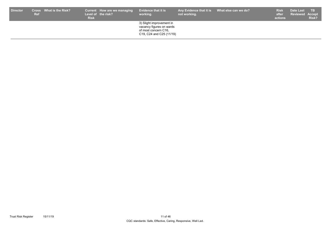| <b>Director</b> | <b>Ref</b> | Cross What is the Risk? | <b>Risk</b> | Current How are we managing<br>Level of the risk? | <b>Evidence that it is</b><br>working.                                                                   | Any Evidence that it is What else can we do?<br>not working. | <b>Risk</b><br>after<br>actions | Date Last<br><b>Reviewed Accept</b> | <b>TB</b><br>Risk? |
|-----------------|------------|-------------------------|-------------|---------------------------------------------------|----------------------------------------------------------------------------------------------------------|--------------------------------------------------------------|---------------------------------|-------------------------------------|--------------------|
|                 |            |                         |             |                                                   | 3) Slight improvement in<br>vacancy figures on wards<br>of most concern C16,<br>C19, C24 and C25 (11/19) |                                                              |                                 |                                     |                    |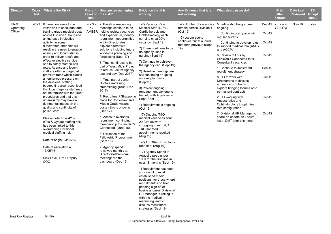| <b>Director</b>               | <b>Ref</b> | Cross What is the Risk?                                                                                                                                                                                                                                                                                                                                                                                                                                                                                                                                                                                                                                                                                                                                                                                                                                                                                                                                                                             | <b>Risk</b> | Current How are we managing<br>Level of the risk?                                                                                                                                                                                                                                                                                                                                                                                                                                                                                                                                                                                                                                                                                                                                                                                                                                                          | <b>Evidence that it is</b><br>working.                                                                                                                                                                                                                                                                                                                                                                                                                                                                                                                                                                                                                                                                                                                                                                                                                                                                                                    | Any Evidence that it is<br>not working.                                                                                 | What else can we do?                                                                                                                                                                                                                                                                                                                                                                                                                                                                                                                                                                                                                                            |                                                                      | <b>Risk</b><br>after<br>actions          | <b>Date Last</b><br><b>Reviewed</b> | TB.<br><b>Accept</b><br>Risk? |
|-------------------------------|------------|-----------------------------------------------------------------------------------------------------------------------------------------------------------------------------------------------------------------------------------------------------------------------------------------------------------------------------------------------------------------------------------------------------------------------------------------------------------------------------------------------------------------------------------------------------------------------------------------------------------------------------------------------------------------------------------------------------------------------------------------------------------------------------------------------------------------------------------------------------------------------------------------------------------------------------------------------------------------------------------------------------|-------------|------------------------------------------------------------------------------------------------------------------------------------------------------------------------------------------------------------------------------------------------------------------------------------------------------------------------------------------------------------------------------------------------------------------------------------------------------------------------------------------------------------------------------------------------------------------------------------------------------------------------------------------------------------------------------------------------------------------------------------------------------------------------------------------------------------------------------------------------------------------------------------------------------------|-------------------------------------------------------------------------------------------------------------------------------------------------------------------------------------------------------------------------------------------------------------------------------------------------------------------------------------------------------------------------------------------------------------------------------------------------------------------------------------------------------------------------------------------------------------------------------------------------------------------------------------------------------------------------------------------------------------------------------------------------------------------------------------------------------------------------------------------------------------------------------------------------------------------------------------------|-------------------------------------------------------------------------------------------------------------------------|-----------------------------------------------------------------------------------------------------------------------------------------------------------------------------------------------------------------------------------------------------------------------------------------------------------------------------------------------------------------------------------------------------------------------------------------------------------------------------------------------------------------------------------------------------------------------------------------------------------------------------------------------------------------|----------------------------------------------------------------------|------------------------------------------|-------------------------------------|-------------------------------|
| Chief<br>Operating<br>Officer |            | 4529 If there continues to be<br>vacancies in consultant and<br>training grade medical posts<br>across Division 1 alongside<br>an increase in elective<br>activity (in some<br>directorates) then this will<br>result in the need to engage<br>agency and locum staff in<br>order to deliver a safe and<br>effective elective service<br>and to safely staff on-call<br>rotas. Agency and locum<br>staff are often engaged at<br>premium rates which places<br>an enhanced pressure on<br>the divisional staffing<br>budget; it is also recognised<br>that locum/agency staff may<br>not be familiar with the Trust<br>procedures and that this<br>unfamiliarity may have a<br>detrimental impact on the<br>quality and continuity of<br>patient care.<br>Please note: Risk 4239<br>(Obs & Gynae) staffing risk<br>has been linked to this<br>overarching Divisional<br>medical staffing risk.<br>Date of origin: 23/04/16<br>Date of escalation $=$<br>17/05/16<br>Risk Level: Div 1 Deputy<br>COO | 12          | $4 \times 3 = 2$ . Baseline resourcing<br>meetings continue to be<br>AMBER held to review vacancies<br>and expenditure, identify<br>recruitment opportunities<br>within Directorates<br>explore alternative<br>solutions including future<br>workforce planning and<br>forecasting (Sept 17)<br>3. Trust continues to be<br>part of West Mid's Project<br>to reduce Locum Agency<br>use and pay (Dec 2017)<br>4. Trust part of Junior<br>Doctors in-training<br>streamlining group (Dec<br>2017)<br>1. Recruitment Strategy in<br>place for Consultant and<br>Middle Grade vacant<br>posts - this is ongoing<br>(Dec 17)<br>5. Acces to overseas<br>recruitment continuing<br>membership to Clinician's<br>Connected (June 18)<br>6. Utilisation of the<br>Fellowship Programme<br>(Sept 18)<br>7. Agency spend<br>reviewed monthly at<br>Directorate/Divisional<br>meetings via the<br>dashboard (Dec 18) | 1-7) Vacancy Rate<br>Medical Staff 4.93%,<br>Cardiothoracic and<br>Ophthalmology each<br>carrying circa 20%<br>vacancy (Sept 19)<br>7) There continues to be<br>no agency used in<br>nursing (Sept 19)<br>7) Continue to achieve<br>the agency cap (Sept 19)<br>2) Baseline meetings are<br>still continuing on-going<br>on a regular basis<br>(Sept19)<br>3) Project ongoing -<br>rengagement day due to<br>be held with Agencies in<br>Sept (Sept 19)<br>1) Recruitment is ongoing<br>(Oct 19)<br>1-7) Ongoing T&O<br>medical vacancies sent<br>20 CVs as were<br>struggling to recruit, 4<br>T&O Jnr Med<br>appointments recuited<br>(Aug 19)<br>1-7) 4 x O&G Consultants<br>recruited (Aug 19)<br>1-7) Agency Spend in<br>August dipped under<br>100k for the first time in<br>over 18 months (Sept 19)<br>1) Recruitment has been<br>successful to most<br>established medic<br>positions, for those where<br>recruitment is on hold | remain across Division 1<br>(Oct 19)<br>1-7) Locum spend<br>continues but at a lower<br>rate than previous (Sept<br>19) | 1-7) Number of vacancies 5. Fellowship Programme<br>ongoing<br>1. Continuing campaign with<br>reqular adverts<br>1. Continuing to develop roles<br>to support medical rota (ANPs)<br>and ACCPs)<br>6. Review of CVs by<br>Clinician's Connected to fill<br>Consultant vacancies<br>1. Continue to implement<br>recruitment strategy<br>8. HR to work with<br>Directorates to discuss<br>annualised contracts to<br>explore bringing locums onto<br>permanent contracts.<br>2. HR working with<br>Anaesthetics and<br>Ophthalmology to optimise<br>rota configuration<br>7. Divisional HR Manager to<br>share an update on Locum<br>list at DMT later this month | Oct-19<br>$Oct-19$<br>Oct-19<br>Dec-19<br>Oct-19<br>Oct-19<br>Oct-19 | Dec-19 $2 \times 2 = 4$<br><b>YELLOW</b> | <b>Nov-19</b>                       | Yes                           |
|                               |            |                                                                                                                                                                                                                                                                                                                                                                                                                                                                                                                                                                                                                                                                                                                                                                                                                                                                                                                                                                                                     |             |                                                                                                                                                                                                                                                                                                                                                                                                                                                                                                                                                                                                                                                                                                                                                                                                                                                                                                            | pending sign off of<br>business cases Divisional                                                                                                                                                                                                                                                                                                                                                                                                                                                                                                                                                                                                                                                                                                                                                                                                                                                                                          |                                                                                                                         |                                                                                                                                                                                                                                                                                                                                                                                                                                                                                                                                                                                                                                                                 |                                                                      |                                          |                                     |                               |

HR Manager is linking in with the medical resourcing lead to

discuss recruitment strategies (Sept 19)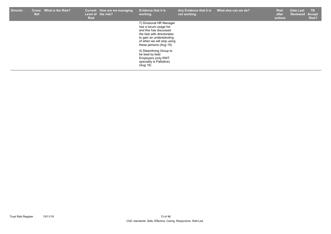| <b>Director</b> | <b>Cross</b><br><b>Ref</b> | What is the Risk? | <b>Risk</b> | Current How are we managing<br>Level of the risk? | <b>Evidence that it is</b><br>working.                                                                                                                                                          | Any Evidence that it is<br>not working. | What else can we do? | <b>Risk</b><br>after<br>actions | Date Last<br><b>Reviewed</b> | TB.<br>Accept<br>Risk? |
|-----------------|----------------------------|-------------------|-------------|---------------------------------------------------|-------------------------------------------------------------------------------------------------------------------------------------------------------------------------------------------------|-----------------------------------------|----------------------|---------------------------------|------------------------------|------------------------|
|                 |                            |                   |             |                                                   | 7) Divisional HR Manager<br>has a locum usage list<br>and this has discussed<br>the lists with directorates<br>to gain an understanding<br>of when we will stop using<br>these persons (Aug 19) |                                         |                      |                                 |                              |                        |
|                 |                            |                   |             |                                                   | 4) Steamlining Group to<br>be lead by lead<br>Employers (only RWT<br>speciality is Palliative)<br>(Aug 19)                                                                                      |                                         |                      |                                 |                              |                        |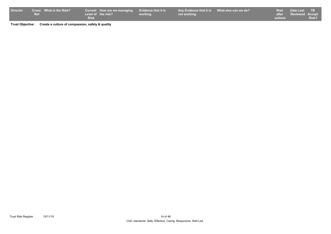| <b>Director</b> |     | Cross What is the Risk? |             | Current How are we managing Evidence that it is |          | Any Evidence that it is What else can we do? |         | Risk Date Last TB     |              |
|-----------------|-----|-------------------------|-------------|-------------------------------------------------|----------|----------------------------------------------|---------|-----------------------|--------------|
|                 | Ref |                         |             | Level of the risk?                              | working. | not working.                                 |         | after Reviewed Accept |              |
|                 |     |                         | <b>Risk</b> |                                                 |          |                                              | actions |                       | <b>Risk?</b> |

**Trust Objective: Create a culture of compassion, safety & quality**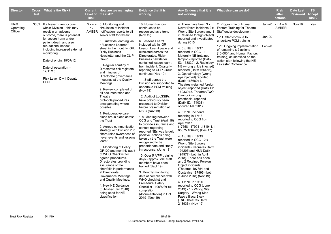| <b>Director</b>               | <b>Ref</b> | Cross What is the Risk?                                                                                                                                                                                                                                                                                                                              | <b>Risk</b> | Current How are we managing<br>Level of the risk?                                                                                                                                                                                                                                                                                                                                                                                                                                                                                                                                                                                                                                                                                                                                                                                                                                                                                                                                                                                                                                   | <b>Evidence that it is</b><br>working.                                                                                                                                                                                                                                                                                                                                                                                                                                                                                                                                                                                                                                                                                                                                                                                                                                                                                                                                                                                                                                                                              | Any Evidence that it is<br>not working.                                                                                                                                                                                                                                                                                                                                                                                                                                                                                                                                                                                                                                                                                                                                                                                                                                                                                                                                                                                                                                                                                                                                                                                    | What else can we do?                                                                                                                                                                                                                                                                                                             |                    | <b>Risk</b><br>after<br>actions  | <b>Date Last</b><br><b>Reviewed</b> | TB.<br><b>Accept</b><br><b>Risk?</b> |
|-------------------------------|------------|------------------------------------------------------------------------------------------------------------------------------------------------------------------------------------------------------------------------------------------------------------------------------------------------------------------------------------------------------|-------------|-------------------------------------------------------------------------------------------------------------------------------------------------------------------------------------------------------------------------------------------------------------------------------------------------------------------------------------------------------------------------------------------------------------------------------------------------------------------------------------------------------------------------------------------------------------------------------------------------------------------------------------------------------------------------------------------------------------------------------------------------------------------------------------------------------------------------------------------------------------------------------------------------------------------------------------------------------------------------------------------------------------------------------------------------------------------------------------|---------------------------------------------------------------------------------------------------------------------------------------------------------------------------------------------------------------------------------------------------------------------------------------------------------------------------------------------------------------------------------------------------------------------------------------------------------------------------------------------------------------------------------------------------------------------------------------------------------------------------------------------------------------------------------------------------------------------------------------------------------------------------------------------------------------------------------------------------------------------------------------------------------------------------------------------------------------------------------------------------------------------------------------------------------------------------------------------------------------------|----------------------------------------------------------------------------------------------------------------------------------------------------------------------------------------------------------------------------------------------------------------------------------------------------------------------------------------------------------------------------------------------------------------------------------------------------------------------------------------------------------------------------------------------------------------------------------------------------------------------------------------------------------------------------------------------------------------------------------------------------------------------------------------------------------------------------------------------------------------------------------------------------------------------------------------------------------------------------------------------------------------------------------------------------------------------------------------------------------------------------------------------------------------------------------------------------------------------------|----------------------------------------------------------------------------------------------------------------------------------------------------------------------------------------------------------------------------------------------------------------------------------------------------------------------------------|--------------------|----------------------------------|-------------------------------------|--------------------------------------|
| Chief<br>Operating<br>Officer |            | 3069 If a Never Event occurs<br>within Division 1 this may<br>result in an adverse<br>outcome, there is potential<br>for severe harm and/or<br>patient death and also<br>reputational impact<br>including increased external<br>monitoring<br>Date of origin: 19/07/12<br>Date of escalation =<br>17/11/15<br>Risk Level: Div 1 Deputy<br><b>COO</b> | 12          | $3 \times 4 = 5$ . Monitoring and<br>circulation of incident<br>AMBER notification reports to all<br>senior staff for review<br>6. Trustwide learning via<br>a "Lessons Learned"<br>sheet in the monthly IGR,<br><b>Risky Business</b><br>Newsletter and the CLIP<br>Group.<br>8. Regular scrutiny of<br>Directorate risk registers<br>and minutes of<br>Directorate governance<br>meetings at the Quality<br>Meetings<br>2. Review completed of<br>all documentation and<br>Theatre<br>protocols/procedures<br>amalgamating where<br>possible<br>1. Perioperative care<br>plans are in place across<br>the Trust<br>9. Agreed communication<br>strategy with Division 2 to<br>share/raise awareness of<br>never events and lessons<br>learnt<br>3. Monitoring of Policy<br>OP100 and monthly audit<br>of WHO Checklist for<br>agreed procedures.<br>Directorates providing<br>assurance of the<br>shortfalls in performance<br>at Directorate<br>Governance Meetings<br>and Quality Meetings.<br>4. New NE Guidance<br>(published Jan 2018)<br>being used for NE<br>classification | 10. Human Factors<br>continues to be<br>recgonised as a trend<br>(Nov 19)<br>6. Lessons Learnt<br>included within IGR<br>Lesson Learnt page and<br>circulated across the<br>Directorates. Risky<br><b>Business newsletter</b><br>contained lesson learnt<br>from incident. Quarterly<br>reporting to CLIP Group<br>continues (Nov 19)<br>11. Staff across the<br>Division are supported to<br>undertake PCM training<br>(Nov 19)<br>12. Audit of LocSSIPs<br>have previously been<br>presented to Division<br>before presentation at<br>QSIG (Nov 19)<br>1-8. Meeting between<br>CCG and Trust (April 18)<br>to provide assurance and<br>context regarding<br>reported NEs was largely<br>positive. Actions being<br>taken by the Trust were<br>recognised to be<br>proportionate and timely<br>in response. (June 18)<br>13. Over 5 AfPP training<br>days - approx. 240 staff<br>members have been<br>trained (Sept 19)<br>3. Monthly monitoring<br>data of compliance with<br>WHO checklist and<br><b>Procedural Safety</b><br>Checklist - 100% for full<br>completion<br>(documentation) in Oct<br>2019 (Nov 19) | 4. There have been 3 x<br>Never Event incidents 2 x<br>Wrong Site Surgery and 1<br>x Retained foreign object)<br>reported and investigated<br>during 2015<br>4. 5 x NE in 16/17<br>reported to CCG - 1.<br>Maternity NE (retained<br>tampon) reported (Datix<br>ID: 158830), 2. Radiology<br>NE (wrong ankle injected)<br>reported (Datix 165455),<br>3. Opthalmology (wrong<br>eye injected) reported<br>(Datix 166680) 4.<br>Theatres (retained foreign<br>object) reported (Datix ID:<br>169339) 5. Theatres/T&O<br>Cannock (wrong<br>prosthesis) reported<br>(Datix ID: 174038)<br>occured Mar 2017<br>4. 5 x NE incidents<br>reporting in 17/18<br>reported to CCG from<br>April 2017<br>(175581,179911,181941,1<br>85875 186479) (Dec 17)<br>4.4 x NE in 18/19<br>reported to CCG - 2 x<br>Wrong Site Surgery<br>incidents (Neonates Datix<br>194205 and H&N Datix<br>194977 - both in April<br>2018). There has been<br>and 2 Retained Foreign<br>Object incidents<br>(Theatres 197654 and<br>Obstetrics 197996 - both<br>in June 2018) (Nov 19)<br>4. 1 x NE in 19/20<br>reported to CCG (June<br>2019) - 1 x Wrong Site<br>Surgery - Wrong Side<br>Fascia Iliaca Block<br>(T&O/Theatres Datix<br>218936) (Nov 19) | 2. Programme of Human<br><b>Factors Training for Theatre</b><br>Staff under-development<br>1-11. Staff continue to<br>undertake PCM training<br>1-13 Ongoing implementation<br>of remaining x 2 actions<br>(10,000ft and Human Factors<br>training) as identified on the<br>action plan following the NE<br>Leicester Conference | $Jan-20$<br>Feb-20 | Jan-20 $2 \times 4 = 8$<br>AMBER | <b>Nov-19</b>                       | Yes                                  |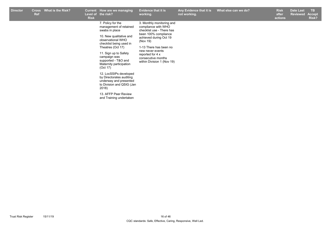| <b>Director</b> | <b>Cross</b><br>Ref | <b>What is the Risk?</b> | <b>Current</b><br><b>Risk</b> | How are we managing<br>Level of the risk?                                                                                                                                                                                                                                                                                                                                                  | <b>Evidence that it is</b><br>working.                                                                                                                                                                                                                            | Any Evidence that it is<br>not working. | What else can we do? | <b>Risk</b><br>after<br>actions | Date Last<br>Reviewed | <b>TB</b><br><b>Accept</b><br>Risk? |
|-----------------|---------------------|--------------------------|-------------------------------|--------------------------------------------------------------------------------------------------------------------------------------------------------------------------------------------------------------------------------------------------------------------------------------------------------------------------------------------------------------------------------------------|-------------------------------------------------------------------------------------------------------------------------------------------------------------------------------------------------------------------------------------------------------------------|-----------------------------------------|----------------------|---------------------------------|-----------------------|-------------------------------------|
|                 |                     |                          |                               | 7. Policy for the<br>management of retained<br>swabs in place<br>10. New qualitative and<br>observational WHO<br>checklist being used in<br>Theatres (Oct 17)<br>11. Sign up to Safety<br>campaign was<br>supported - T&O and<br>Maternity participation<br>(Oct 17)<br>12. LocSSIPs developed<br>by Directorates auditing<br>underway and presented<br>to Division and QSIG (Jan<br>2018) | 3. Monthly monitoring and<br>compliance with WHO<br>checklist use - There has<br>been 100% compliance<br>achieved during Oct 19<br>(Nov 19)<br>1-13 There has been no<br>new never events<br>reported for 4 x<br>consecutive months<br>within Division 1 (Nov 19) |                                         |                      |                                 |                       |                                     |
|                 |                     |                          |                               | 13. AFFP Peer Review<br>and Training undertaken                                                                                                                                                                                                                                                                                                                                            |                                                                                                                                                                                                                                                                   |                                         |                      |                                 |                       |                                     |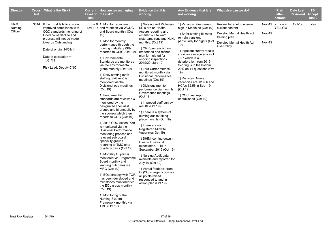| <b>Director</b>             | <b>Ref</b> | Cross What is the Risk?                                                                                                                                                                                                                                               | <b>Risk</b> | Current How are we managing<br>Level of the risk?                                                                                                                                                                                                                                                                                                                                                                                                                                                                                                                                        | <b>Evidence that it is</b><br>working.                                                                                                                                                                                                                                                                                                                                                                                                                                                                                                        | Any Evidence that it is<br>not working.                                                                                                                                                                                                                                                                                                                                                                                                                         | What else can we do?                                                                                                                  |                                | <b>Risk</b><br>after<br>actions          | <b>Date Last</b><br><b>Reviewed</b> | TB.<br><b>Accept</b><br>Risk? |
|-----------------------------|------------|-----------------------------------------------------------------------------------------------------------------------------------------------------------------------------------------------------------------------------------------------------------------------|-------------|------------------------------------------------------------------------------------------------------------------------------------------------------------------------------------------------------------------------------------------------------------------------------------------------------------------------------------------------------------------------------------------------------------------------------------------------------------------------------------------------------------------------------------------------------------------------------------------|-----------------------------------------------------------------------------------------------------------------------------------------------------------------------------------------------------------------------------------------------------------------------------------------------------------------------------------------------------------------------------------------------------------------------------------------------------------------------------------------------------------------------------------------------|-----------------------------------------------------------------------------------------------------------------------------------------------------------------------------------------------------------------------------------------------------------------------------------------------------------------------------------------------------------------------------------------------------------------------------------------------------------------|---------------------------------------------------------------------------------------------------------------------------------------|--------------------------------|------------------------------------------|-------------------------------------|-------------------------------|
| Chief<br>Nursing<br>Officer |            | 3644 If the Trust fails to sustain<br>improved compliance with<br>CQC standards the rating of<br>Good could decline and<br>progress will not be made<br>towards Outstanding.<br>Date of origin: 14/01/14<br>Date of escalation =<br>14/01/14<br>Risk Lead: Deputy CNO |             | $3 \times 3 = 9$ 1) Monitor recruitment<br>AMBER and retention via WODG<br>and Board monthly (Oct<br>19)<br>1) Monitor monthly<br>performance through the<br>nursing midwifery KPIs<br>reported to QSIG (Oct 19)<br>1) Environmental<br>Standards are monitored<br>via the environmental<br>group monthly (Oct 19)<br>1) Daily staffing (safe<br>staffing, Skill mix) is<br>monitored via the<br>Divisional ops meetings<br>(Oct 19)<br>1) Fundamental<br>standards are reviewed &<br>monitored by the<br>designated specialist<br>groups and bi annually by<br>the sponsor which then   | 1) Nursing and Midwifery<br>KPIs are on Health<br>Assure reporting and<br>emailed out to ward<br>sisters/matrons and HoNs<br>monthly. (Oct 19)<br>1) QRV process is now<br>embedded and refined,<br>plan formulated for<br>ongoing inspections<br>2019/20 (July 19)<br>1) Lord Carter metrics<br>monitored monthly via<br><b>Divisional Performance</b><br>meetings (Oct 19)<br>1) Divisions monitor<br>performance via monthly<br>Governance meetings<br>(Oct 19)<br>1) Improved staff survey<br>results (Oct 19)<br>1) There is a system of | 1) Vacancy rates remain<br>high in Medinine (Oct 19)<br>1) Safer staffing fill rates<br>remain transient<br>particularly for nights (Oct<br>19)<br>1) Inpatient survey results<br>show an average score of<br>76.7 which is a<br>deterioration from 2015.<br>Scoring is in the bottom<br>20% on 11 questions (Oct<br>19)<br>1) Registerd Nurse<br>vacancies are 123.66 and<br>HCA's 32.56 in Sept 19<br>(Oct 19)<br>1) CQC final report<br>unpublished (Oct 19) | Review Intranet to ensure<br>current content<br>Develop Mental Health act<br>training plan<br>Develop Mental Health Act<br>Use Policy | <b>Nov-19</b><br><b>Nov-19</b> | Nov-19 $2 \times 2 = 4$<br><b>YELLOW</b> | Oct-19                              | Yes                           |
|                             |            |                                                                                                                                                                                                                                                                       |             | reports to COG (Oct 19)<br>1) 2018 CQC Action Plan<br>is monitored via the<br><b>Divisional Performance</b><br>monitoring process and<br>relevant sub board<br>speciality groups<br>reporting to TMC on a<br>quarterly basis (Oct 19)<br>1) Mortality QI plan is<br>monitored via Programme<br>Board monthly and<br>learning outcomes via<br><b>MRG</b> (Oct 19)<br>1) EOL strategy with TOR<br>has been developed and<br>milestones monitored via<br>the EOL group monthly<br>(Oct 19)<br>1) Monitoring of the<br><b>Nursing System</b><br>Framework monthly via<br><b>TMC (Oct 19)</b> | nursing audits taking<br>place monthly (Oct 19)<br>1) There are no<br><b>Registered Midwife</b><br>Vacancies Oct 19)<br>1) SHIMI coming down in<br>lines with national<br>expectation. 1.15 in<br>September 2019 (Oct 19)<br>1) Nursing Audit data<br>avaiaible and reported for<br>July 19 (Oct 19)<br>1) Verbal feedback from<br>CQCQ is largerly positive,<br>all points raised<br>responded to and in<br>action plan (Oct 19)                                                                                                             |                                                                                                                                                                                                                                                                                                                                                                                                                                                                 |                                                                                                                                       |                                |                                          |                                     |                               |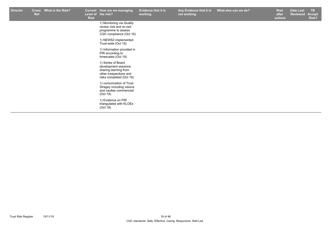| <b>Director</b> | <b>Cross</b><br>Ref | What is the Risk? | <b>Risk</b> | Current How are we managing<br>Level of the risk?                                                                         | Evidence that it is<br>working. | Any Evidence that it is<br>not working. | What else can we do? | <b>Risk</b><br>after<br>actions | <b>Date Last</b><br><b>Reviewed</b> | <b>TB</b><br><b>Accept</b><br>Risk? |
|-----------------|---------------------|-------------------|-------------|---------------------------------------------------------------------------------------------------------------------------|---------------------------------|-----------------------------------------|----------------------|---------------------------------|-------------------------------------|-------------------------------------|
|                 |                     |                   |             | 1) Monitoring via Quality<br>review visit and re-visit<br>programme to assess<br>CQC compliance (Oct 19)                  |                                 |                                         |                      |                                 |                                     |                                     |
|                 |                     |                   |             | 1) NEWS2 implemented<br>Trust-wide (Oct 19)                                                                               |                                 |                                         |                      |                                 |                                     |                                     |
|                 |                     |                   |             | 1) Information provided in<br>PIR according to<br>timescales (Oct 19)                                                     |                                 |                                         |                      |                                 |                                     |                                     |
|                 |                     |                   |             | 1) Series of Board<br>development sessions<br>sharing learning from<br>other insepections and<br>risks completed (Oct 19) |                                 |                                         |                      |                                 |                                     |                                     |
|                 |                     |                   |             | 1) comunication of Trust<br>Stragey including visions<br>and vaultes commenced<br>(Oct 19)                                |                                 |                                         |                      |                                 |                                     |                                     |
|                 |                     |                   |             | 1) Evidence on PIR<br>triangulated with KLOEs<br>(Oct 19)                                                                 |                                 |                                         |                      |                                 |                                     |                                     |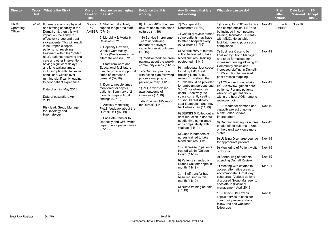| Nov-19 $3 \times 3 = 9$<br>AMBER |                                                                            |                                          |                                                                                                                                                                                                                                                                                                                                                                                                                                                                                                                                                                                                                                                                                                                                                                                                                                                                                                                                                                                                                                                                                                                                                                                                                                                                                            |                                                                                                                                                                                                                                                                                                                                                                                                                                                                                                                                                                                                                                                                                                                                                                                                                                                                                                                                                                                                                                                                       |                                                                                                                                                                                                                                                                                                                                                                                                                                                                                                              |                                                                                                                                                                                                                                                                                                                                                                                                                                                                                                                                                                                                                                                                                              | Level of the risk?<br><b>Risk</b> |                                                                                                                                                                                                                                                                                                                                                                                                                                                                                                                                                                                                                                                                                 | <b>Ref</b> |                               |
|----------------------------------|----------------------------------------------------------------------------|------------------------------------------|--------------------------------------------------------------------------------------------------------------------------------------------------------------------------------------------------------------------------------------------------------------------------------------------------------------------------------------------------------------------------------------------------------------------------------------------------------------------------------------------------------------------------------------------------------------------------------------------------------------------------------------------------------------------------------------------------------------------------------------------------------------------------------------------------------------------------------------------------------------------------------------------------------------------------------------------------------------------------------------------------------------------------------------------------------------------------------------------------------------------------------------------------------------------------------------------------------------------------------------------------------------------------------------------|-----------------------------------------------------------------------------------------------------------------------------------------------------------------------------------------------------------------------------------------------------------------------------------------------------------------------------------------------------------------------------------------------------------------------------------------------------------------------------------------------------------------------------------------------------------------------------------------------------------------------------------------------------------------------------------------------------------------------------------------------------------------------------------------------------------------------------------------------------------------------------------------------------------------------------------------------------------------------------------------------------------------------------------------------------------------------|--------------------------------------------------------------------------------------------------------------------------------------------------------------------------------------------------------------------------------------------------------------------------------------------------------------------------------------------------------------------------------------------------------------------------------------------------------------------------------------------------------------|----------------------------------------------------------------------------------------------------------------------------------------------------------------------------------------------------------------------------------------------------------------------------------------------------------------------------------------------------------------------------------------------------------------------------------------------------------------------------------------------------------------------------------------------------------------------------------------------------------------------------------------------------------------------------------------------|-----------------------------------|---------------------------------------------------------------------------------------------------------------------------------------------------------------------------------------------------------------------------------------------------------------------------------------------------------------------------------------------------------------------------------------------------------------------------------------------------------------------------------------------------------------------------------------------------------------------------------------------------------------------------------------------------------------------------------|------------|-------------------------------|
|                                  | <b>Nov-19</b><br><b>Nov-19</b><br><b>Nov-19</b><br>Mar-21<br><b>Nov-19</b> | <b>Nov-19</b><br><b>Nov-19</b><br>Nov-19 | 1) Training for PGD antibiotics<br>and competencies, PEF's to<br>be included in competency<br>training, facilitator. Currently<br>with MMC. No suitable<br>facilitator due to poor sepsis<br>compliance<br>7) Business Case to be<br>finalised by Group Manager<br>and to be formalised for<br>increased nursing allowing for<br>Community clinics and<br>increased staffing in Durnell-<br>13.05.2019 to be finalised<br>post process mapping<br>1) AOS nurse to undertake<br>RCA to review 'golden hour'<br>patients. For any patients<br>who do not get antibiotis<br>within the hour AOS nurse to<br>review-ongoing<br>1-9) Update for demand and<br>capacity project ongoing. -<br><b>Manx Baker Servive</b><br>Improvement<br>6) Ongoing training for nurses Nov-19<br>to take blood cultures- 13/06<br>on hold until workforce more<br>stable<br>9) Utilising Discharge Lounge<br>for appropriate patients<br>9) Monitoring of Patient waits<br>on Durnall<br>9) Scheduling of patients<br>attending Durnall Review<br>1) Meeting with estates to<br>access alternative areas to<br>accommodate Durnall day<br>case area. Various options<br>discussed Group Manager to<br>escalate to divisional<br>management April 2019<br>1-8) Trust AOS Low risk<br>sepsis service to consider | 7) Overspend for<br>Directorate (11/19)<br>7) Capacity review means<br>some patients may have<br>to attend hospital every<br>other week (11/19)<br>6) Approx 60% of nurses<br>still to be trained to take<br>blood cultures. Training<br>postponed (11/19)<br>9) Inadequate floor space<br>found by H&S Health<br>Building Note 00-03<br>review. This stated that<br>1.5m2 should be provided<br>for ambulant persons and<br>3.0m2 for wheelchair<br>users. Effectively the<br>space currently seating<br>15 should realistically<br>seat 6 ambulant and may<br>be 1 wheelchair (11/19)<br>8) SEPSIS 6 Rolled out in<br>dept reduction in door to<br>needle time compliance<br>and compatability with<br>vitalpac $(11/19)$<br>6) Gaps in numbers of<br>nurses trained to take<br>blood cultures (11/19)<br>10) Decrease in patients<br>treated within "Golden<br>Hour" (11/19)<br>9) Patients stranded on<br>Durnall Unit after 7pm in<br>month (11/19)<br>3,4) Staff transfer has<br>been required in this<br>month (11/19)<br>6) Nurse training on hold<br>(11/19) | 6) Approx 40% of nurses<br>now trained to take blood<br>cultures (11/19)<br>1-9) Service Improvement<br>Team undertaking<br>demand v activity v<br>capacity - await outcome<br>(11/19)<br>7) Positive feedback from<br>patients about the weekly<br>community clinics (11/19)<br>1-7) Ongoing progress<br>with action plan following<br>process mapping of<br>patient journey (11/19)<br>1) PEF advert closed -<br>await outcome of<br>interviews (11/19)<br>1-9) Positive QRV report<br>for Durnall (11/19) | $3 \times 4 = 4$ . Staff in unit actively<br>support triage area staff<br>AMBER (07/19)<br>5. Morbidity & Mortality<br>Reviews (07/19)<br>7. Capacity Reviews,<br><b>Weekly Community</b><br>clinics (Weds weekly, Fri<br>alternate weeks) (07/19)<br>3. Staff from ward and<br><b>Educational facilitators</b><br>used to provide support at<br>times of increased<br>demand (07/19)<br>1. Door to needle times<br>monitored for sepsis<br>patients. Summary of 2<br>monthly Sepsis Audit<br>findings $(07/19)$<br>2. Actively monitoring<br>PALS feedback about the<br>Durnall Unit (07/19)<br>9. Facilitate transfer to<br>Deanesly and CHU within<br>department opening times<br>(07/19) | 12                                | 4170 If there is a lack of physical<br>and staffing capacity in the<br>Durnall unit, then this will<br>impact on the ability to<br>effectively triage and treat<br>sick patients. This will result<br>in neutropenic sepsis<br>patients not receiving<br>treatment within the 'golden<br>hour', patients receiving line<br>care and other interventions<br>having significant delays<br>and long waiting times,<br>including pts with life limiting<br>conditions. Clinics over<br>running significantly leading<br>to poor patient experience.<br>Date of origin: May 2015<br>Date of escalation: April<br>2019<br>Risk lead: Group Manager<br>for Oncology and<br>Haematology |            | Chief<br>Operating<br>Officer |
|                                  |                                                                            |                                          | community reviews, daily<br>follow ups and weekend<br>follow ups                                                                                                                                                                                                                                                                                                                                                                                                                                                                                                                                                                                                                                                                                                                                                                                                                                                                                                                                                                                                                                                                                                                                                                                                                           |                                                                                                                                                                                                                                                                                                                                                                                                                                                                                                                                                                                                                                                                                                                                                                                                                                                                                                                                                                                                                                                                       |                                                                                                                                                                                                                                                                                                                                                                                                                                                                                                              |                                                                                                                                                                                                                                                                                                                                                                                                                                                                                                                                                                                                                                                                                              |                                   |                                                                                                                                                                                                                                                                                                                                                                                                                                                                                                                                                                                                                                                                                 |            |                               |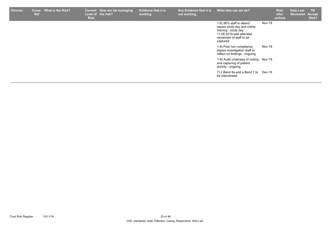| <b>Director</b> | <b>Cross</b><br><b>Ref</b> | What is the Risk? | <b>Risk</b> | <b>Current</b> How are we managing<br>Level of the risk? | <b>Evidence that it is</b><br>working. | Any Evidence that it is<br>not working. | What else can we do?                                                                                                                                |               | <b>Risk</b><br>after<br>actions | <b>Date Last</b><br>Reviewed | <b>TB</b><br>Accept<br>Risk? |
|-----------------|----------------------------|-------------------|-------------|----------------------------------------------------------|----------------------------------------|-----------------------------------------|-----------------------------------------------------------------------------------------------------------------------------------------------------|---------------|---------------------------------|------------------------------|------------------------------|
|                 |                            |                   |             |                                                          |                                        |                                         | 1-8) 95% staff to attend<br>sepsis study day and online<br>training - study day<br>11.06.2019 well attended<br>remainder of staff to be<br>captured | <b>Nov-19</b> |                                 |                              |                              |
|                 |                            |                   |             |                                                          |                                        |                                         | 1-8) Post non compliance<br>sepsis investigation staff to<br>reflect on findings - ongoing                                                          | <b>Nov-19</b> |                                 |                              |                              |
|                 |                            |                   |             |                                                          |                                        |                                         | 1-9) Audit underway of coding Nov-19<br>and capturing of patient<br>activity - ongoing                                                              |               |                                 |                              |                              |
|                 |                            |                   |             |                                                          |                                        |                                         | 7) 2 Band 8a and a Band 7 to Dec-19<br>be interviewed                                                                                               |               |                                 |                              |                              |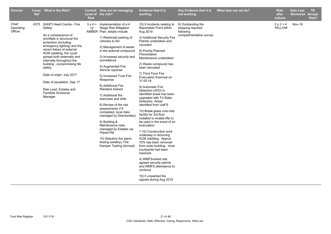| <b>Director</b>               | <b>Cross</b><br><b>Ref</b> | <b>What is the Risk?</b>                                                                                                                                                                                                                                                                                                                                                                                                                             | <b>Risk</b>          | Current How are we managing<br>Level of the risk?                                                                                                                                                                                                                                                                                                                                                                                                                                                                                                                                                                                                                            | <b>Evidence that it is</b><br>working.                                                                                                                                                                                                                                                                                                                                                                                                                                                                                                                                                                                                                                                                                                                                                                                                                                                                               | Any Evidence that it is<br>not working.                                          | What else can we do? | <b>Risk</b><br>after<br>actions   | <b>Date Last</b><br><b>Reviewed</b> | TB.<br><b>Accept</b><br>Risk? |
|-------------------------------|----------------------------|------------------------------------------------------------------------------------------------------------------------------------------------------------------------------------------------------------------------------------------------------------------------------------------------------------------------------------------------------------------------------------------------------------------------------------------------------|----------------------|------------------------------------------------------------------------------------------------------------------------------------------------------------------------------------------------------------------------------------------------------------------------------------------------------------------------------------------------------------------------------------------------------------------------------------------------------------------------------------------------------------------------------------------------------------------------------------------------------------------------------------------------------------------------------|----------------------------------------------------------------------------------------------------------------------------------------------------------------------------------------------------------------------------------------------------------------------------------------------------------------------------------------------------------------------------------------------------------------------------------------------------------------------------------------------------------------------------------------------------------------------------------------------------------------------------------------------------------------------------------------------------------------------------------------------------------------------------------------------------------------------------------------------------------------------------------------------------------------------|----------------------------------------------------------------------------------|----------------------|-----------------------------------|-------------------------------------|-------------------------------|
| Chief<br>Operating<br>Officer | 4375                       | (NX87) Heart Centre - Fire<br>Safety:<br>As a consequence of<br>shortfalls in structural fire<br>protection (including<br>emergency lighting) and the<br>recent failure of external<br>ACM cladding, fire could<br>spread both externally and<br>internally throughout the<br>building, compromising life<br>safety.<br>Date of origin: July 2017<br>Date of escalation: Sep 17<br>Risk Lead: Estates and<br><b>Facilities Divisional</b><br>Manager | $3 \times 4 =$<br>12 | Implementation of a 4<br><b>Stage Risk Mitigation</b><br>AMBER Plan; details include<br>1) Restricted parking of<br>vehicles to 6m<br>2) Management of waste<br>in the external compound<br>3) Increased security and<br>surveillance<br>4) Augmented Fire<br>Service reponse<br>5) Increased Trust Fire<br>Response<br>6) Additional Fire<br>Wardens trained<br>7) Additional fire<br>exercises and drills<br>8) Review of fire risk<br>assessments (15<br>completed, local risks<br>managed by Directorates)<br>9) Building &<br>Maintenance risks<br>managed by Estates via<br>Planet FM<br>10) Statutory fire alarm<br>testing (weekly), Fire<br>Damper Testing (Annual) | 10) 0 incidents relating to<br>Reportable Fire's within<br>Aug 2019<br>3) Additional Security Fire<br>Patrols undertaken and<br>recorded<br>9) Priority Planned<br>Preventative<br>Maintenance undertaken<br>2) Waste compound has<br>been relocated<br>7) Third Floor Fire<br>Evacuation Exercise on<br>31.05.18<br>9) Automatic Fire<br>Detection (AFD) in<br>identified areas has been<br>upgraded with Tri-State<br>Detectors, Areas<br>identified from UwFS<br>10) Break-glass over-ride<br>facility for 3rd floor<br>installed to enable lifts to<br>be used in the event of an<br>evacuation.<br>1-10) Construction work<br>underway in removing<br>ACM cladding. Approx<br>70% has been removed<br>from outer building. Inner<br>courtyards had been<br>resolved.<br>4) WMFSvisited site,<br>agreed security patrols<br>and WMFS attendance to<br>continue<br>10) 0 unwanted fire<br>signals during Aug 2019 | 9) Outstanding fire<br>stopping required<br>following<br>compartmentation survey |                      | $2 \times 2 = 4$<br><b>YELLOW</b> | <b>Nov-19</b>                       |                               |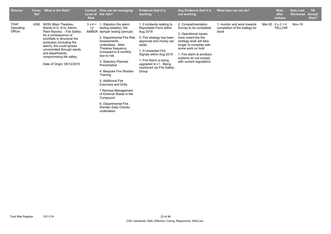| <b>Director</b>               | <b>Cross</b><br><b>Ref</b> | What is the Risk?                                                                                                                                                                                                                                                                                             | <b>Current</b><br>Level of<br><b>Risk</b> | How are we managing<br>the risk?                                                                                                                                                                                                                                                                                                                                                                                                                                                  | <b>Evidence that it is</b><br>working.                                                                                                                                                                                                                                       | Any Evidence that it is<br>not working.                                                                                                                                                                                                                     | What else can we do?                                                   | <b>Risk</b><br>after<br>actions          | <b>Date Last</b><br><b>Reviewed</b> | <b>TB</b><br><b>Accept</b><br>Risk? |
|-------------------------------|----------------------------|---------------------------------------------------------------------------------------------------------------------------------------------------------------------------------------------------------------------------------------------------------------------------------------------------------------|-------------------------------------------|-----------------------------------------------------------------------------------------------------------------------------------------------------------------------------------------------------------------------------------------------------------------------------------------------------------------------------------------------------------------------------------------------------------------------------------------------------------------------------------|------------------------------------------------------------------------------------------------------------------------------------------------------------------------------------------------------------------------------------------------------------------------------|-------------------------------------------------------------------------------------------------------------------------------------------------------------------------------------------------------------------------------------------------------------|------------------------------------------------------------------------|------------------------------------------|-------------------------------------|-------------------------------------|
| Chief<br>Operating<br>Officer | 4382                       | NX55 (Main Theatres,<br>Wards A12, A14, Admin,<br>Plant Rooms) - Fire Safety:<br>As a consequence of<br>shortfalls in structural fire<br>protection (including fire<br>alarm), fire could spread<br>uncontrolled through wards<br>and departments,<br>compromising life safety.<br>Date of Origin: 09/12/2015 | $3 \times 4 =$<br>12                      | . Statutory fire alarm<br>testing (weekly), fire<br>AMBER damper testing (annual)<br>2. Departmental Fire Risk<br>Assessments<br>undertaken. Main<br>Theatres frequency<br>increased to 6 monthly<br>due to risk<br>3. Statutory Planned<br>Preventative<br>4. Bespoke Fire Warden<br>Training<br>5. Additional Fire<br><b>Exercises and Drills</b><br>7. Revised Management<br>of External Waste in the<br>Compound<br>6. Departmental Fire<br>Warden Daily Checks<br>undertaken | 1. 0 incidents relating to<br>Reportable Fire's within<br>Aug 2019<br>3. Fire strategy has been<br>approved and money set<br>aside.<br>1.0 Unwanted Fire<br>Signals within Aug 2019<br>1. Fire Alarm is being<br>upgraded to L1. Being<br>montiored via Fire Safety<br>Group | 2. Compartmentation<br>Survey to be completed<br>3. Operational issues<br>have meant the fire<br>strategy work will take<br>longer to complete with<br>some work on hold<br>1. Fire alarm & ancilliary<br>systems do not comply<br>with current regulations | 1. monitor and work towards<br>completion of fire stategy for<br>block | Mar-20 $2 \times 2 = 4$<br><b>YELLOW</b> | <b>Nov-19</b>                       |                                     |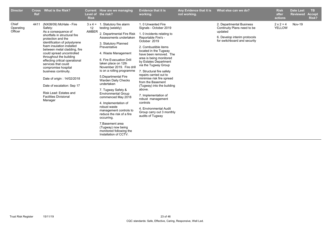| <b>Director</b>               | <b>Cross</b><br><b>Ref</b> | What is the Risk?                                                                                                                                                                                                                                                                                                                                                                                                                                                                                               | Current<br>Level of<br><b>Risk</b>   | How are we managing<br>the risk?                                                                                                                                                                                                                                                                                                                                                                                                                                                                                                                                                                                                        | <b>Evidence that it is</b><br>working.                                                                                                                                                                                                                                                                                                                                                                                                                                                                                                                       | Any Evidence that it is<br>not working. | What else can we do?                                                                                                               | <b>Risk</b><br>after<br>actions   | <b>Date Last</b><br><b>Reviewed</b> | <b>TB</b><br><b>Accept</b><br>Risk? |
|-------------------------------|----------------------------|-----------------------------------------------------------------------------------------------------------------------------------------------------------------------------------------------------------------------------------------------------------------------------------------------------------------------------------------------------------------------------------------------------------------------------------------------------------------------------------------------------------------|--------------------------------------|-----------------------------------------------------------------------------------------------------------------------------------------------------------------------------------------------------------------------------------------------------------------------------------------------------------------------------------------------------------------------------------------------------------------------------------------------------------------------------------------------------------------------------------------------------------------------------------------------------------------------------------------|--------------------------------------------------------------------------------------------------------------------------------------------------------------------------------------------------------------------------------------------------------------------------------------------------------------------------------------------------------------------------------------------------------------------------------------------------------------------------------------------------------------------------------------------------------------|-----------------------------------------|------------------------------------------------------------------------------------------------------------------------------------|-----------------------------------|-------------------------------------|-------------------------------------|
| Chief<br>Operating<br>Officer | 4411                       | (NX08/09) McHale - Fire<br>Safety:<br>As a consequence of<br>shortfalls in structural fire<br>protection and the<br>identification of polystyrene<br>foam insulation installed<br>between metal cladding, fire<br>could spread uncontrolled<br>throughout the building<br>effecting critical operational<br>services that could<br>compromise hospital<br>business continuity.<br>Date of origin: 14/02/2018<br>Date of escalation: Sep 17<br>Risk Lead: Estates and<br><b>Facilities Divisional</b><br>Manager | $3 \times 4 =$<br>12<br><b>AMBER</b> | 1. Statutory fire alarm<br>testing (weekly)<br>2. Departmental Fire Risk<br>Assessments undertaken<br>3. Statutory Planned<br>Preventative<br>4. Waste Management<br>6. Fire Evacuation Drill<br>taken place on 12th<br>November 2019. Fire drill<br>is on a rolling programme<br>5. Departmental Fire<br><b>Warden Daily Checks</b><br>undertaken<br>7. Tugway Safety &<br><b>Environmental Group</b><br>commenced May 2018<br>4. Implementation of<br>robust waste<br>management controls to<br>reduce the risk of a fire<br>occurring.<br>7. Basement area<br>(Tugway) now being<br>monitored following the<br>Installation of CCTV. | 1.0 Unwanted Fire<br>Signals - October 2019<br>1. 0 incidents relating to<br>Reportable Fire's -<br>October 2019<br>2. Combustible items<br>located in the Tugway<br>have been removed. The<br>area is being monitored<br>by Estates Department<br>via the Tugway Group<br>7. Structural fire safety<br>repairs carried out to<br>minimise risk fire spread<br>from the Basement<br>(Tugway) into the building<br>above.<br>7. Implementation of<br>robust management<br>controls<br>4. Environmental Audit<br>Group carry out 3 monthly<br>audits of Tugway |                                         | 2. Departmental Business<br>Continuity Plans need to be<br>updated<br>6. Develop interim protocols<br>for switchboard and security | $2 \times 2 = 4$<br><b>YELLOW</b> | <b>Nov-19</b>                       |                                     |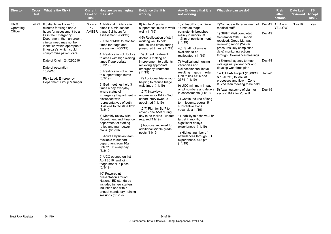| <b>Director</b>               | <b>Ref</b> | Cross What is the Risk?                                                                                                                                                                                                                                                                                                                                                                | <b>Risk</b> | Current How are we managing<br>Level of the risk?                                                                                                                                                                                                                                                                                                                                                                                                                                                                                                                                                                                                                                                                                                                                                                                                                                                                                                                                                                                                                                            | <b>Evidence that it is</b><br>working.                                                                                                                                                                                                                                                                                                                                                                                                                                                                                                                                                                                                            | Any Evidence that it is<br>not working.                                                                                                                                                                                                                                                                                                                                                                                                                                                                                                                                                                                                                                                                                  | What else can we do?                                                                                                                                                                                                                                                                                                                                                                                                                                                                                                                                      |                                        | <b>Risk</b><br>after<br>actions | <b>Date Last</b><br><b>Reviewed</b> | TB.<br><b>Accept</b><br><b>Risk?</b> |
|-------------------------------|------------|----------------------------------------------------------------------------------------------------------------------------------------------------------------------------------------------------------------------------------------------------------------------------------------------------------------------------------------------------------------------------------------|-------------|----------------------------------------------------------------------------------------------------------------------------------------------------------------------------------------------------------------------------------------------------------------------------------------------------------------------------------------------------------------------------------------------------------------------------------------------------------------------------------------------------------------------------------------------------------------------------------------------------------------------------------------------------------------------------------------------------------------------------------------------------------------------------------------------------------------------------------------------------------------------------------------------------------------------------------------------------------------------------------------------------------------------------------------------------------------------------------------------|---------------------------------------------------------------------------------------------------------------------------------------------------------------------------------------------------------------------------------------------------------------------------------------------------------------------------------------------------------------------------------------------------------------------------------------------------------------------------------------------------------------------------------------------------------------------------------------------------------------------------------------------------|--------------------------------------------------------------------------------------------------------------------------------------------------------------------------------------------------------------------------------------------------------------------------------------------------------------------------------------------------------------------------------------------------------------------------------------------------------------------------------------------------------------------------------------------------------------------------------------------------------------------------------------------------------------------------------------------------------------------------|-----------------------------------------------------------------------------------------------------------------------------------------------------------------------------------------------------------------------------------------------------------------------------------------------------------------------------------------------------------------------------------------------------------------------------------------------------------------------------------------------------------------------------------------------------------|----------------------------------------|---------------------------------|-------------------------------------|--------------------------------------|
| Chief<br>Operating<br>Officer |            | 4472 If patients wait over 15<br>minutes for triage and 2<br>hours for assessment by a<br>Dr in the Emergency<br>Department, then an urgent<br>clinical need may not be<br>identified within appropriate<br>timescale's, which could<br>compromise patient care.<br>Date of Origin: 24/02/2016<br>Date of escalation =<br>15/04/16<br>Risk Lead: Emergency<br>Department Group Manager | 12          | $3 \times 4 = 1$ ) National quidance in<br>place (15 minutes for<br>AMBER triage & 2 hours for<br>assessment) (6/3/19)<br>2) Use of MSS to monitor<br>times for triage and<br>assessment (6/3/19)<br>4) Reallocation of doctors<br>to areas with high waiting<br>times if appropriate<br>(6/3/19)<br>5) Reallocation of nurse<br>to support triage nurse<br>(6/3/19)<br>6) Bed meetings held 3<br>times a day everyday<br>where status of<br>Emergency Department is underway for Bd 7 - 2nd<br>discussed with<br>representatives of both<br>Divisions to facilitate flow<br>(6/3/19)<br>7) Monthly review with<br>Recruitment and Finance<br>department of staffing<br>ratios and man-power<br>plans (6/3/19)<br>8) Acute Physician team<br>available to support<br>department from 10am<br>until 21.30 every day<br>(6/3/19)<br>9) UCC opened on 1st<br>April 2016 and joint<br>triage model in place.<br>(6/3/19)<br>10) Powerpoint<br>presentation around<br>National ED standards<br>included in new starters<br>induction and within<br>annual mandatory training<br>sessions (6/3/19) | 8) Acute Physician<br>support continues to work<br>well (11/19)<br>4-5) Reallocation of staff<br>working well to help<br>reduce wait times during<br>pressured times (11/19)<br>15) Urgent treatment<br>doctor is making an<br>improvement to patients<br>recieving appropiate<br>emergency treatment<br>(11/19)<br>17) Additional triage room<br>helping to reduce triage<br>wait times (11/19)<br>1,2,7) Interviews<br>cohort interviewed, 3<br>appointed (11/19)<br>1,2,7) Plan for Bd 7 to<br>cover Zone A&B during<br>day to be trialled - update<br>required(11/19)<br>1) Approval recieved for<br>additional Middle grade<br>posts (11/19) | 1, 2) Inability to achieve<br>15 minute triage<br>consistently breaches<br>mainly in minors, at<br>1.5hrs at points in month<br>(11/19)<br>4,5) Staff not always<br>available to be<br>reallocated (11/19)<br>7) Medical and nursing<br>vacancies and<br>sickness/annual leave<br>resulting in gaps in rota.<br>Link to risk 4496 and<br>2374 (11/19)<br>9) UCC minimum impact<br>on pt numbers and delays<br>in assessments (11/19)<br>7) Continued use of long<br>term locums, overall 5<br>substantive Cons<br>vacancies(11/19)<br>1) Inability to acheive 2 hr<br>target in month,<br>significant delays<br>experienced (11/19)<br>1) Highest number of<br>attendences through ED<br>experienced, 512 pts<br>(11/19) | 7) Continue with recruitment of Dec-19 $1 \times 4 = 4$<br>medical staff<br>1) GIRFT Visit completed<br>September 2018. Report<br>received, Group Manager<br>reviewing report (Winter<br>pressures July completion<br>date) monitoring actions<br>through Governance meetings<br>1) External agency to map<br>rota against patient no's and<br>develop workforce plan<br>1-21) LEAN Project (28/06/19<br>& 19/07/19) to look at<br>processes and flow in Zone<br>B. 2nd lean meeting to be held<br>5) Await outcome of plan for<br>second Bd 7 for Zone B | $Dec-19$<br>Dec-19<br>Jan-20<br>Dec-19 | <b>YELLOW</b>                   | <b>Nov-19</b>                       | Yes                                  |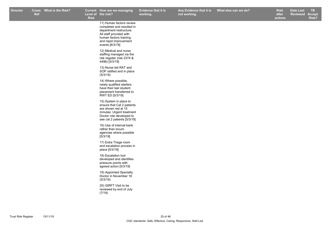**Evidence that it is working.**

**How are we managing TB Any Evidence that it is not working.**

**Risk** 11) Human factors review completed and resulted in department restructure. All staff provided with human factors training and rapid improvement events [6/3/19] 12) Medical and nurse staffing managed via the risk regsiter (risk 2374 & 4496) [5/3/19] 13) Nurse led RAT and SOP ratified and in place (5/3/19) 14) Where possible, newly qualified starters have their last student placement transferred to RWT ED [5/3/19] 15) System in place to ensure that Cat 2 patients are shown red at 15 minutes. Urgent treatment Doctor role developed to see cat 2 patients [5/3/19] 16) Use of internal bank rather than locum agencies where possible [5/3/19] 17) Extra Triage room and escalation process in place [5/3/19] 18) Escalation tool developed and identifies pressure points with agreed action [5/3/19] 19) Appointed Specialty Doctor in November 18 (5/3/19) 20) GIRFT Visit to be reviewed by end of July (7/19)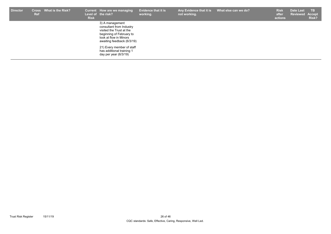| <b>Director</b> | <b>Cross</b><br><b>Ref</b> | What is the Risk? | <b>Risk</b> | Current How are we managing<br>Level of the risk?                                                                                                           | <b>Evidence that it is</b><br>working. | Any Evidence that it is<br>not working. | What else can we do? | <b>Risk</b><br>after<br>actions | <b>Date Last</b><br>Reviewed Accept | <b>TB</b><br>Risk? |
|-----------------|----------------------------|-------------------|-------------|-------------------------------------------------------------------------------------------------------------------------------------------------------------|----------------------------------------|-----------------------------------------|----------------------|---------------------------------|-------------------------------------|--------------------|
|                 |                            |                   |             | 3) A management<br>consultant from Industry<br>visited the Trust at the<br>beginning of February to<br>look at flow in Minors<br>awaiting feedback (6/3/19) |                                        |                                         |                      |                                 |                                     |                    |
|                 |                            |                   |             | 21) Every member of staff<br>has additional training 1<br>day per year $(6/3/19)$                                                                           |                                        |                                         |                      |                                 |                                     |                    |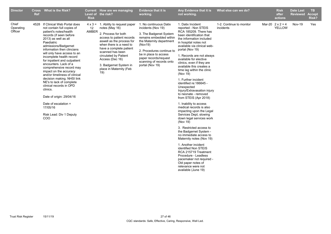| <b>Director</b>               | <b>Ref</b> | Cross What is the Risk?                                                                                                                                                                                                                                                                                                                                                                                                                                                                                                                                                                                                  | <b>Risk</b>        | Current How are we managing<br>Level of the risk?                                                                                                                                                                                                                                                                                | <b>Evidence that it is</b><br>working.                                                                                                                                                                                                                                 | Any Evidence that it is<br>not working.                                                                                                                                                                                                                                                                                                                                                                                                                                                                                                                                                                                                                                                                                                                                                                                                                                                                                                                                    | What else can we do?                  | <b>Risk</b><br>after<br>actions          | <b>Date Last</b><br>Reviewed | TB.<br><b>Accept</b><br>Risk? |
|-------------------------------|------------|--------------------------------------------------------------------------------------------------------------------------------------------------------------------------------------------------------------------------------------------------------------------------------------------------------------------------------------------------------------------------------------------------------------------------------------------------------------------------------------------------------------------------------------------------------------------------------------------------------------------------|--------------------|----------------------------------------------------------------------------------------------------------------------------------------------------------------------------------------------------------------------------------------------------------------------------------------------------------------------------------|------------------------------------------------------------------------------------------------------------------------------------------------------------------------------------------------------------------------------------------------------------------------|----------------------------------------------------------------------------------------------------------------------------------------------------------------------------------------------------------------------------------------------------------------------------------------------------------------------------------------------------------------------------------------------------------------------------------------------------------------------------------------------------------------------------------------------------------------------------------------------------------------------------------------------------------------------------------------------------------------------------------------------------------------------------------------------------------------------------------------------------------------------------------------------------------------------------------------------------------------------------|---------------------------------------|------------------------------------------|------------------------------|-------------------------------|
| Chief<br>Operating<br>Officer | 4528       | If Clinical Web Portal does<br>not contain full copies of<br>patient's notes/health<br>records (if seen before<br>2013) as well as all<br>Paediatric<br>admissions/Badgernet<br>information then clincians<br>will only have access to an<br>incomplete health record<br>for inpatient and outpatient<br>encounters. Lack of a<br>comprehensive record may<br>impact on the accuracy<br>and/or timeliness of clinical<br>decision making. NHSI link<br>NE's to lack of complete<br>clinical records in OPD<br>clinics.<br>Date of origin: 29/04/16<br>Date of escalation =<br>17/05/16<br>Risk Lead: Div 1 Deputy<br>COO | 12<br><b>AMBER</b> | $4 \times 3 = 1$ . Ability to request paper<br>notes (May 16)<br>2. Process for both<br>access to patient records<br>aswell as the process for<br>when there is a need to<br>have a complete patient<br>scanned has been<br>circulated by Patient<br>Access (Dec 16)<br>3. Badgernet System in<br>place in Maternity (Feb<br>19) | 1. No continuous Datix<br>incidents (Nov 19)<br>3. The Badgenet System<br>remains embedded within<br>the Maternity department<br>(Nov19)<br>2. Procedures continue to<br>be in place to access<br>paper records/request<br>scanning of records onto<br>portal (Nov 19) | 1. Datix Incident<br>reported - Non STEIS<br>RCA 185209. There has<br>been identification that<br>the information included<br>in hospital notes not<br>available via clinical web-<br>portal (Nov 19)<br>1. Records are not always<br>available for elective<br>clinics, even if they are<br>available this creates a<br>time lag within the clinic<br>(Nov 19)<br>1. Further incident<br>identified re:186645 -<br>Unexpected<br>Injury/Extravasation injury<br>to neonate - removed<br>from STEIS (Apr 2018)<br>1. Inability to access<br>medical records is also<br>impacting upon the Legal<br>Services Dept, slowing<br>down legal services work<br>(Nov 19)<br>3. Restricted access to<br>the Badgernet System -<br>no immediate access to<br>Maternity notes (Nov 19)<br>1. Another incident<br>identified Non STEIS<br>RCA 215719 Treatment<br>Procedure - Leadless<br>pacemaker not required -<br>Old paper notes of<br>relevance were not<br>available (June 19) | 1-2. Continue to monitor<br>incidents | Mar-20 $2 \times 2 = 4$<br><b>YELLOW</b> | <b>Nov-19</b>                | Yes                           |
|                               |            |                                                                                                                                                                                                                                                                                                                                                                                                                                                                                                                                                                                                                          |                    |                                                                                                                                                                                                                                                                                                                                  |                                                                                                                                                                                                                                                                        |                                                                                                                                                                                                                                                                                                                                                                                                                                                                                                                                                                                                                                                                                                                                                                                                                                                                                                                                                                            |                                       |                                          |                              |                               |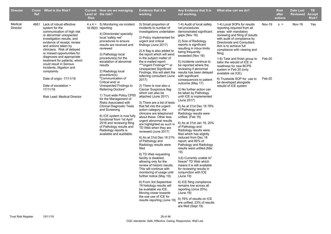| <b>Director</b>     | <b>Ref</b> | Cross What is the Risk?                                                                                                                                                                                                                                                                                                                                                                                                                                                                    | <b>Risk</b> | Current How are we managing<br>Level of the risk?                                                                                                                                                                                                                                                                                                                                                                                                                                                                                                                                                                                                                                                                      | <b>Evidence that it is</b><br>working.                                                                                                                                                                                                                                                                                                                                                                                                                                                                                                                                                                                                                                                                                                                                                                                                                                                                                                                                                                                                                                                                                                                                                                        | Any Evidence that it is<br>not working.                                                                                                                                                                                                                                                                                                                                                                                                                                                                                                                                                                                                                                                                                                                                                                                                                                                                                                                                                                                                                                                                                                             | What else can we do?                                                                                                                                                                                                                                                                                                                                                                                                                                                                  |                                   | <b>Risk</b><br>after<br>actions | Date Last<br><b>Reviewed</b> | TB.<br><b>Accept</b><br>Risk? |
|---------------------|------------|--------------------------------------------------------------------------------------------------------------------------------------------------------------------------------------------------------------------------------------------------------------------------------------------------------------------------------------------------------------------------------------------------------------------------------------------------------------------------------------------|-------------|------------------------------------------------------------------------------------------------------------------------------------------------------------------------------------------------------------------------------------------------------------------------------------------------------------------------------------------------------------------------------------------------------------------------------------------------------------------------------------------------------------------------------------------------------------------------------------------------------------------------------------------------------------------------------------------------------------------------|---------------------------------------------------------------------------------------------------------------------------------------------------------------------------------------------------------------------------------------------------------------------------------------------------------------------------------------------------------------------------------------------------------------------------------------------------------------------------------------------------------------------------------------------------------------------------------------------------------------------------------------------------------------------------------------------------------------------------------------------------------------------------------------------------------------------------------------------------------------------------------------------------------------------------------------------------------------------------------------------------------------------------------------------------------------------------------------------------------------------------------------------------------------------------------------------------------------|-----------------------------------------------------------------------------------------------------------------------------------------------------------------------------------------------------------------------------------------------------------------------------------------------------------------------------------------------------------------------------------------------------------------------------------------------------------------------------------------------------------------------------------------------------------------------------------------------------------------------------------------------------------------------------------------------------------------------------------------------------------------------------------------------------------------------------------------------------------------------------------------------------------------------------------------------------------------------------------------------------------------------------------------------------------------------------------------------------------------------------------------------------|---------------------------------------------------------------------------------------------------------------------------------------------------------------------------------------------------------------------------------------------------------------------------------------------------------------------------------------------------------------------------------------------------------------------------------------------------------------------------------------|-----------------------------------|---------------------------------|------------------------------|-------------------------------|
| Medical<br>Director | 4661       | Lack of robust effective<br>system for the<br>communication of high risk<br>or abnormal/ unexpected<br>investigation results, and<br>evidence of receipt, review<br>and actions taken by<br>clinicians. Risk of delayed<br>or missed opportunities for<br>diagnoses and appropriate<br>treatment for patients, which<br>could result in Serious<br>Incidents, litigation and<br>complaints.<br>Date of origin: 17/11/16<br>Date of escalation =<br>17/11/16<br>Risk Lead: Medical Director |             | $4 \times 4 = 5$ ) Monitoring via incident<br>16 RED reporting<br>4) Directorate/ specialty<br>local 'safety net'<br>procedures to ensure<br>results are received and<br>reviewed<br>3) Pathology local<br>procedure(s) for the<br>escalation of abnormal<br>results<br>2) Radiology local<br>procedure(s)<br>"Communication of<br>Critical and/ or<br>Unexpected Findings to<br><b>Referring Doctors"</b><br>1) Trust wide Policy CP50<br>for the Management of<br>Risks Associated with<br><b>Clinical Diagnostic Tests</b><br>and Screening<br>6) ICE system is now fully<br>functional from 1st April<br>2018 and reviewing filing<br>of Pathology results and<br>Radiology reports is<br>available and auditable. | 5) Small proportion of<br>incidents to number of<br>investigations undertaken<br>2) Policy implemented for<br>urgent and critical<br>findings (June 2017)<br>2) A flag is also added to<br>the report which will send<br>in the subject matter of<br>the e-mailed report<br>***Urgent Findings*** or<br>Unexpected Significant<br>Findings, this will alert the<br>referring consultant (June<br>2017)<br>2) There is now also a<br>Cancer Suspicious flag<br>which can also be<br>attached (June 2017)<br>3) There are a list of tests<br>that fall into the urgent<br>action category, the<br>clinicans are telephoned<br>about these. Other less<br>urgent abnormal results<br>are highlighted as such in<br>TD Web when they are<br>reviewed (June 2017)<br>6) As at 31st Dec 18 21%<br>of Pathology and<br>Radiology results were<br>filed<br>6) TD Web requesting<br>facility is disabled,<br>allowing only for the<br>review of historic results.<br>This will continue with<br>monitoring of usage until<br>further notice (May 19).<br>6) From 3rd September<br>19 histology results will<br>be available via ICE.<br>Moving closer towards<br>the soe use of ICE for<br>results reporting (June 19) | 1-4) Audit of local safety<br>net procedures<br>demonstrated significant<br>gaps (Nov 16)<br>2) Size of Radiology<br>reports is significant<br>resulting in inbox limits<br>being frequently<br>exceeded (Nov 16)<br>5) Incidents continue to<br>be reported where the<br>reviewing if abnormal<br>results has been delayed<br>with significant<br>consequences to patient<br>outcome (May 17)<br>3) No further action can<br>be taken by Pathology<br>until ICE is implemented<br>(June 2017)<br>6) As at 31st Dec 18 79%<br>of Pathology and<br>Radiology results were<br>unfiled. (Feb 19)<br>6) As at 31st Jan 19, 20%<br>of Pathology and<br>Radiology results were<br>filed which has slightly<br>reduced from Dec 18<br>report; and 80% of<br>Pathology and Radiology<br>results were unfiled.(Mar<br>19)<br>3,6) Currently unable to"<br>freeze" TD Web which<br>means it is still available<br>for reviewing results in<br>conjunction with ICE<br>(June 19)<br>6) ICE filing compliance<br>remains low across all<br>reporting (circa 20%)<br>(June 19)<br>6) 76% of results on ICE<br>are unfiled, 23% of results<br>are filed (Sept 19) | 1-4) Local SOPs for results<br>reporting required from all<br>areas with mandatory<br>reviewing and filing of results<br>with audit of compliance by<br>Directorate and Consultant.<br>Aim is to achieve full<br>compliance with viewing and<br>filing.<br>1-6) Task and finish group to<br>tailor the rebuild of ICE in<br>readiness for new BCPS<br>system in Feb 20 (only<br>available via ICE).<br>6) Trustwide SOP for use to<br>be developed alongside<br>rebuild of ICE system | <b>Nov-19</b><br>Feb-20<br>Feb-20 | $x =$                           | <b>Nov-19</b>                | Yes                           |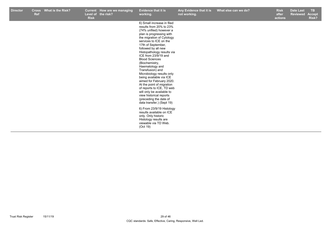| <b>Director</b> | <b>Cross</b><br>Ref | What is the Risk? | <b>Risk</b> | Current How are we managing<br>Level of the risk? | <b>Evidence that it is</b><br>working.                                                                                                                                                                                                                                                                                                                                                                                                                                                                                                                                                                                | Any Evidence that it is<br>not working. | What else can we do? | <b>Risk</b><br>after<br>actions | <b>Date Last</b><br><b>Reviewed</b> | <b>TB</b><br><b>Accept</b><br>Risk? |
|-----------------|---------------------|-------------------|-------------|---------------------------------------------------|-----------------------------------------------------------------------------------------------------------------------------------------------------------------------------------------------------------------------------------------------------------------------------------------------------------------------------------------------------------------------------------------------------------------------------------------------------------------------------------------------------------------------------------------------------------------------------------------------------------------------|-----------------------------------------|----------------------|---------------------------------|-------------------------------------|-------------------------------------|
|                 |                     |                   |             |                                                   | 6) Small increase in filed<br>results from 20% to 23%<br>(74% unfiled) however a<br>plan is progressing with<br>the migration of Cytology<br>services to ICE on the<br>17th of September,<br>followed by all new<br>Histopathology results via<br>ICE from 23/9/19 and<br><b>Blood Sciences</b><br>(Biochemistry,<br>Haematology and<br>Transfusion) and<br>Microbiology results only<br>being available via ICE<br>aimed for February 2020.<br>At the point of migration<br>of reports to ICE, TD web<br>will only be available to<br>view historical reports<br>(preceding the date of<br>data transfer.) (Sept 19) |                                         |                      |                                 |                                     |                                     |
|                 |                     |                   |             |                                                   | 6) From 23/9/19 Histology<br>results available on ICE<br>only. Only historic<br>Histology results are<br>viewable via TD Web.<br>(Oct 19)                                                                                                                                                                                                                                                                                                                                                                                                                                                                             |                                         |                      |                                 |                                     |                                     |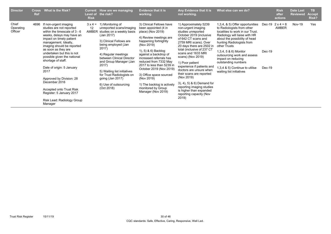| <b>Director</b>               | <b>Cross</b><br>Ref | <b>What is the Risk?</b>                                                                                                                                                                                                                                                                                                                                                                                                                                                                         | <b>Risk</b>                   | Current How are we managing<br>Level of the risk?                                                                                                                                                                                                                                                                                                                      | <b>Evidence that it is</b><br>working.                                                                                                                                                                                                                                                                                                                                                                                | Any Evidence that it is<br>not working.                                                                                                                                                                                                                                                                                                                                                                                                                                                            | What else can we do?                                                                                                                                                                                                                                                                                                                                                                |                    | <b>Risk</b><br>after<br>actions  | <b>Date Last</b><br><b>Reviewed</b> | TB.<br><b>Accept</b><br>Risk? |
|-------------------------------|---------------------|--------------------------------------------------------------------------------------------------------------------------------------------------------------------------------------------------------------------------------------------------------------------------------------------------------------------------------------------------------------------------------------------------------------------------------------------------------------------------------------------------|-------------------------------|------------------------------------------------------------------------------------------------------------------------------------------------------------------------------------------------------------------------------------------------------------------------------------------------------------------------------------------------------------------------|-----------------------------------------------------------------------------------------------------------------------------------------------------------------------------------------------------------------------------------------------------------------------------------------------------------------------------------------------------------------------------------------------------------------------|----------------------------------------------------------------------------------------------------------------------------------------------------------------------------------------------------------------------------------------------------------------------------------------------------------------------------------------------------------------------------------------------------------------------------------------------------------------------------------------------------|-------------------------------------------------------------------------------------------------------------------------------------------------------------------------------------------------------------------------------------------------------------------------------------------------------------------------------------------------------------------------------------|--------------------|----------------------------------|-------------------------------------|-------------------------------|
| Chief<br>Operating<br>Officer | 4696                | If non-urgent imaging<br>studies are not reported<br>within the timescale of $3 - 6$<br>weeks, delays may have an<br>impact on timely patient<br>management. Ideally,<br>imaging should be reported<br>as soon as they are<br>undertaken but this is not<br>possible given the national<br>shortage of staff.<br>Date of origin: 5 January<br>2017<br>Approved by Division: 28<br>December 2016<br>Accepted onto Trust Risk<br>Register: 5 January 2017<br>Risk Lead: Radiology Group<br>Manager | $3 \times 4 =$<br>12<br>AMBER | 1) Monitoring of<br>unreported scans/imaging<br>studies on a weekly basis<br>(Jan 2017)<br>3) Clinical Fellows are<br>being employed (Jan<br>2017)<br>4) Regular meetings<br>between Clinical Director<br>and Group Manager (Jan<br>2017)<br>5) Waiting list initiatives<br>for Trust Radiologists on<br>going $($ Jan 2017 $)$<br>6) Use of outsourcing<br>(Oct 2018) | 3) Clinical Fellows have<br>been appointed (4 in<br>place) (Nov 2019)<br>4) Review meetings are<br>happening fortnightly<br>(Nov 2019)<br>1), 5) & 6) Backlog<br>against a backdrop of<br>increased referrals has<br>reduced from 7332 May<br>2017 to less than 5239 in<br>October 2019 (Nov 2019)<br>3) Office space sourced<br>(Nov 2019)<br>1) The backlog is actively<br>monitored by Group<br>Manager (Nov 2019) | 1) Approximately 5239<br>non-urgent imaging<br>studies unreported<br>October 2019 (inclusive<br>of 642 CT scans and<br>2759 MRI scans). Over<br>20 days there are 2502 in<br>total (inclusive of 237 CT<br>scans and 1633 MRI<br>scans) (Nov 2019)<br>1) Poor patient<br>experience if patients and<br>doctors are unsure when<br>their scans are reported<br>(Nov 2019)<br>3), 4), 5) & 6) Demand for<br>reporting imaging studies<br>is higher than expanded<br>reporting capacity (Nov<br>2019) | 1,3,4, & 5) Offer opportunities<br>to Radiologists from other<br>localities to work in our Trust.<br>Radiology will liaise with HR<br>about the possibility of head<br>hunting Radiologists from<br>other Trusts<br>1,3,4, 5 & 6) Monitor<br>outsourcing work and assess<br>impact on reducing<br>outstanding numbers<br>1,3,4 & 5) Continue to utilise<br>waiting list initiatives | $Dec-19$<br>Dec-19 | Dec-19 $2 \times 4 = 8$<br>AMBER | <b>Nov-19</b>                       | Yes                           |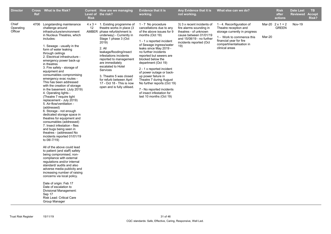| <b>Director</b>               | <b>Ref</b> | Cross What is the Risk?                                                                                                                                                                                                                                                                                                                                                                                                                                                                                                                                                                                                                                                                                                                                                                                                                                                                                                                                                                                                                                                                                                                                                                                                                                                     | <b>Risk</b> | Current How are we managing<br>Level of the risk?                                                                                                                                                                                                                                                                                                                                                                                    | <b>Evidence that it is</b><br>working.                                                                                                                                                                                                                                                                                                                                                                                                                                                                         | Any Evidence that it is<br>not working.                                                                                                                                 | What else can we do?                                                                                                                                                                     |        | <b>Risk</b><br>after<br>actions         | Date Last<br><b>Reviewed</b> | <b>TB</b><br><b>Accept</b><br>Risk? |
|-------------------------------|------------|-----------------------------------------------------------------------------------------------------------------------------------------------------------------------------------------------------------------------------------------------------------------------------------------------------------------------------------------------------------------------------------------------------------------------------------------------------------------------------------------------------------------------------------------------------------------------------------------------------------------------------------------------------------------------------------------------------------------------------------------------------------------------------------------------------------------------------------------------------------------------------------------------------------------------------------------------------------------------------------------------------------------------------------------------------------------------------------------------------------------------------------------------------------------------------------------------------------------------------------------------------------------------------|-------------|--------------------------------------------------------------------------------------------------------------------------------------------------------------------------------------------------------------------------------------------------------------------------------------------------------------------------------------------------------------------------------------------------------------------------------------|----------------------------------------------------------------------------------------------------------------------------------------------------------------------------------------------------------------------------------------------------------------------------------------------------------------------------------------------------------------------------------------------------------------------------------------------------------------------------------------------------------------|-------------------------------------------------------------------------------------------------------------------------------------------------------------------------|------------------------------------------------------------------------------------------------------------------------------------------------------------------------------------------|--------|-----------------------------------------|------------------------------|-------------------------------------|
| Chief<br>Operating<br>Officer |            | 4706 Longstanding maintenance<br>challenge around<br>infrastructure/environment<br>in Nucleus Theatres, which<br>includes:<br>1. Sewage - usually in the<br>form of water leaking<br>through ceilings<br>2. Electrical infrastructure -<br>emergency power back-up<br>in theatres<br>3. Fire safety - storage of<br>equipment and<br>consumables compromising<br>emergency evac routes -<br>This has been addressed<br>with the creation of storage<br>in the basement. (July 2019)<br>4. Operating lights -<br>(Theatre 7 require light<br>replacement - July 2019)<br>5. Air-flow/ventilation -<br>(addressed)<br>6. Storage - not enough<br>dedicated storage space in<br>theatres for equipment and<br>consumables (addressed)<br>7. Insect infestation - flies<br>and bugs being seen in<br>theatres - (addressed No<br>incidents reported 01/01/19<br>to 08/-7/19)<br>All of the above could lead<br>to patient (and staff) safety<br>being compromised, non-<br>compliance with external<br>regulations and/or internal<br>standard/ audits and also<br>adverse media publicity and<br>increasing number of raising<br>concerns via local policy.<br>Date of origin: Feb 17<br>Date of escalation to<br>Divisional Management:<br>Sep 17<br>Risk Lead: Critical Care | 12          | $4 \times 3 = 1$ . Existing programme of<br>theatre works in place (3)<br>AMBER phase refurbishment is<br>underway) - Currently in<br>Stage 1 phase 3 (Oct<br>2019)<br>2. All<br>leakage/flooding/insect<br>infestations incidents<br>reported to management<br>are immediately<br>escalated to Hotel<br>Services<br>3. Theatre 5 was closed<br>for refurb between April<br>17 - Oct 18 - This is now<br>open and is fully utilised. | 1 - 7 No procedure<br>cancellations due to any<br>of the above issues for 9<br>months (Oct 19)<br>1 - 1 x reported incident<br>of Sewage ingress/water<br>leaks since May 2019 -<br>no further incidents<br>reported but sewers are<br>blocked below the<br>department (Oct 19)<br>2 - 1 x reported incident<br>of power outage or back-<br>up power failure in<br>Theatre 7 during August<br>No further reports (Oct 19)<br>7 - No reported incidents<br>of insect infestation for<br>last 10 months (Oct 19) | 3) 3 x recent incidents of<br>fire alarms sounding in<br>theatres - of unknown<br>cause between 01/01/19<br>and 15/08/19 - no further<br>incidents reported (Oct<br>19) | 1 - 4. Reconfiguration of<br>Theatre reception and<br>storage currently in progress<br>1 - Work to commence this<br>financial year for fire<br>compartmentalisation in<br>clinical areas | Mar-20 | Mar-20 $2 \times 1 = 2$<br><b>GREEN</b> | <b>Nov-19</b>                |                                     |
|                               |            | Group Manager                                                                                                                                                                                                                                                                                                                                                                                                                                                                                                                                                                                                                                                                                                                                                                                                                                                                                                                                                                                                                                                                                                                                                                                                                                                               |             |                                                                                                                                                                                                                                                                                                                                                                                                                                      |                                                                                                                                                                                                                                                                                                                                                                                                                                                                                                                |                                                                                                                                                                         |                                                                                                                                                                                          |        |                                         |                              |                                     |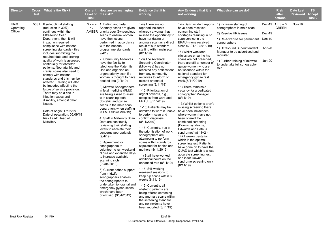| <b>Director</b>               | Cross<br><b>Ref</b> | <b>What is the Risk?</b>                                                                                                                                                                                                                                                                                                                                                                                                                                                                                                                                                                                                                                                                                                              | <b>Risk</b> | Current How are we managing<br>Level of the risk?                                                                                                                                                                                                                                                                                                                                                                                                                                                                                                                                                                                                                                                                                                                                                                                                                                                                                                                                                                                                                                                                                                      | <b>Evidence that it is</b><br>working.                                                                                                                                                                                                                                                                                                                                                                                                                                                                                                                                                                                                                                                                                                                                                                                                                                                                                                                                                                                                                                                                                                                                                            | Any Evidence that it is<br>not working.                                                                                                                                                                                                                                                                                                                                                                                                                                                                                                                                                                                                                                                                                                                                                                                                                                                                                                                               | What else can we do?                                                                                                                                                                                                                                                                  |                                             | <b>Risk</b><br>after<br>actions         | <b>Date Last</b><br><b>Reviewed</b> | TB.<br><b>Accept</b><br><b>Risk?</b> |
|-------------------------------|---------------------|---------------------------------------------------------------------------------------------------------------------------------------------------------------------------------------------------------------------------------------------------------------------------------------------------------------------------------------------------------------------------------------------------------------------------------------------------------------------------------------------------------------------------------------------------------------------------------------------------------------------------------------------------------------------------------------------------------------------------------------|-------------|--------------------------------------------------------------------------------------------------------------------------------------------------------------------------------------------------------------------------------------------------------------------------------------------------------------------------------------------------------------------------------------------------------------------------------------------------------------------------------------------------------------------------------------------------------------------------------------------------------------------------------------------------------------------------------------------------------------------------------------------------------------------------------------------------------------------------------------------------------------------------------------------------------------------------------------------------------------------------------------------------------------------------------------------------------------------------------------------------------------------------------------------------------|---------------------------------------------------------------------------------------------------------------------------------------------------------------------------------------------------------------------------------------------------------------------------------------------------------------------------------------------------------------------------------------------------------------------------------------------------------------------------------------------------------------------------------------------------------------------------------------------------------------------------------------------------------------------------------------------------------------------------------------------------------------------------------------------------------------------------------------------------------------------------------------------------------------------------------------------------------------------------------------------------------------------------------------------------------------------------------------------------------------------------------------------------------------------------------------------------|-----------------------------------------------------------------------------------------------------------------------------------------------------------------------------------------------------------------------------------------------------------------------------------------------------------------------------------------------------------------------------------------------------------------------------------------------------------------------------------------------------------------------------------------------------------------------------------------------------------------------------------------------------------------------------------------------------------------------------------------------------------------------------------------------------------------------------------------------------------------------------------------------------------------------------------------------------------------------|---------------------------------------------------------------------------------------------------------------------------------------------------------------------------------------------------------------------------------------------------------------------------------------|---------------------------------------------|-----------------------------------------|-------------------------------------|--------------------------------------|
| Chief<br>Operating<br>Officer | 5031                | If sub-optimal staffing<br>(reduction in 39%)<br>continues within the<br><b>Ultrasound Scan</b><br>Department, then it will<br>impact on required<br>compliance with national<br>screening standards - this<br>includes submitting the<br>required data and proving<br>quality of work is assessed<br>continually for obstetric<br>patients. Neonatal hip and<br>cranial scans also need to<br>comply with national<br>standards and this may be<br>affected. Training will also<br>be impeded affecting the<br>future of service provision.<br>There may be a rise in<br>litigation cases and<br>disability, amongst other<br>issues.<br>Date of origin: 17/05/18<br>Date of escalation: 05/09/19<br>Risk Lead: Head of<br>Midwifery | 12          | $3 \times 4 = 1$ ) Dating and Fetal<br>Anomaly scans are given<br>AMBER priority over Gynaecology<br>scans to ensure women<br>have their scans<br>performed in accordance<br>with the national<br>programme standards.<br>9/4/19<br>2) Community Midwives<br>have the facility to<br>telephone the Maternity<br>Unit and organise an<br>urgent priority scan if a<br>woman is thought to have<br>booked late (9/4/19)<br>3) Midwife Sonographers<br>in fetal medicine (FMU)<br>are being asked to assist<br>with scanning both<br>obstetric and gynae<br>scans in the main scan<br>department when staffing<br>in FMU allows (9/4/19)<br>4) Staff in Maternity Scan<br>Dept.are continually<br>reviewing their staffing<br>levels to escalate their<br>concerns appropriately<br>(9/4/19)<br>5) Agreement for<br>sonographers to<br>volunteer to run weekend<br>clinics and extended days<br>to increase available<br>scanning slots.<br>(09/04/2019)<br>6) Current adhoc support<br>from midwife<br>sonographers enables<br>the sonographers to<br>undertake hip, cranial and<br>emergency gynae scans<br>which have been<br>prioritised. (9/04/2019) | 1-4) There are no<br>reported incidents<br>whereby a woman has<br>missed the opportunity to<br>have her dating or<br>anomaly scan as a direct<br>result of sub standard<br>staffing within main scan<br>(8/11/19)<br>1-3) The Antenatal<br><b>Screening Coordinator</b><br>(Midwives) has not<br>received any notifications<br>from any community<br>midwives to inform of<br>missed antenatal<br>screening (8/11/19)<br>1-15) Prioritisation of<br>urgent patients, e.g.,<br>ectopics from ward and<br>EPAU (8/11/2019)<br>1-15) Patients may be<br>admitted to ward if unable<br>to perform scan and<br>confirm diagnosis<br>(8/11/2019)<br>1-15) Currently, due to<br>the prioritisation of work,<br>sonographers are<br>attempting to perform<br>scans within standards<br>stipulated for babies and<br>mothers.(8/11/2019)<br>11) Staff have worked<br>additional hours on the<br>enhanced rate (8/11/19)<br>1-15) Still working<br>weekend sessions to<br>keep hip scans within 6<br>weeks (8.11.19)<br>1-15) Currently, all<br>obstetric patients are<br>being offered screening<br>and anomaly scans within<br>the screening standard<br>and no incidents have<br>been reported (8/11/19) | 1-4) Datix incident reports<br>have been received<br>concerning staff<br>shortages resulting in no<br>scan service in the<br>EPAU - none received<br>since 07.01.19 (8/11/19)<br>15) Whilst weekend<br>clinics are ensuring hip<br>scans are not breached.<br>there are still a number of<br>gynae women who are<br>not scanned within the<br>national standard for<br>emergency gynae fast<br>track.(8/11/2019)<br>11) There remains a<br>vacancy for a dedicated<br>sonographer Manager.<br>(8/11/19)<br>1-3) Whilst patients aren't<br>missing screening there<br>have been incidences<br>where women have not<br>been offered the<br>combined screening<br>(Downs, syndrome,<br><b>Edwards and Pataus</b><br>syndromes) at 11+2 -<br>14+1 weeks gestation<br>which is the optimal<br>screening test. Patients<br>have gone on to have the<br>QUAD test which is a less<br>accurate screening test<br>and is for Downs<br>syndrome screening only<br>$(8/11/19)$ . | 1) Increase staffing of<br>sonographers in main scan<br>2) Resolve HR issues<br>1) Re-advertise for permanent<br>sonographers<br>1) Ultrasound Superintendent<br>Manager to be advertised and<br>recruited.<br>1) Further training of midwife<br>to undertake full sonography<br>role | Dec-19<br>Dec-19<br>Apr-20<br><b>Jun-20</b> | Dec-19 $1 \times 3 = 3$<br><b>GREEN</b> | <b>Nov-19</b>                       |                                      |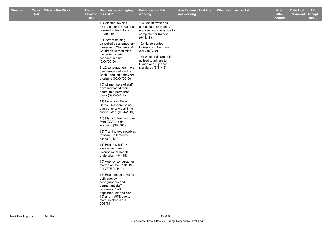| <b>Director</b> | <b>Ref</b> | Cross What is the Risk? | <b>Risk</b> | Current How are we managing<br>Level of the risk?                                                                                                                                                                                                                                                                                                                                                                                                                                                                                                                                                                                                                                                                                                                                                                                                                                                                                                                                                                                                                                             | <b>Evidence that it is</b><br>working.                                                                                                                                                                                                                                             | Any Evidence that it is<br>not working. | What else can we do? | <b>Risk</b><br>after<br>actions | <b>Date Last</b><br><b>Reviewed Accept</b> | TB.<br>Risk? |
|-----------------|------------|-------------------------|-------------|-----------------------------------------------------------------------------------------------------------------------------------------------------------------------------------------------------------------------------------------------------------------------------------------------------------------------------------------------------------------------------------------------------------------------------------------------------------------------------------------------------------------------------------------------------------------------------------------------------------------------------------------------------------------------------------------------------------------------------------------------------------------------------------------------------------------------------------------------------------------------------------------------------------------------------------------------------------------------------------------------------------------------------------------------------------------------------------------------|------------------------------------------------------------------------------------------------------------------------------------------------------------------------------------------------------------------------------------------------------------------------------------|-----------------------------------------|----------------------|---------------------------------|--------------------------------------------|--------------|
|                 |            |                         |             | 7) Selected low risk<br>gynae patients have been<br>referred to Radiology<br>(09/04/2019)<br>8) Doctors training<br>cancelled as a temporary<br>measure in Women and<br>Children's to maximise<br>the patients being<br>scanned in a list.<br>(9/04/2019)<br>9) x2 sonographers have<br>been employed via the<br>Bank - booked if they are<br>available (09/04/2019)<br>10) x2 members of staff<br>have increased their<br>hours on a permanent<br>basis (09/04/2019)<br>11) Enhanced Bank<br>Rates £45/hr are being<br>offered for any part time<br>current staff (09/4/2019)<br>12) Plans to train a nurse<br>from EGAU to do<br>scanning (9/4/2019)<br>13) Training two midwives<br>to scan 3rd trimester<br>scans (9/4/19)<br>14) Health & Safety<br>assessment from<br>Occupational Health<br>undertaken (9/4/19)<br>15) Agency sonographer<br>started on the 07.01.19 -<br>0.4 WTE (9/4/19)<br>16) Recruitment drive for<br>both agency<br>sonographers and<br>permanant staff<br>continues. 1WTE<br>appointed (started April<br>19) and 1 WTE due to<br>start October 2019.<br>20/8/19 | 13) One midwife has<br>completed her training<br>and one midwife is due to<br>complete her training<br>(8/11/19)<br>12) Nurse started<br>University in February<br>2019 (8/9/19)<br>15) Weekends are being<br>utilised to adhere to<br>Gynae and Hip scan<br>standards $(8/11/19)$ |                                         |                      |                                 |                                            |              |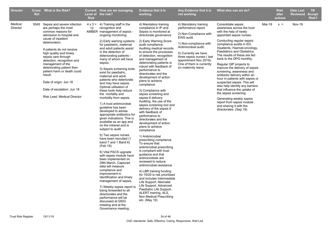| <b>Director</b>     | <b>Ref</b> | Cross What is the Risk?                                                                                                                                                                                                                                                                                                                                                                                                                               | <b>Risk</b> | Current How are we managing<br>Level of the risk?                                                                                                                                                                                                                                                                                                                                                                                                                                                                                                                                                                                                                                                                                                                                                                                                                                                                                                                                                                                                                                                                                                                                                                                    | <b>Evidence that it is</b><br>working.                                                                                                                                                                                                                                                                                                                                                                                                                                                                                                                                                                                                                                                                                                                                                                                                                                                                                                                                                                                                                                                                                                                                     | Any Evidence that it is<br>not working.                                                                                                                                                                                                                                  | What else can we do?                                                                                                                                                                                                                                                                                                                                                                                                                                                                                                                                                                                                                                                                             |        | <b>Risk</b><br>after<br>actions | <b>Date Last</b><br>Reviewed | <b>TB</b><br><b>Accept</b><br><b>Risk?</b> |
|---------------------|------------|-------------------------------------------------------------------------------------------------------------------------------------------------------------------------------------------------------------------------------------------------------------------------------------------------------------------------------------------------------------------------------------------------------------------------------------------------------|-------------|--------------------------------------------------------------------------------------------------------------------------------------------------------------------------------------------------------------------------------------------------------------------------------------------------------------------------------------------------------------------------------------------------------------------------------------------------------------------------------------------------------------------------------------------------------------------------------------------------------------------------------------------------------------------------------------------------------------------------------------------------------------------------------------------------------------------------------------------------------------------------------------------------------------------------------------------------------------------------------------------------------------------------------------------------------------------------------------------------------------------------------------------------------------------------------------------------------------------------------------|----------------------------------------------------------------------------------------------------------------------------------------------------------------------------------------------------------------------------------------------------------------------------------------------------------------------------------------------------------------------------------------------------------------------------------------------------------------------------------------------------------------------------------------------------------------------------------------------------------------------------------------------------------------------------------------------------------------------------------------------------------------------------------------------------------------------------------------------------------------------------------------------------------------------------------------------------------------------------------------------------------------------------------------------------------------------------------------------------------------------------------------------------------------------------|--------------------------------------------------------------------------------------------------------------------------------------------------------------------------------------------------------------------------------------------------------------------------|--------------------------------------------------------------------------------------------------------------------------------------------------------------------------------------------------------------------------------------------------------------------------------------------------------------------------------------------------------------------------------------------------------------------------------------------------------------------------------------------------------------------------------------------------------------------------------------------------------------------------------------------------------------------------------------------------|--------|---------------------------------|------------------------------|--------------------------------------------|
| Medical<br>Director |            | 5045 Sepsis and severe infection<br>are perhaps the most<br>common reasons for<br>admission to hospital and<br>cause of inpatient<br>deterioration.<br>If patients do not receive<br>high quality and timely<br>sepsis care through<br>detection, recognition and<br>management of the<br>deteriorating patient then<br>patient harm or death could<br>result.<br>Date of origin: Jun 18<br>Date of escalation: Jun 18<br>Risk Lead: Medical Director | 12          | $4 \times 3 = 4$ ) Training staff in the<br>recognition and<br>AMBER management of sepsis -<br>ongoing monitoring.<br>2) Early warning systems<br>for paediatric, maternal<br>and adult patients assist<br>in the detection of<br>deteriorating patients -<br>many of whom will have<br>sepsis.<br>3) Sepsis screening tools<br>exist for paediatric,<br>maternal and adult<br>patients who deteriorate<br>and may have sepsis.<br>Optimal utilisation of<br>these tools help reduce<br>the mortality and<br>morbidity from sepsis.<br>1) A trust antimicrobial<br>guideline has been<br>developed to advise<br>appropriate antibiotics for<br>given indications. This is<br>available as an app and<br>on the intranet and is<br>subject to audit.<br>5) Two sepsis nurses<br>have been recruited (1<br>band 7 and 1 Band 6)<br>(Feb 19)<br>6) Vital PACS upgrade<br>with sepsis module have<br>been implemented on<br>28th March. Captured<br>data will measure<br>compliance and<br>improvement in<br>identification and timely<br>management of sepsis.<br>7) Weekly sepsis report is<br>being forwarded to all<br>directorates and the<br>performance will be<br>discussed at QSIG<br>meeting and at the<br>Governance meeting. | 4) Mandatory training<br>compliance in IP and<br>Sepsis is monitored at<br>directorate governance<br>2) Early Warning Score<br>audit compliance.<br>Auditing medical records<br>to ensure the processes<br>of detection, recognition<br>and management of<br>deteriorating patients is<br>robust with feedback of<br>performance to<br>directorates and the<br>development of action<br>plans to achieve<br>compliance<br>3) Compliance with<br>sepsis screening and<br>sepsis 6 delivery.<br>Auditing the use of the<br>sepsis screening tool and<br>delivery of the sepsis 6<br>with feedback of<br>performance to<br>directorates and the<br>development of action<br>plans to achieve<br>compliance<br>1) Antimicrobial<br>prescribing compliance.<br>To ensure that<br>antimicrobial prescribing<br>is compliant with trust<br>guidance and that<br>antimicrobials are<br>reviewed to reduce<br>antimicrobial resistance<br>4) LBR training funding<br>for 19/20 is risk prioritised<br>and includes Intermediate<br>Life Support, Neonatal<br>Life Support, Advanced<br>Paediatric Life Support,<br>ALERT training, ALS,<br>Non Medical Prescribing<br>etc. (May 19) | 4) Mandatory training<br>performance report.<br>2) Non-Compliance with<br>EWS audit.<br>1) Non-compliance with<br>Antimicrobial audit.<br>5) Currently we have<br>three sepsis nurses (last<br>appointment Nov 2019).<br>One of them is currently<br>on maternity leave. | Consolidate sepsis<br>awareness across the trust<br>with the help of newly<br>appointed sepsis nurses.<br>Conducting regular sepsis<br>compliance audits in ED,<br>Inpatients, Haemat-oncology,<br>Paediatrics and Obstetrics.<br>The results of these are fed<br>back to the DPG monthly.<br>Regular QIP projects to<br>improve the delivery of sepsis<br>screening, awareness and<br>antibiotic delivery within an<br>hour in patients with sepsis or<br>suspected sepsis. This will<br>also help identify any barriers<br>that influence the uptake of<br>the sepsis screening.<br>Generating weekly sepsis<br>report from sepsis module<br>and sharing it with the<br>directorates. (Sep 19) | Mar-19 | $x =$                           | <b>Nov-19</b>                |                                            |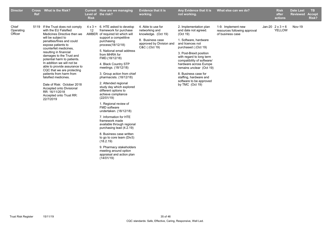| <b>Director</b>               | <b>Cross</b><br><b>Ref</b> | What is the Risk?                                                                                                                                                                                                                                                                                                                                                                                                                                                                                                                                    | <b>Risk</b> | Current How are we managing<br>Level of the risk?                                                                                                                                                                                                                                                                                                                                                                                                                                                                                                                                                                                                                                                                                                                                                                | Evidence that it is<br>working.                                                                                              | Any Evidence that it is<br>not working.                                                                                                                                                                                                                                                                                                                                   | What else can we do?                                                   | <b>Risk</b><br>after<br>actions          | <b>Date Last</b><br><b>Reviewed</b> | <b>TB</b><br><b>Accept</b><br>Risk? |
|-------------------------------|----------------------------|------------------------------------------------------------------------------------------------------------------------------------------------------------------------------------------------------------------------------------------------------------------------------------------------------------------------------------------------------------------------------------------------------------------------------------------------------------------------------------------------------------------------------------------------------|-------------|------------------------------------------------------------------------------------------------------------------------------------------------------------------------------------------------------------------------------------------------------------------------------------------------------------------------------------------------------------------------------------------------------------------------------------------------------------------------------------------------------------------------------------------------------------------------------------------------------------------------------------------------------------------------------------------------------------------------------------------------------------------------------------------------------------------|------------------------------------------------------------------------------------------------------------------------------|---------------------------------------------------------------------------------------------------------------------------------------------------------------------------------------------------------------------------------------------------------------------------------------------------------------------------------------------------------------------------|------------------------------------------------------------------------|------------------------------------------|-------------------------------------|-------------------------------------|
| Chief<br>Operating<br>Officer |                            | 5119 If the Trust does not comply<br>with the EU Falsified<br>Medicines Directive then we<br>will be subject to<br>penalties/fines and could<br>expose patients to<br>counterfeit medicines.<br>resulting in financial<br>damages to the Trust and<br>potential harm to patients.<br>In addition we will not be<br>able to provide assurance to<br>CQC that we are protecting<br>patients from harm from<br>falsified medicines.<br>Date of Risk: October 2018<br>Accepted onto Divisional<br>RR: 16/11/2018<br>Accepted onto Trust RR:<br>22/7/2019 | 12          | $4 \times 3 = 6$ . HTE asked to develop<br>framework for purchase<br>AMBER of required kit which will<br>support a competitive<br>purchasing<br>process(18/12/18)<br>5. National email address<br>from MHRA for<br>FMD.(18/12/18)<br>4. Black Country STP<br>meetings. (18/12/18)<br>3. Group action from chief<br>pharmacists. (18/12/18)<br>2. Attended regional<br>study day which explored<br>different options to<br>achieve compliance<br>(22/01/19)<br>1. Regional review of<br><b>FMD</b> software<br>undertaken. (18/12/18)<br>7. Information for HTE<br>framework made<br>available through regional<br>purchasing lead (4.2.19)<br>8. Business case written<br>to go to core team (Div3)<br>(18.2.19)<br>9. Pharmacy stakeholders<br>meeting around option<br>appraisal and action plan<br>(14/01/19) | 4. Able to use for<br>networking and<br>knowledge. (Oct 19)<br>8. Business case<br>approved by Division and<br>C&C ((Oct 19) | 2. Implementation plan<br>and date not agreed.<br>(Oct 19)<br>1. Software, hardware<br>and licences not<br>purchased ((Oct 19)<br>3. Post-Brexit position<br>with regard to long term<br>compatibility of software/<br>hardware across Europe<br>remains unclear (Oct 19)<br>8. Business case for<br>staffing, hardware and<br>software to be approved<br>by TMC (Oct 19) | 1-9. Implement new<br>resources following approval<br>of business case | Jan-20 $2 \times 3 = 6$<br><b>YELLOW</b> | <b>Nov-19</b>                       |                                     |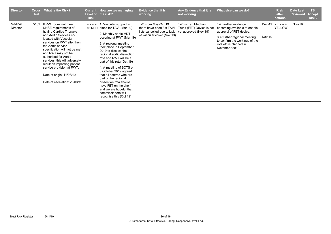| <b>Director</b>     | <b>Cross</b><br><b>Ref</b> | What is the Risk?                                                                                                                                                                                                                                                                                                                                                                                                        | <b>Risk</b> | Current How are we managing<br>Level of the risk?                                                                                                                                                                                                                                                                                                                                                                                                                                                                                     | <b>Evidence that it is</b><br>working.                                                                       | Any Evidence that it is<br>not working.                                   | What else can we do?                                                                                                                                                                          |               | <b>Risk</b><br>after<br>actions          | <b>Date Last</b><br><b>Reviewed</b> | TB.<br><b>Accept</b><br>Risk? |
|---------------------|----------------------------|--------------------------------------------------------------------------------------------------------------------------------------------------------------------------------------------------------------------------------------------------------------------------------------------------------------------------------------------------------------------------------------------------------------------------|-------------|---------------------------------------------------------------------------------------------------------------------------------------------------------------------------------------------------------------------------------------------------------------------------------------------------------------------------------------------------------------------------------------------------------------------------------------------------------------------------------------------------------------------------------------|--------------------------------------------------------------------------------------------------------------|---------------------------------------------------------------------------|-----------------------------------------------------------------------------------------------------------------------------------------------------------------------------------------------|---------------|------------------------------------------|-------------------------------------|-------------------------------|
| Medical<br>Director | 5182                       | If RWT does not meet<br>NHSE requirements of<br>having Cardiac Thoracic<br>and Aortic Services co-<br>located with Vascular<br>services on RWT site, then<br>the Aortic service<br>specification will not be met<br>and RWT may not be<br>authorised for Aortic<br>services, this will adversely<br>result on impacting patient<br>service provision at RWT.<br>Date of origin: 11/03/19<br>Date of escalation: 25/03/19 |             | $4 \times 4 = 1$ . Vascular support in<br>16 RED place for TAVI (Mar 19)<br>2. Monthly aortic MDT<br>occuring at RWT (Mar 19)<br>3. A regional meeting<br>took place in September<br>2019 to discuss the<br>regional aortic dissection<br>rota and RWT will be a<br>part of this rota (Oct 19)<br>4. A meeting of SCTS on<br>8 October 2019 agreed<br>that all centres who are<br>part of the regional<br>dissection rota should<br>have FET on the shelf<br>and we are hopeful that<br>commissioners will<br>recognise this (Oct 19) | 1-2 From May-Oct 19<br>there have been 3 x TAVI<br>lists cancelled due to lack<br>of vascular cover (Nov 19) | 1-2 Frozen Elephant<br>Trunk (FET) Device is not<br>yet approved (Nov 19) | 1-2 Further evidence<br>becoming available to enable<br>approval of FET device.<br>3 A further regional meeting<br>to confirm the workings of the<br>rota etc is planned in<br>November 2019. | <b>Nov-19</b> | Dec-19 $2 \times 2 = 4$<br><b>YELLOW</b> | Nov-19                              |                               |
|                     |                            |                                                                                                                                                                                                                                                                                                                                                                                                                          |             |                                                                                                                                                                                                                                                                                                                                                                                                                                                                                                                                       |                                                                                                              |                                                                           |                                                                                                                                                                                               |               |                                          |                                     |                               |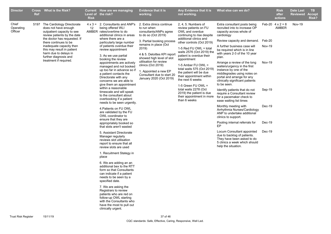| <b>Director</b>               | <b>Ref</b> | Cross What is the Risk?                                                                                                                                                                                                                                                                                        | <b>Risk</b>          | Current How are we managing<br>Level of the risk?                                                                                                                                                                                                                                                                                                                                                                                                                                                                                                                                                                                                                                                                                                                                                                                                                                                                                                                                                                                                                                                                                                                                                                                                                                     | <b>Evidence that it is</b><br>working.                                                                                                                                                                                                                                                                                                                  | Any Evidence that it is<br>not working.                                                                                                                                                                                                                                                                                                                                                                                                                                                                       | What else can we do?                                                                                                                                                                                                                                                                                                                                                                                                                                                                                                                                                                                                                                                                                                                                                                                                                                                                      |                                                                                  | <b>Risk</b><br>after<br>actions  | <b>Date Last</b><br>Reviewed | <b>TB</b><br><b>Accept</b><br>Risk? |
|-------------------------------|------------|----------------------------------------------------------------------------------------------------------------------------------------------------------------------------------------------------------------------------------------------------------------------------------------------------------------|----------------------|---------------------------------------------------------------------------------------------------------------------------------------------------------------------------------------------------------------------------------------------------------------------------------------------------------------------------------------------------------------------------------------------------------------------------------------------------------------------------------------------------------------------------------------------------------------------------------------------------------------------------------------------------------------------------------------------------------------------------------------------------------------------------------------------------------------------------------------------------------------------------------------------------------------------------------------------------------------------------------------------------------------------------------------------------------------------------------------------------------------------------------------------------------------------------------------------------------------------------------------------------------------------------------------|---------------------------------------------------------------------------------------------------------------------------------------------------------------------------------------------------------------------------------------------------------------------------------------------------------------------------------------------------------|---------------------------------------------------------------------------------------------------------------------------------------------------------------------------------------------------------------------------------------------------------------------------------------------------------------------------------------------------------------------------------------------------------------------------------------------------------------------------------------------------------------|-------------------------------------------------------------------------------------------------------------------------------------------------------------------------------------------------------------------------------------------------------------------------------------------------------------------------------------------------------------------------------------------------------------------------------------------------------------------------------------------------------------------------------------------------------------------------------------------------------------------------------------------------------------------------------------------------------------------------------------------------------------------------------------------------------------------------------------------------------------------------------------------|----------------------------------------------------------------------------------|----------------------------------|------------------------------|-------------------------------------|
| Chief<br>Operating<br>Officer | 5197       | The Cardiology Directorate<br>does not have enough<br>outpatient capacity to see<br>review patients by the date<br>the doctor has requested. If<br>there continues to be<br>inadequate capacity then<br>this may result in patient<br>harm due to delays in<br>further diagnosis and<br>treatment if required. | $4 \times 3 =$<br>12 | 2. Consultants and ANP's<br>being offered WLI<br>AMBER rates/overtime to do<br>additional clinics in areas<br>where there are a<br>particularly large number<br>of patients overdue their<br>review appointment<br>3. As we use partial<br>booking the review<br>appointments are actively<br>managed and not booked<br>up too far in advance so if<br>a patient contacts the<br>Directorate with any<br>concerns we are able to<br>give them an appointment<br>within a reasonable<br>timescale and will speak<br>to the consultant about<br>overbooking if a patient<br>needs to be seen urgently.<br>4. Patients on FU OWL<br>are validated by the FU<br>OWL coordinator to<br>ensure that they are<br>appropriately booked so<br>that slots aren't wasted<br>5. Assistant Directorate<br>Manager regularly<br>reviews slot utilisation<br>report to ensure that all<br>review slots are used<br>1. Recuitment Stategy in<br>place<br>6. We are adding an an<br>additional bex to the RTT<br>form so that Consultants<br>can indicate if a patient<br>needs to be seen by a<br>specified date.<br>7. We are asking the<br>Registrars to review<br>patients who are red on<br>follow-up OWL starting<br>with the Consultants who<br>have the most to pull out<br>clinically urgent. | 2. Extra clinics continue<br>to run when<br>consultants/ANPs agree<br>to do so (Oct 2019)<br>3. Partial booking process<br>remains in place (Oct<br>2019)<br>4 & 5. Deloittes KPI report<br>showed high level of slot<br>utilisation for review<br>clinics (Oct 2019)<br>1. Appointed a new EP<br>Consultant due to start 20<br>January 2020 (Oct 2019) | 2, 4, 5. Numbers of<br>review patients on FU<br>OWL and overdue<br>continuing to rise despite<br>additional clinics and<br>other controls (Oct 2019)<br>1-5 Red FU OWL = total<br>waits 2576 (Oct 2019) the<br>patient is overdue their<br>appointment<br>1-5 Amber FU OWL =<br>total waits 575 (Oct 2019)<br>the patient will be due<br>their appointment within<br>the next 6 weeks<br>1-5 Green FU OWL =<br>total waits 2278 (Oct<br>2019) the patient is due<br>their appointment in more<br>than 6 weeks | Extra consultant posts being<br>recruited into to increase OP<br>capacity across whole of<br>cardiology<br>Review capacity and demand.<br>A further business case will<br>be required which is in line<br>with years 2-3 of the 10 year<br>plan.<br>Arrange a review of the long<br>waiters/urgency in the first<br>instance by one of the<br>middlegrades using notes on<br>portal and arrange for any<br>clinically significant patients<br>to be seen.<br>Identify patients that do not<br>require a Consultant review<br>for a pacemaker check to<br>ease waiting list times<br>Monthly meeting with<br>Arrhythmia Nurses/Cardiology<br>ANP to undertake additional<br>clinics to support.<br>Pooling internal referrals for<br>EP<br>Locum Consultant appointed<br>due to backlog of patients.<br>They have been asked to do<br>5 clinics a week which should<br>help the situation. | Feb-20<br><b>Nov-19</b><br><b>Nov-19</b><br>Sep-19<br>Dec-19<br>Dec-19<br>Dec-19 | Feb-20 $4 \times 2 = 8$<br>AMBER | <b>Nov-19</b>                |                                     |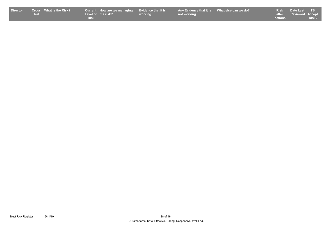| <b>Director</b> |     | Cross What is the Risk? |             | Current How are we managing         | <b>Evidence that it is</b> | Any Evidence that it is What else can we do? | <b>Risk</b> | Date Last TB          |       |
|-----------------|-----|-------------------------|-------------|-------------------------------------|----------------------------|----------------------------------------------|-------------|-----------------------|-------|
|                 | Ref |                         |             | Level of $\,$ the risk? $^{\prime}$ | working.                   | not working.                                 |             | after Reviewed Accept |       |
|                 |     |                         | <b>Risk</b> |                                     |                            |                                              | actions     |                       | Risk? |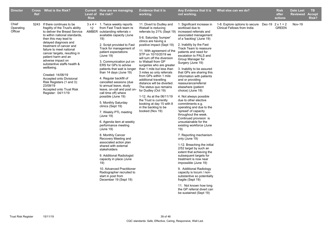| <b>Director</b>               | <b>Ref</b> | Cross What is the Risk?                                                                                                                                                                                                                                                                                                                                                                                                                                                                                           | <b>Risk</b> | Current How are we managing<br>Level of the risk?                                                                                                                                                                                                                                                                                                                                                                                                                                                                                                                                                                                                                                                                                                                                                                                                                                                                                                            | <b>Evidence that it is</b><br>working.                                                                                                                                                                                                                                                                                                                                                                                                                                                                                                                                                                                       | Any Evidence that it is<br>not working.                                                                                                                                                                                                                                                                                                                                                                                                                                                                                                                                                                                                                                                                                                                                                                                                                                                                                                                                                                                                                                                                           | What else can we do?                                                                         | <b>Risk</b><br>after<br>actions | <b>Date Last</b><br><b>Reviewed</b> | TB.<br><b>Accept</b><br>Risk? |
|-------------------------------|------------|-------------------------------------------------------------------------------------------------------------------------------------------------------------------------------------------------------------------------------------------------------------------------------------------------------------------------------------------------------------------------------------------------------------------------------------------------------------------------------------------------------------------|-------------|--------------------------------------------------------------------------------------------------------------------------------------------------------------------------------------------------------------------------------------------------------------------------------------------------------------------------------------------------------------------------------------------------------------------------------------------------------------------------------------------------------------------------------------------------------------------------------------------------------------------------------------------------------------------------------------------------------------------------------------------------------------------------------------------------------------------------------------------------------------------------------------------------------------------------------------------------------------|------------------------------------------------------------------------------------------------------------------------------------------------------------------------------------------------------------------------------------------------------------------------------------------------------------------------------------------------------------------------------------------------------------------------------------------------------------------------------------------------------------------------------------------------------------------------------------------------------------------------------|-------------------------------------------------------------------------------------------------------------------------------------------------------------------------------------------------------------------------------------------------------------------------------------------------------------------------------------------------------------------------------------------------------------------------------------------------------------------------------------------------------------------------------------------------------------------------------------------------------------------------------------------------------------------------------------------------------------------------------------------------------------------------------------------------------------------------------------------------------------------------------------------------------------------------------------------------------------------------------------------------------------------------------------------------------------------------------------------------------------------|----------------------------------------------------------------------------------------------|---------------------------------|-------------------------------------|-------------------------------|
| Chief<br>Operating<br>Officer |            | 5243 If there continues to be<br>fragility of the Trust's ability<br>to deliver the Breast Service<br>to within national standards,<br>then this may lead to<br>delayed diagnosis and<br>treatment of cancer and<br>failure to meet national<br>cancer targets, resulting in<br>patient harm and an<br>adverse impact on<br>substantive staffs health &<br>wellbeing.<br>Created: 14/06/19<br>Accepted onto Divisional<br>Risk Registers (1 and 3):<br>23/09/19<br>Accepted onto Trust Risk<br>Register: 04/11/19 | 12          | $3 \times 4 = 1$ . Twice weekly reports<br>from Fast Track team re<br>AMBER outstanding referrals v<br>available capacity (June<br>19)<br>2. Script provided to Fast<br>Track for management of<br>patient expectations<br>(June 19)<br>3. Communication put on<br>ERS for GPs to advise<br>patients that wait is longer<br>than $14$ days (June $19$ )<br>4. Regular backfill of<br>cancelled sessions (due<br>to annual leave, study<br>leave, on-call and post on-<br>call time off) where<br>possible (June 19)<br>5. Monthly Saturday<br>clinics (Sept 19)<br>7. Weekly PTL meeting<br>(June 19)<br>6. Agenda item at weekly<br>performance meeting<br>(June 19)<br>8. Monthly Cancer<br>Recovery Meeting and<br>associated action plan<br>shared with external<br>stakeholders<br>9. Additional Radiologist<br>capacity in place (June<br>19)<br>10. Advanced Practitioner<br>Radiographer recruited to<br>start in post from<br>December 19 (Sept 19) | 11. Divert to Dudley and<br>Walsall is reducing<br>referrals by 21% (Sept 19)<br>5-6. Saturday 'bumper'<br>clinics are having a<br>positive impact (Sept 19)<br>11. With agreement of the<br>STP on 10/10/2019 we<br>will turn off the diversion<br>to Walsall from GP<br>surgeries who are greater<br>than 1 mile but less than<br>3 miles so only referrals<br>from GPs within 1 mile<br>additional travelling<br>distance will be diverted.<br>The status quo remains<br>for Dudley (Oct 19)<br>1-12. As at the 06/11/19<br>the Trust is currently<br>booking at day 15 with 8<br>in the backlog to be<br>booked (Nov 19) | 1. Significant increase in<br>workload due to<br>increased referrals and<br>associated management<br>of a 'backlog' (June 19)<br>2. Inability by the Fast<br>Track Team to reassure<br>patients and need for<br>escalation to PALS and<br>Group Manager for<br>Surgery (June 19)<br>3. Inability to be assured<br>that GPs are sharing this<br>information with patients<br>and or providing<br>reassurance/referral<br>elsewhere (patient<br>choice) (June 19)<br>4. Not always possible<br>due to other elective<br>commitments e.g.<br>operating and due to the<br>'spread' of capacity<br>throughout the week.<br>Continued provision is<br>unsustainable for the<br>existing workforce (June<br>19)<br>7. Reporting mechanism<br>only (June 19)<br>1-12. Breaching the initial<br>2/52 target by such an<br>extent that achieving the<br>subsequent targets for<br>treatment is now near<br>impossible (June 19)<br>9. Additional Radiology<br>capacity is locum / non-<br>substantive so potentially<br>fragile (Sept 19)<br>11. Not known how long<br>the GP referral divert can<br>be sustained (Sept 19) | 1-8. Explore options to secure Dec-19 $2 \times 1 = 2$<br><b>Clinical Fellows from India</b> | <b>GREEN</b>                    | <b>Nov-19</b>                       |                               |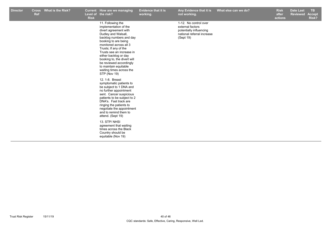| <b>Director</b> | Ref | Cross What is the Risk? | <b>Risk</b> | Current How are we managing<br>Level of the risk?                                                                                                                                                                                                                                                                                                                                     | <b>Evidence that it is</b><br>working. | Any Evidence that it is<br>not working.                                                                         | What else can we do? | <b>Risk</b><br>after<br>actions | <b>Date Last</b><br>Reviewed | TB.<br><b>Accept</b><br>Risk? |
|-----------------|-----|-------------------------|-------------|---------------------------------------------------------------------------------------------------------------------------------------------------------------------------------------------------------------------------------------------------------------------------------------------------------------------------------------------------------------------------------------|----------------------------------------|-----------------------------------------------------------------------------------------------------------------|----------------------|---------------------------------|------------------------------|-------------------------------|
|                 |     |                         |             | 11. Following the<br>implementation of the<br>divert agreement with<br>Dudley and Walsall,<br>backlog numbers and day<br>booking to are being<br>monitored across all 3<br>Trusts; If any of the<br>Trusts see an increase in<br>either backlog or day<br>booking to, the divert will<br>be reviewed accordingly<br>to maintain equitable<br>waiting times across the<br>STP (Nov 19) |                                        | 1-12. No control over<br>external factors<br>potentially influencing<br>national referral increase<br>(Sept 19) |                      |                                 |                              |                               |
|                 |     |                         |             | 12. 1-8. Breast<br>symptomatic patients to<br>be subject to 1 DNA and<br>no further appointment<br>sent. Cancer suspicious<br>patients to be subject to 2<br>DNA's. Fast track are<br>ringing the patients to<br>negotiate the appointment<br>and to remind them to<br>attend. (Sept 19)                                                                                              |                                        |                                                                                                                 |                      |                                 |                              |                               |
|                 |     |                         |             | 13. STP/NHSI<br>agreement that waiting<br>times across the Black<br>Country should be<br>equitable (Nov 19)                                                                                                                                                                                                                                                                           |                                        |                                                                                                                 |                      |                                 |                              |                               |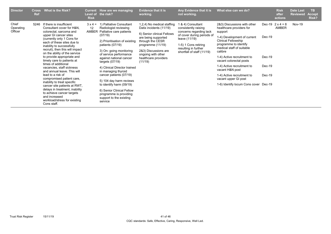| <b>Director</b>               | <b>Cross</b><br><b>Ref</b> | What is the Risk?                                                                                                                                                                                                                                                                                                                                                                                                                                                                                                                                                                                                                                                     | <b>Risk</b>                   | Current How are we managing<br>Level of the risk?                                                                                                                                                                                                                                                                                                                                                                                                                                          | <b>Evidence that it is</b><br>working.                                                                                                                                                                                               | Any Evidence that it is<br>not working.                                                                                                                                                           | What else can we do?                                                                                                                                                                                                                                                                                                                                                                                      |                                        | <b>Risk</b><br>after<br>actions  | <b>Date Last</b><br><b>Reviewed</b> | <b>TB</b><br><b>Accept</b><br>Risk? |
|-------------------------------|----------------------------|-----------------------------------------------------------------------------------------------------------------------------------------------------------------------------------------------------------------------------------------------------------------------------------------------------------------------------------------------------------------------------------------------------------------------------------------------------------------------------------------------------------------------------------------------------------------------------------------------------------------------------------------------------------------------|-------------------------------|--------------------------------------------------------------------------------------------------------------------------------------------------------------------------------------------------------------------------------------------------------------------------------------------------------------------------------------------------------------------------------------------------------------------------------------------------------------------------------------------|--------------------------------------------------------------------------------------------------------------------------------------------------------------------------------------------------------------------------------------|---------------------------------------------------------------------------------------------------------------------------------------------------------------------------------------------------|-----------------------------------------------------------------------------------------------------------------------------------------------------------------------------------------------------------------------------------------------------------------------------------------------------------------------------------------------------------------------------------------------------------|----------------------------------------|----------------------------------|-------------------------------------|-------------------------------------|
| Chief<br>Operating<br>Officer | 5246                       | If there is insufficient<br>Consultant cover for H&N.<br>colorectal, sarcoma and<br>upper GI cancer sites<br>(currently only 1 Cons for<br>each of these sites due to<br>inability to successfully<br>recruit), then this will impact<br>on the ability of the service<br>to provide appropriate and<br>timely care to patients at<br>times of additional<br>vacancies, staff sickness<br>and annual leave. This will<br>lead to a risk of<br>compromised patient care,<br>inability to treat specific<br>cancer site patients at RWT,<br>delays in treatment, inability<br>to achieve cancer targets<br>and increased<br>workload/stress for existing<br>Cons staff. | $3 \times 4 =$<br>12<br>AMBER | 1) Palliative Consultant<br>Radiologist reviewing<br>Palliative care patients<br>(07/19)<br>2) Prioritisation of existing<br>patients $(07/19)$<br>3) On- going monitoring<br>of service performance<br>against national cancer<br>targets $(07/19)$<br>4) Clinical Director trained<br>in managing thyroid<br>cancer patients (07/19)<br>5) 104 day harm reviews<br>to identify harm (09/19)<br>6) Senior Clinical Fellow<br>programme is providing<br>support to the existing<br>service | 1,2,4) No medical staffing<br>Datix incidents (11/19)<br>6) Senior clinical Fellows<br>are being supported<br>through the CESR<br>programme (11/19)<br>2&3) Discussions are<br>ongoing with other<br>healthcare providers<br>(11/19) | 1 & 4) Consultant<br>consistently raising<br>concerns regarding lack<br>of cover during periods of<br>leave (11/19)<br>1-5) 1 Cons retiring<br>resulting in further<br>shortfall of staff (11/19) | 2&3) Discussions with other<br>healthcare providers for<br>support<br>1-4) Development of current<br><b>Clinical Fellowship</b><br>programme to identify<br>medical staff of suitable<br>calibre<br>1-4) Active recruitment to<br>vacant colorectal posts<br>1-4) Active recruitment to<br>vacant H&N post<br>1-4) Active recruitment to<br>vacant upper GI post<br>1-6) Identify locum Cons cover Dec-19 | $Dec-19$<br>Dec-19<br>Dec-19<br>Dec-19 | Dec-19 $2 \times 4 = 8$<br>AMBER | <b>Nov-19</b>                       |                                     |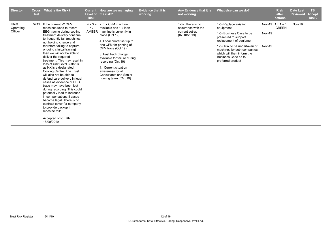| <b>Director</b>               | <b>Cross</b><br><b>Ref</b> | <b>What is the Risk?</b>                                                                                                                                                                                                                                                                                                                                                                                                                                                                                                                                                                                                                                                                                                                                                     | Level of<br><b>Risk</b> | Current How are we managing<br>the risk?                                                                                                                                                                                                                                                                                                                              | <b>Evidence that it is</b><br>working. | Any Evidence that it is<br>not working.                                  | What else can we do?                                                                                                                                                                                                                                         |                                | <b>Risk</b><br>after<br>actions         | <b>Date Last</b><br><b>Reviewed</b> | <b>TB</b><br><b>Accept</b><br>Risk? |
|-------------------------------|----------------------------|------------------------------------------------------------------------------------------------------------------------------------------------------------------------------------------------------------------------------------------------------------------------------------------------------------------------------------------------------------------------------------------------------------------------------------------------------------------------------------------------------------------------------------------------------------------------------------------------------------------------------------------------------------------------------------------------------------------------------------------------------------------------------|-------------------------|-----------------------------------------------------------------------------------------------------------------------------------------------------------------------------------------------------------------------------------------------------------------------------------------------------------------------------------------------------------------------|----------------------------------------|--------------------------------------------------------------------------|--------------------------------------------------------------------------------------------------------------------------------------------------------------------------------------------------------------------------------------------------------------|--------------------------------|-----------------------------------------|-------------------------------------|-------------------------------------|
| Chief<br>Operating<br>Officer | 5249                       | If the current x2 CFM<br>machines used to record<br>EEG tracing during cooling<br>treatment delivery continue<br>to frequently fail (machines<br>not holding charge and<br>therefore failing to capture<br>ongoing clinical tracing)<br>then we will not be able to<br>deliver the required<br>treatment. This may result in<br>loss of Unit Level 3 status<br>as NX is a designated<br>Cooling Centre. The Trust<br>will also not be able to<br>defend care delivery in legal<br>cases as evidence of EEG<br>trace may have been lost<br>during recording. This could<br>potentially lead to increase<br>in compensations if cases<br>become legal. There is no<br>contract cover for company<br>to provide backup if<br>machine fails.<br>Accepted onto TRR:<br>16/09/2019 | $4 \times 3 =$<br>12    | 2. 1 x CFM machine<br>available and 1 x loan<br>AMBER machine is currently in<br>place (Oct 19)<br>4. Local printer set up to<br>one CFM for printing of<br>CFM trace (Oct 19)<br>3. Fast track charger<br>available for failure during<br>recording (Oct 19)<br>1. Current situation<br>awareness for all<br><b>Consultants and Senior</b><br>nursing team. (Oct 19) |                                        | 1-3) There is no<br>assurance with the<br>current set-up<br>(07/10/2019) | 1-5) Replace existing<br>equipment<br>1-5) Business Case to be<br>presented to support<br>replacement of equipment<br>1-5) Trial to be undertaken of<br>machines by both companies<br>which will then inform the<br>Business Case as to<br>preferred product | <b>Nov-19</b><br><b>Nov-19</b> | Nov-19 $1 \times 1 = 1$<br><b>GREEN</b> | <b>Nov-19</b>                       |                                     |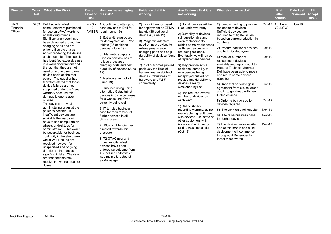| <b>Director</b>               | <b>Ref</b> | Cross What is the Risk?                                                                                                                                                                                                                                                                                                                                                                                                                                                                                                                                                                                                                                                                                                                                                                                                                                                                                                                                                                                                                                                                                                        | <b>Risk</b> | Current How are we managing<br>Level of the risk?                                                                                                                                                                                                                                                                                                                                                                                                                                                                                                                                                                                                                                                                                                                                                                                                                         | Evidence that it is<br>working.                                                                                                                                                                                                                                                                                                                                                                    | Any Evidence that it is<br>not working.                                                                                                                                                                                                                                                                                                                                                                                                                                                                                                                                                                                                                                                                       | What else can we do?                                                                                                                                                                                                                                                                                                                                                                                                                                                                                                                                                                                                                                                                                                                                                                                                         |                                                                                  | <b>Risk</b><br>after<br>actions          | <b>Date Last</b><br><b>Reviewed</b> | TB.<br><b>Accept</b><br>Risk? |
|-------------------------------|------------|--------------------------------------------------------------------------------------------------------------------------------------------------------------------------------------------------------------------------------------------------------------------------------------------------------------------------------------------------------------------------------------------------------------------------------------------------------------------------------------------------------------------------------------------------------------------------------------------------------------------------------------------------------------------------------------------------------------------------------------------------------------------------------------------------------------------------------------------------------------------------------------------------------------------------------------------------------------------------------------------------------------------------------------------------------------------------------------------------------------------------------|-------------|---------------------------------------------------------------------------------------------------------------------------------------------------------------------------------------------------------------------------------------------------------------------------------------------------------------------------------------------------------------------------------------------------------------------------------------------------------------------------------------------------------------------------------------------------------------------------------------------------------------------------------------------------------------------------------------------------------------------------------------------------------------------------------------------------------------------------------------------------------------------------|----------------------------------------------------------------------------------------------------------------------------------------------------------------------------------------------------------------------------------------------------------------------------------------------------------------------------------------------------------------------------------------------------|---------------------------------------------------------------------------------------------------------------------------------------------------------------------------------------------------------------------------------------------------------------------------------------------------------------------------------------------------------------------------------------------------------------------------------------------------------------------------------------------------------------------------------------------------------------------------------------------------------------------------------------------------------------------------------------------------------------|------------------------------------------------------------------------------------------------------------------------------------------------------------------------------------------------------------------------------------------------------------------------------------------------------------------------------------------------------------------------------------------------------------------------------------------------------------------------------------------------------------------------------------------------------------------------------------------------------------------------------------------------------------------------------------------------------------------------------------------------------------------------------------------------------------------------------|----------------------------------------------------------------------------------|------------------------------------------|-------------------------------------|-------------------------------|
| Chief<br>Financial<br>Officer |            | 5253 Dell Latitude tablet<br>computers were purchased<br>for use on ePMA wards to<br>enable drug rounds.<br>Significant numbers have<br>been damaged around the<br>charging ports and are<br>either difficult to charge<br>and/or rendering the device<br>unchangeable. The supplier<br>has identified excessive use<br>in a ward environment and<br>the fact that they are not<br>used on a one user to one<br>device basis as the root<br>cause. The supplier has<br>therefore stated that these<br>device failures are not<br>supported under the 3 year<br>warranty because the<br>damage is due to user<br>misuse.<br>The devices are vital to<br>administering drugs at the<br>patient's bedside. If<br>insufficient devices are<br>available the wards will<br>have to use computers on<br>wheels or desktops for<br>administration. This would<br>be acceptable for business<br>continuity in the short term<br>whilst Wi-Fi issues are<br>resolved however for<br>unspecified and ongoing<br>durations it introduces<br>significant risks. The risks<br>are that patients may<br>receive the wrong drugs or<br>doses. | 12          | $4 \times 3 = 1$ ) Continue to attempt to<br>send devices to Dell for<br>AMBER repair (June 19)<br>2) Extra kit re-purposed<br>for deployment as EPMA<br>tablets (36 additional<br>devices) (June 19)<br>3) Magnetic adapters<br>used on new devices to<br>relieve pressure on<br>charging ports and help<br>durability of devices.(June<br>19)<br>4) Redeployment of kit<br>(June 19)<br>5) Trial is running using<br>alternative Getac tablet<br>devices in 3 clinical areas<br>for 8 weeks until Oct 19.<br>currently going well<br>6) IT to raise business<br>case for requirement of<br>further devices in all<br>clinical areas<br>7) 100k of IT funding re-<br>directed towards this<br>pressure<br>8) 72 GTAC new and<br>robust mobile tablet<br>devices have been<br>ordered as outcome from<br>a successful pilot which<br>was mainly targeted at<br>ePMA usage | 2) Extra kit re-purposed<br>for deployment as EPMA<br>tablets (36 additional<br>devices) (June 19)<br>3) Magnetic adapters<br>used on new devices to<br>relieve pressure on<br>charging ports and help<br>durability of devices.(June<br>19)<br>7) Pilot outcomes proved<br>positively the likes of<br>battery time, usability of<br>devices, robustness of<br>hardware and Wi-Fi<br>connectivity. | 1) Not all devices will be<br>fixed under warranty<br>2) Durability of devices<br>still questionable and<br>even replacements<br>exhibit same weaknesses<br>as those devices which<br>are being replaced.<br>Eventually we will run out<br>of replacement devices<br>3) May provide some<br>additional durability to<br>new devices being<br>redeployed but will not<br>provide any durability to<br>devices already<br>weakened by use.<br>4) Has reduced overall<br>number of devices on<br>each ward.<br>1) Dell pushback<br>regarding warranty as no<br>manufacturing fault found<br>with devices, Dell state no<br>other customers with<br>issues and all industry<br>testing was successful<br>(Oct 19) | 2) Identify funding to procure<br>replacement devices.<br>Sufficient devices are<br>required to mitigate issues<br>based on current reduction in<br>numbers.<br>2) Procure additional devices<br>and build for deployment.<br>4) Monitor number of<br>replacement devices<br>available and report count to<br>Head of Technical Services,<br>Dell have been able to repair<br>and return some devices<br>(Sep 19)<br>5) Once trial ended to gain<br>agreement from clinical areas<br>and IT to go ahead with new<br>Getec devices<br>5) Order to be rawised for<br>devices required<br>5) IT to work on a roll out plan<br>6) IT to raise business case<br>for further devices<br>7) The devices arrive onsite<br>end of this month and build /<br>deployment will commence<br>through-out December to<br>target those wards | Oct-19<br>Oct-19<br>Oct-19<br>Oct-19<br><b>Nov-19</b><br><b>Nov-19</b><br>Dec-19 | Oct-19 $4 \times 1 = 4$<br><b>YELLOW</b> | <b>Nov-19</b>                       |                               |

 $\overline{\phantom{0}}$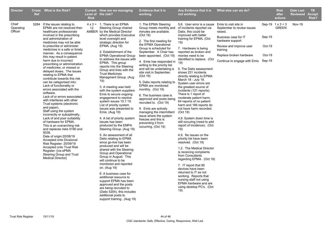| <b>Director</b>               | <b>Cross</b><br><b>Ref</b> | What is the Risk?                                                                                                                                                                                                                                                                                                                                                                                                                                                                                                                                                                                                                                                                                                                                                                                                                                                                                                                                                                                                                                                                         | Current<br>Level of<br><b>Risk</b> | How are we managing<br>the risk?                                                                                                                                                                                                                                                                                                                                                                                                                                                                                                                                                                                                                                                                                                                                                                                                                                                                                                                                                                                                                                                                                                                                                               | <b>Evidence that it is</b><br>working.                                                                                                                                                                                                                                                                                                                                                                                                                                                                                                                                                                                                                                    | Any Evidence that it is<br>not working.                                                                                                                                                                                                                                                                                                                                                                                                                                                                                                                                                                                                                                                                                                                                                                                                                                                                                                                                                                                                                              | What else can we do?                                                                                                                                                                                                |                            | <b>Risk</b><br>after<br>actions         | <b>Date Last</b><br><b>Reviewed</b> | <b>TB</b><br><b>Accept</b><br>Risk? |
|-------------------------------|----------------------------|-------------------------------------------------------------------------------------------------------------------------------------------------------------------------------------------------------------------------------------------------------------------------------------------------------------------------------------------------------------------------------------------------------------------------------------------------------------------------------------------------------------------------------------------------------------------------------------------------------------------------------------------------------------------------------------------------------------------------------------------------------------------------------------------------------------------------------------------------------------------------------------------------------------------------------------------------------------------------------------------------------------------------------------------------------------------------------------------|------------------------------------|------------------------------------------------------------------------------------------------------------------------------------------------------------------------------------------------------------------------------------------------------------------------------------------------------------------------------------------------------------------------------------------------------------------------------------------------------------------------------------------------------------------------------------------------------------------------------------------------------------------------------------------------------------------------------------------------------------------------------------------------------------------------------------------------------------------------------------------------------------------------------------------------------------------------------------------------------------------------------------------------------------------------------------------------------------------------------------------------------------------------------------------------------------------------------------------------|---------------------------------------------------------------------------------------------------------------------------------------------------------------------------------------------------------------------------------------------------------------------------------------------------------------------------------------------------------------------------------------------------------------------------------------------------------------------------------------------------------------------------------------------------------------------------------------------------------------------------------------------------------------------------|----------------------------------------------------------------------------------------------------------------------------------------------------------------------------------------------------------------------------------------------------------------------------------------------------------------------------------------------------------------------------------------------------------------------------------------------------------------------------------------------------------------------------------------------------------------------------------------------------------------------------------------------------------------------------------------------------------------------------------------------------------------------------------------------------------------------------------------------------------------------------------------------------------------------------------------------------------------------------------------------------------------------------------------------------------------------|---------------------------------------------------------------------------------------------------------------------------------------------------------------------------------------------------------------------|----------------------------|-----------------------------------------|-------------------------------------|-------------------------------------|
| Chief<br>Operating<br>Officer |                            | 5284 If the issues relating to<br>EPMA are not resolved then<br>healthcare professionals<br>involved in the prescribing<br>and administration of<br>medicines may not be able<br>to prescribe or administer<br>medicines in a safe or timely<br>manner. As a consequence<br>this may result in patient<br>harm due to incorrect<br>prescribing or administration<br>of medicines, or missed or<br>delayed doses. The issues<br>relating to EPMA that<br>contribute towards this risk<br>can be categorised into:<br>Lack of functionality or<br>errors associated with the<br>software.<br>Lack of or errors associated<br>with interfaces with other<br>Trust systems (electronic<br>and paper).<br>Staff using the system<br>incorrectly or suboptimally.<br>Lack of and poor suitability<br>of hardware for EPMA.<br>This is an overarching risk<br>and replaces risks 5190 and<br>5038.<br>Date of origin: 20/08/19<br>Accepted onto Divisional<br>Risk Register: 20/09/19<br>Accepted onto Trust Risk<br>Register: [via ePMA<br><b>Steering Group and Trust</b><br>Medical Director] | 12                                 | $4 \times 3 = 1$ . There is an EPMA<br>Steering Group chaired<br>AMBER by the Medical Director<br>which provides Executive<br>level oversight and<br>strategic direction for<br>EPMA. (Aug 19)<br>2. Establishment of the<br><b>EPMA Operational Group</b><br>to address the issues with<br>EPMA. This group<br>reports into the Steering<br>Group and links with the<br><b>Trust Medicines</b><br>Managment Group. (Aug<br>19)<br>3. A meeting was held<br>with the system suppliers<br>Emis to secure ongoing<br>engagement to resolve<br>system issues 10.7.19.<br>List of priority system<br>issues was presented to<br>Emis. (Aug 19)<br>4. A list of priority system<br>issues has been<br>produced by the EMPA<br>Steering Group. (Aug 19)<br>5. An assessment of all<br>Datix relating to EPMA<br>since go-live has been<br>produced and will be<br>shared with the Steering<br>Group and Operational<br>Group in August. This<br>will continue to be<br>monitored and reported<br>on. (Aug 19)<br>6. A business case for<br>additional resource to<br>support EPMA has been<br>approved and the posts<br>are being recruited to<br>(Datix 5204), this includes<br>additional posts to | 1. The EPMA Steering<br>Group meets monthly and<br>minutes are available.<br>(Oct 19)<br>2. The first meeting for<br>the EPMA Operational<br>Group is scheduled for<br>September. A Chair has<br>been appointed. (Oct 19)<br>4. Emis has responded in<br>writing to the priority list<br>and will be undertaking a<br>site visit in September.<br>(Oct 19)<br>5. Datix reports relating to<br>EPMA are monitored<br>monthly. (Oct 19)<br>6. The business case is<br>approved and posts being<br>recruited to. (Oct 19)<br>9. Emis are actively<br>managing the intermittent<br>issue where the system<br>freezes and this is<br>preventing it from<br>occurring. (Oct 19) | 5.6. User error is a cause<br>of incidents reported via<br>Datix, this could be<br>improved with better<br>training for EPMA. (Oct<br>19)<br>7. Hardware is being<br>reported as broken and<br>monies need to be<br>identified to replace. (Oct<br>19)<br>5. The Datix assessment<br>shows 231 incidents<br>directly relating to EPMA<br>March 18 - July 19.<br>System user errors are<br>the greatest source of<br>incidents (121 reports).<br>There is 1 report of<br>moderate patient harm,<br>64 reports of no patient<br>harm and 166 reports do<br>not have harm recorded.<br>(Oct 19)<br>4,9. System down time is<br>still occuring (need to add<br>report of incidence). (Oct<br>19)<br>4.9. No issues on the<br>priority list have been<br>resolved. (Oct 19)<br>1.2. The Medical Director<br>is receiving complaints<br>from Consultants<br>regarding EPMA. (Oct 19)<br>7. IT report that 90<br>devices have been<br>returned to IT as not<br>working. Reports that<br>nursing staff not using<br>EPMA hardware and are<br>using desktop PC's. (Oct<br>19) | Emis to visit site in<br>September to review issues<br>raised.<br>Business case for IT<br>hardware support<br>Review and improve user<br>training<br>Replace broken hardware<br>Continue to engage with Emis Sep-19 | Sep-19<br>Oct-19<br>Oct-19 | Sep-19 $1 \times 3 = 3$<br><b>GREEN</b> | <b>Nov-19</b>                       |                                     |

support training.. (Aug 19)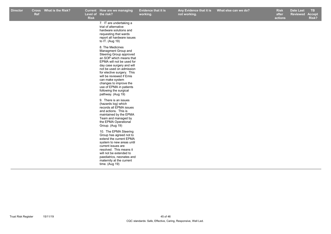**Evidence that it is working.**

**Any Evidence that it is What else can we do? Date Last TB not working.**

| 7. IT are undertaking a<br>trial of alternative<br>hardware solutions and<br>requesting that wards<br>report all hardware issues<br>to IT. (Aug 19)                                                                                                                                                                                                                  |
|----------------------------------------------------------------------------------------------------------------------------------------------------------------------------------------------------------------------------------------------------------------------------------------------------------------------------------------------------------------------|
| 8. The Medicines<br>Managment Group and<br>Steering Group approved<br>an SOP which means that<br>EPMA will not be used for<br>day case surgery and will<br>not be used on admission<br>for elective surgery. This<br>will be reviewed if Emis<br>can make system<br>changes to improve the<br>use of EPMA in patients<br>following the surgical<br>pathway. (Aug 19) |
| 9. There is an issues<br>(hazards log) which<br>records all EPMA issues<br>and actions. This is<br>maintained by the EPMA<br>Team and managed by<br>the EPMA Operational<br>Group. (Aug 19)                                                                                                                                                                          |
| 10. The EPMA Steering<br>Group has agreed not to<br>extend the current EPMA<br>system to new areas until<br>current issues are<br>resolved. This means it<br>will not be extended to<br>paediatrics, neonates and<br>maternity at the current<br>time. (Aug 19)                                                                                                      |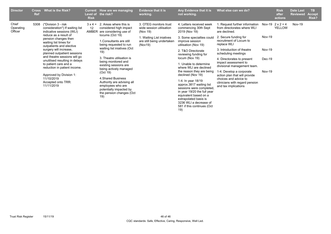| <b>Director</b>               | <b>Cross</b><br><b>Ref</b>                                                                                                                                                       | What is the Risk?                                                                                   | <b>Risk</b>                                      | Current How are we managing<br>Level of the risk?                                                                                    | <b>Evidence that it is</b><br>working.                             | Any Evidence that it is<br>not working.                                                                                                                                                                             | What else can we do?                                                            |               | <b>Risk</b><br>after<br>actions          | <b>Date Last</b><br><b>Reviewed</b> | <b>TB</b><br><b>Accept</b><br>Risk? |
|-------------------------------|----------------------------------------------------------------------------------------------------------------------------------------------------------------------------------|-----------------------------------------------------------------------------------------------------|--------------------------------------------------|--------------------------------------------------------------------------------------------------------------------------------------|--------------------------------------------------------------------|---------------------------------------------------------------------------------------------------------------------------------------------------------------------------------------------------------------------|---------------------------------------------------------------------------------|---------------|------------------------------------------|-------------------------------------|-------------------------------------|
| Chief<br>Operating<br>Officer | 5308                                                                                                                                                                             | (*Division 3 - risk<br>consideration*) If waiting list<br>indicative sessions (WLI)                 | $3x4=$<br>12<br>AMBER                            | 2. Areas where this is<br>considered high impact<br>are considering use of                                                           | 3. OTEG monitors trust<br>wide session utilisation<br>(Nov 19)     | 4. Letters received week<br>commencing 30th Sept<br>2019 (Nov 19)                                                                                                                                                   | 1. Request further information<br>from directorates where WLI<br>are declined.  |               | Nov-19 $2 \times 2 = 4$<br><b>YELLOW</b> | <b>Nov-19</b>                       |                                     |
|                               |                                                                                                                                                                                  | reduce as a result of<br>pension changes then<br>waiting list times for<br>outpatients and elective |                                                  | locums (Oct 19)<br>1. Consultants are still<br>being requested to run                                                                | 1. Waiting List iniatives<br>are still being undertaken<br>(Nov19) | 3. Some specialties could<br>improve session<br>utilisation (Nov 19)                                                                                                                                                | 2. Secure funding for<br>recruitment of Locum to<br>replace WLI                 | <b>Nov-19</b> |                                          |                                     |                                     |
|                               | surgery will increase,<br>planned outpatient sessions<br>and theatre sessions will go<br>unutilised resulting in delays<br>to patient care and a<br>reduction in patient income. |                                                                                                     | waiting list iniatives (Oct<br>19)               |                                                                                                                                      | 2. T&O Directorate<br>reviewing funding for                        | 3. Introduction of theatre<br>scheduling meetings                                                                                                                                                                   | <b>Nov-19</b>                                                                   |               |                                          |                                     |                                     |
|                               |                                                                                                                                                                                  |                                                                                                     | 3. Theatre utilisation is<br>being monitored and |                                                                                                                                      | locum (Nov 19)                                                     | 4. Directorates to present                                                                                                                                                                                          | Dec-19                                                                          |               |                                          |                                     |                                     |
|                               |                                                                                                                                                                                  |                                                                                                     | existing sessions are<br>being actively managed  |                                                                                                                                      | 1. Unable to determine<br>where WLI are declined                   | impact assessment to<br>divisional management team.                                                                                                                                                                 |                                                                                 |               |                                          |                                     |                                     |
|                               |                                                                                                                                                                                  | Approved by Division 1:                                                                             |                                                  | (Oct 19)                                                                                                                             |                                                                    | the reason they are being<br>declined (Nov 19)                                                                                                                                                                      | 1-4. Develop a corporate<br>action plan that will provide                       | <b>Nov-19</b> |                                          |                                     |                                     |
|                               |                                                                                                                                                                                  | 11/10/2019<br>Accepted onto TRR:<br>11/11/2019                                                      |                                                  | 4. Shared Business<br>Authority are advising all<br>employees who are<br>potentially impacted by<br>the pension changes (Oct)<br>19) |                                                                    | 1-4. In year 18/19<br>approx.3817 waiting list<br>sessions were completed,<br>in year 19/20 the full year<br>equivalent based on a<br>extrapolated basis is<br>3236 WLI a decrease of<br>581 if this continues (Oct | choices and advice to<br>clinicians with regard pension<br>and tax implications |               |                                          |                                     |                                     |

19)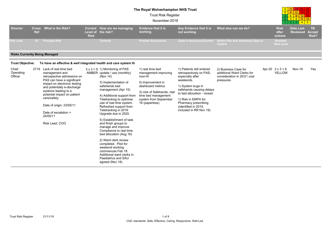#### **The Royal Wolverhampton NHS Trust**

4

5

10

15

12

869

12

200 | 25 20

Trust Risk Register

| November-2019                        |                            |                                                                                                                                                                                                                                                                                                                                   |                               |                                                                                                                                                                                                                                                                                                                                                                                                                                                                                                                                                                                                                    |                                                                                                                                                                                               |                                                                                                                                                                                                                                                                       |                                                                                                |                                          | 4 6 8 10<br>2 <sup>1</sup><br>$\overline{3}$<br>$4 \mid 5$ |                                     |
|--------------------------------------|----------------------------|-----------------------------------------------------------------------------------------------------------------------------------------------------------------------------------------------------------------------------------------------------------------------------------------------------------------------------------|-------------------------------|--------------------------------------------------------------------------------------------------------------------------------------------------------------------------------------------------------------------------------------------------------------------------------------------------------------------------------------------------------------------------------------------------------------------------------------------------------------------------------------------------------------------------------------------------------------------------------------------------------------------|-----------------------------------------------------------------------------------------------------------------------------------------------------------------------------------------------|-----------------------------------------------------------------------------------------------------------------------------------------------------------------------------------------------------------------------------------------------------------------------|------------------------------------------------------------------------------------------------|------------------------------------------|------------------------------------------------------------|-------------------------------------|
| <b>Director</b>                      | <b>Cross</b><br><b>Ref</b> | <b>What is the Risk?</b>                                                                                                                                                                                                                                                                                                          | <b>Current</b><br><b>Risk</b> | How are we managing<br>Level of the risk?                                                                                                                                                                                                                                                                                                                                                                                                                                                                                                                                                                          | <b>Evidence that it is</b><br>working.                                                                                                                                                        | Any Evidence that it is<br>not working.                                                                                                                                                                                                                               | What else can we do?                                                                           | <b>Risk</b><br>after<br>actions          | <b>Date Last</b><br><b>Reviewed</b>                        | <b>TB</b><br><b>Accept</b><br>Risk? |
| <b>Risk Lead</b>                     |                            | <b>ID</b> Principal Risk                                                                                                                                                                                                                                                                                                          |                               | <b>Controls</b>                                                                                                                                                                                                                                                                                                                                                                                                                                                                                                                                                                                                    | <b>Positive Assurances</b>                                                                                                                                                                    | <b>Gaps in Assurance/Control</b>                                                                                                                                                                                                                                      | Action Plan that addresses Gaps in<br>Control                                                  | <b>Residual</b><br><b>Risk Level</b>     |                                                            |                                     |
| <b>Risks Currently Being Managed</b> |                            |                                                                                                                                                                                                                                                                                                                                   |                               |                                                                                                                                                                                                                                                                                                                                                                                                                                                                                                                                                                                                                    |                                                                                                                                                                                               |                                                                                                                                                                                                                                                                       |                                                                                                |                                          |                                                            |                                     |
| <b>Trust Objective:</b>              |                            | To have an effective & well integrated health and care system th                                                                                                                                                                                                                                                                  |                               |                                                                                                                                                                                                                                                                                                                                                                                                                                                                                                                                                                                                                    |                                                                                                                                                                                               |                                                                                                                                                                                                                                                                       |                                                                                                |                                          |                                                            |                                     |
| Chief<br>Operating<br>Officer        |                            | 2719 Lack of real time bed<br>management and<br>retrospective admissions on<br>PAS can have a significant<br>impact on electronic testing<br>and potentially e-discharge<br>systems leading to a<br>potential impact on patient<br>care/safety.<br>Date of origin: 23/05/11<br>Date of escalation =<br>24/05/11<br>Risk Lead: COO |                               | $3 \times 3 = 9$ 1) Monitoring of PAS<br>AMBER update / use (monthly)<br>(Nov 14)<br>3) Implementation of<br>safehands bed<br>management (Apr 15)<br>4) Additional support from<br>Teletracking to optimise<br>use of real time system.<br>Refreshed support from<br>Teletracking in 2019.<br>Upgrade due in 2020.<br>5) Establishment of task<br>and finish groups to<br>manage and improve.<br>Compliance to real time<br>bed allocation (Aug 16)<br>2) Ward clerk review<br>completed. Pilot for<br>weekend working<br>commences Feb 18.<br>Additional ward clerks in<br>Paediatrics and SAU<br>agreed (Nov 18) | 1) real time bed<br>management improving<br>mon-fri<br>5) Improvement in<br>dashboard metrics<br>3) Use of Safehands, real<br>time bed management<br>system from September<br>16 (paperless). | 1) Patients still entered<br>retrospectively on PAS,<br>especially after<br>weekends.<br>1) System bugs in<br>safehands causing delays<br>to bed allocation - closed<br>1) Risk in EMPA for<br>Pharmacy prescribing<br>(identified in 2019,<br>included in RR Nov 19) | 2) Business Case for<br>additional Ward Clerks for<br>consideration in 20/21 cost<br>pressures | Apr-20 $2 \times 3 = 6$<br><b>YELLOW</b> | <b>Nov-19</b>                                              | Yes                                 |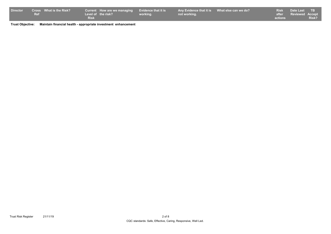| <b>Director</b> |            | <b>Cross</b> What is the Risk? |             | Current How are we managing Evidence that it is |          | Any Evidence that it is What else can we do? |         | Risk Date Last TB     |       |
|-----------------|------------|--------------------------------|-------------|-------------------------------------------------|----------|----------------------------------------------|---------|-----------------------|-------|
|                 | <b>Ref</b> |                                |             | Level of the risk?                              | working. | not working.                                 |         | after Reviewed Accept |       |
|                 |            |                                | <b>Risk</b> |                                                 |          |                                              | actions |                       | Risk? |

**Trust Objective: Maintain financial health - appropriate investment enhancement**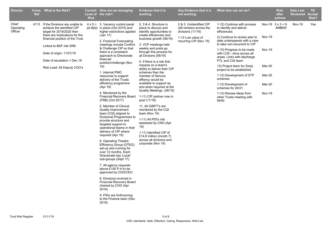| <b>Director</b>               | <b>Cross</b><br><b>Ref</b> | <b>What is the Risk?</b>                                                                                                         | <b>Risk</b> | Current How are we managing<br>Level of the risk?                                                                                                                                                                                                                                                                                                                                                                                                                                                                                                                                                                                    | <b>Evidence that it is</b><br>working.                                                                                                                                                                                      | Any Evidence that it is<br>not working.                                  | What else can we do?                                                                                        |                  | <b>Risk</b><br>after<br>actions  | <b>Date Last</b><br><b>Reviewed</b> | <b>TB</b><br><b>Accept</b><br>Risk? |
|-------------------------------|----------------------------|----------------------------------------------------------------------------------------------------------------------------------|-------------|--------------------------------------------------------------------------------------------------------------------------------------------------------------------------------------------------------------------------------------------------------------------------------------------------------------------------------------------------------------------------------------------------------------------------------------------------------------------------------------------------------------------------------------------------------------------------------------------------------------------------------------|-----------------------------------------------------------------------------------------------------------------------------------------------------------------------------------------------------------------------------|--------------------------------------------------------------------------|-------------------------------------------------------------------------------------------------------------|------------------|----------------------------------|-------------------------------------|-------------------------------------|
| Chief<br>Operating<br>Officer |                            | 4113 If the Divisions are unable to<br>achieve the identified CIP<br>target for 2019/2020 then<br>there are implications for the |             | $4 \times 5 = 3$ . Vacancy control panel<br>20 RED in place (Oct 2015) and<br>higher restrictions applied<br>(Jan 17)                                                                                                                                                                                                                                                                                                                                                                                                                                                                                                                | 2, 3 & 4. Structure in<br>place to discuss and<br>identify opportunities to<br>create efficiencies and                                                                                                                      | 2 & 3. Unidentified CIP<br>still remains across the<br>divisions (11/19) | 1-12) Continue with process<br>to identify and deliver<br>efficiencies                                      |                  | Nov-19 $3 \times 3 = 9$<br>AMBER | <b>Nov-19</b>                       | Yes                                 |
|                               |                            | financial position of the Trust<br>Linked to BAF risk SR8.                                                                       |             | 2. Financial Forecasting<br>meetings include Confirm<br>& Challenge CIP so that                                                                                                                                                                                                                                                                                                                                                                                                                                                                                                                                                      | business growth (06/19)<br>3. VCP meetings held                                                                                                                                                                             | 1-12 Low value of<br>recurring CIP (Nov 19)                              | 2) Continue to review year to<br>date underspends with a view<br>to take non-recurrent to CIP               | <b>Nov-19</b>    |                                  |                                     |                                     |
|                               |                            | Date of origin: 11/01/19<br>Date of escalation = Dec 18                                                                          |             | there is a consistent<br>approach to Directorate<br>financial                                                                                                                                                                                                                                                                                                                                                                                                                                                                                                                                                                        | weekly and posts go<br>through this process for<br>all Divsions (06/19)<br>5. If there is a risk that                                                                                                                       |                                                                          | 1-10) Progress to be made<br>with LOS - drive across all<br>areas. Links with discharge<br>PTL and CQI team | <b>Nov-19</b>    |                                  |                                     |                                     |
|                               |                            | Risk Lead: All Deputy COO's                                                                                                      |             | position/challenge (Nov<br>19)<br>1. Internal PMO                                                                                                                                                                                                                                                                                                                                                                                                                                                                                                                                                                                    | impacts on a team's<br>ability to deliver their CIP<br>schemes then the                                                                                                                                                     |                                                                          | 12) Project team for Zesty<br>project to be established                                                     | Mar-20           |                                  |                                     |                                     |
|                               |                            |                                                                                                                                  |             | resources to support<br>delivery of the Trusts<br>efficiency programme<br>(Apr 19)                                                                                                                                                                                                                                                                                                                                                                                                                                                                                                                                                   | member of Service<br>effiency would be<br>available to support as<br>and when required at the                                                                                                                               |                                                                          | 1-12) Development of STP<br>schemes<br>1-12) Development of<br>schemes for 20/21                            | Mar-20<br>Mar-20 |                                  |                                     |                                     |
|                               |                            |                                                                                                                                  |             | 4. Monitored by the<br>Financial Recovery Board<br>(FRB) (Oct 2017)                                                                                                                                                                                                                                                                                                                                                                                                                                                                                                                                                                  | Quality Meetings. (06/19)<br>1-11) CIP partner now in<br>post (11/19)                                                                                                                                                       |                                                                          | 1-12) Review ideas from<br>other Trusts meeting with<br><b>NHSI</b>                                         | <b>Nov-19</b>    |                                  |                                     |                                     |
|                               |                            |                                                                                                                                  |             | 5. Member of Clinical<br><b>Quality Improvement</b><br>team (CQI) aligned to<br>Divisional Programmes to<br>provide structure and<br>targeted support to<br>operational teams in their<br>delivery of CIP where<br>required (Apr 19)<br>6. Operating Theatre<br>Efficiency Group (OTEG)<br>set-up and running for<br>over 12 months. Each<br>Directorate has 'Local'<br>sub-groups (Sept 17)<br>7. All agency requests<br>above £100 P.H to be<br>approved by COO/CEO<br>8. Divisions involved in<br><b>Financial Recovery Board</b><br>chaired by COO (Apr<br>2019)<br>9. PIDs are forthcoming<br>to the Finance team (Dec<br>2018) | 11. All GIRFT's are<br>monitored by the CQI<br>team (Nov 19)<br>1-11) All PID's risk<br>assessed by CNO (Apr<br>19)<br>1-11) Identified CIP of<br>£14.8 million (month 7)<br>across all divisions and<br>corporate (Nov 19) |                                                                          |                                                                                                             |                  |                                  |                                     |                                     |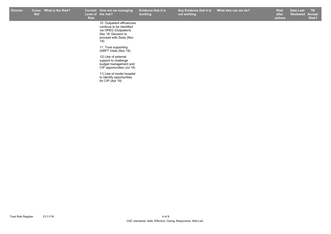**Risk**

**How are we managing TB Any Evidence that it is not working.**

**Risk after actions What else can we do? Date Last <b>Risk Date Last Reviewed Accept Risk?**

10. Outpatient efficiencies continue to be identified via OPEG (Outpatient) Dec 18. Decision to proceed with Zesty (Nov 19) 11. Trust supporting GIRFT Visits (Nov 19)

12) Use of external support to challenge budget management and CIP opportunities (Jul 19)

11) Use of model hospital to identify opportunities for CIP (Apr 19)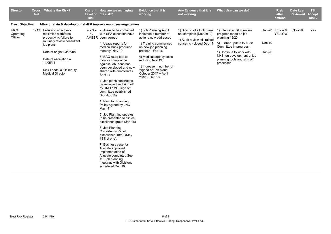| <b>Director</b>               | <b>Cross</b><br>Ref | <b>What is the Risk?</b>                                                                                                                                                                                                                       | Current<br>Level of<br><b>Risk</b> | How are we managing<br>the risk?                                                                                                                                                                                                                                                                                                                                                                                                                                                                                                                                                                                                                                                                                                               | <b>Evidence that it is</b><br>working.                                                                                                                                                                                                                                                      | Any Evidence that it is<br>not working.                                                                             | What else can we do?                                                                                                                                                                                                                |                    | <b>Risk</b><br>after<br>actions   | <b>Date Last</b><br><b>Reviewed</b> | TB.<br><b>Accept</b><br><b>Risk?</b> |
|-------------------------------|---------------------|------------------------------------------------------------------------------------------------------------------------------------------------------------------------------------------------------------------------------------------------|------------------------------------|------------------------------------------------------------------------------------------------------------------------------------------------------------------------------------------------------------------------------------------------------------------------------------------------------------------------------------------------------------------------------------------------------------------------------------------------------------------------------------------------------------------------------------------------------------------------------------------------------------------------------------------------------------------------------------------------------------------------------------------------|---------------------------------------------------------------------------------------------------------------------------------------------------------------------------------------------------------------------------------------------------------------------------------------------|---------------------------------------------------------------------------------------------------------------------|-------------------------------------------------------------------------------------------------------------------------------------------------------------------------------------------------------------------------------------|--------------------|-----------------------------------|-------------------------------------|--------------------------------------|
| <b>Trust Objective:</b>       |                     | Attract, retain & develop our staff & improve employee engagemen                                                                                                                                                                               |                                    |                                                                                                                                                                                                                                                                                                                                                                                                                                                                                                                                                                                                                                                                                                                                                |                                                                                                                                                                                                                                                                                             |                                                                                                                     |                                                                                                                                                                                                                                     |                    |                                   |                                     |                                      |
| Chief<br>Operating<br>Officer |                     | 1713 Failure to effectively<br>maximise workforce<br>productivity; failure to<br>routinely review consultant<br>job plans.<br>Date of origin: 03/06/08<br>Date of escalation =<br>11/05/11<br>Risk Lead: COO/Deputy<br><b>Medical Director</b> | $12 \overline{ }$                  | $4 \times 3 = 2$ ) Areas to be contained<br>with SPA allocation have<br>AMBER been agreed<br>4) Usage reports for<br>medical bank produced<br>monthly (Nov 19)<br>3) RAG rated tool to<br>monitor compliance<br>against Job Plans has<br>been developed and now<br>shared with directorates<br>Sept 17.<br>1) Job plans continue to<br>be reviewed and sign off<br>by DMD / MD- sign off<br>committee established<br>(Apr-Aug18)<br>1) New Job Planning<br>Policy agreed by LNC<br>Mar 17<br>5) Job Planning updates<br>to be presented to clinical<br>excellence group (Jan 18)<br>6) Job Planning<br><b>Consistency Panel</b><br>established 18/19 (May<br>18 first one).<br>7) Business case for<br>Allocate approved.<br>Implementation of | 1) Job Planning Audit<br>indicated a number of<br>actions now addressed<br>1) Training commenced<br>on new job planning<br>process - Feb 16<br>4) Medical agency costs<br>reducing Nov 19.<br>1) Increase in number of<br>'signed off' job plans<br>October 2017 + April<br>$2018 +$ Sep 18 | 1) Sign off of all job plans<br>not complete (Nov 2019)<br>1) Audit review still raised<br>concerns - closed Dec 17 | 1) Internal audit to review<br>progress made on job<br>planning 19/20<br>5) Further update to Audit<br>Committee in progress.<br>1) Continue to work with<br>NHSI on development of job<br>planning tools and sign off<br>processes | Dec-19<br>$Jan-20$ | Jan-20 $3 \times 2 = 6$<br>YELLOW | <b>Nov-19</b>                       | Yes                                  |
|                               |                     |                                                                                                                                                                                                                                                |                                    | Allocate completed Sep<br>19. Job planning<br>meetings with Divisions<br>scheduled Dec 19.                                                                                                                                                                                                                                                                                                                                                                                                                                                                                                                                                                                                                                                     |                                                                                                                                                                                                                                                                                             |                                                                                                                     |                                                                                                                                                                                                                                     |                    |                                   |                                     |                                      |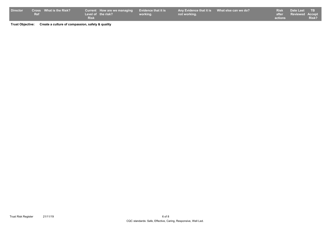| <b>Director</b> |     | Cross What is the Risk? |             | Current How are we managing Evidence that it is |          | Any Evidence that it is What else can we do? |         | Risk Date Last TB     |              |
|-----------------|-----|-------------------------|-------------|-------------------------------------------------|----------|----------------------------------------------|---------|-----------------------|--------------|
|                 | Ref |                         |             | Level of the risk?                              | working. | not working.                                 |         | after Reviewed Accept |              |
|                 |     |                         | <b>Risk</b> |                                                 |          |                                              | actions |                       | <b>Risk?</b> |

**Trust Objective: Create a culture of compassion, safety & quality**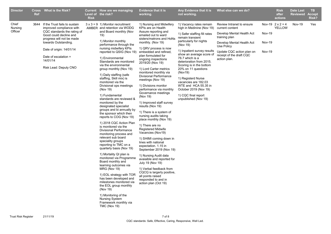| <b>Director</b>             | <b>Ref</b> | Cross What is the Risk?                                                                                                                                                 | <b>Risk</b> | Current How are we managing<br>Level of the risk?                                                                                                                                                          | <b>Evidence that it is</b><br>working.                                                                                                                                                                                                                                                                           | Any Evidence that it is<br>not working.                                                                                                                                                                            | What else can we do?                                                  |               | <b>Risk</b><br>after<br>actions          | <b>Date Last</b><br><b>Reviewed Accept</b> | TB.<br><b>Risk?</b> |
|-----------------------------|------------|-------------------------------------------------------------------------------------------------------------------------------------------------------------------------|-------------|------------------------------------------------------------------------------------------------------------------------------------------------------------------------------------------------------------|------------------------------------------------------------------------------------------------------------------------------------------------------------------------------------------------------------------------------------------------------------------------------------------------------------------|--------------------------------------------------------------------------------------------------------------------------------------------------------------------------------------------------------------------|-----------------------------------------------------------------------|---------------|------------------------------------------|--------------------------------------------|---------------------|
| Chief<br>Nursing<br>Officer | 3644       | If the Trust fails to sustain<br>improved compliance with<br>CQC standards the rating of<br>Good could decline and<br>progress will not be made<br>towards Outstanding. |             | $3 \times 3 = 9$ 1) Monitor recruitment<br>AMBER and retention via WODG<br>and Board monthly (Nov<br>19)                                                                                                   | 1) Nursing and Midwifery<br>KPIs are on Health<br>Assure reporting and<br>emailed out to ward<br>sisters/matrons and HoNs<br>monthly. (Nov 19)<br>1) QRV process is now<br>embedded and refined.<br>plan formulated for                                                                                          | 1) Vacancy rates remain<br>high in Medinine (Nov 19)                                                                                                                                                               | Review Intranet to ensure<br>current content                          |               | Nov-19 $2 \times 2 = 4$<br><b>YELLOW</b> | <b>Nov-19</b>                              | Yes                 |
|                             |            |                                                                                                                                                                         |             |                                                                                                                                                                                                            |                                                                                                                                                                                                                                                                                                                  | 1) Safer staffing fill rates<br>remain transient<br>particularly for nights<br>(Nov 19)                                                                                                                            | Develop Mental Health Act<br>training plan                            | <b>Nov-19</b> |                                          |                                            |                     |
|                             |            |                                                                                                                                                                         |             | 1) Monitor monthly<br>performance through the<br>nursing midwifery KPIs                                                                                                                                    |                                                                                                                                                                                                                                                                                                                  |                                                                                                                                                                                                                    | Develop Mental Health Act<br>Use Policy                               | <b>Nov-19</b> |                                          |                                            |                     |
|                             |            | Date of origin: 14/01/14<br>Date of escalation =                                                                                                                        |             | reported to QSIG (Nov 19)<br>1) Environmental                                                                                                                                                              |                                                                                                                                                                                                                                                                                                                  | 1) Inpatient survey results<br>show an average score of<br>76.7 which is a<br>deterioration from 2015.<br>Scoring is in the bottom<br>20% on 11 questions<br>(Nov19)<br>1) Registerd Nurse<br>vacancies are 182.03 | Update CQC action plan on<br>receipt of the draft CQC<br>action plan. | <b>Nov-19</b> |                                          |                                            |                     |
|                             |            | 14/01/14                                                                                                                                                                |             | Standards are monitored<br>via the environmental                                                                                                                                                           | ongoing inspections<br>2019/20 (Nov 19)                                                                                                                                                                                                                                                                          |                                                                                                                                                                                                                    |                                                                       |               |                                          |                                            |                     |
|                             |            | Risk Lead: Deputy CNO                                                                                                                                                   |             | group monthly (Nov 19)<br>1) Daily staffing (safe                                                                                                                                                          | 1) Lord Carter metrics<br>monitored monthly via                                                                                                                                                                                                                                                                  |                                                                                                                                                                                                                    |                                                                       |               |                                          |                                            |                     |
|                             |            |                                                                                                                                                                         |             | staffing, Skill mix) is<br>monitored via the                                                                                                                                                               | <b>Divisional Performance</b><br>meetings (Nov 19)                                                                                                                                                                                                                                                               |                                                                                                                                                                                                                    |                                                                       |               |                                          |                                            |                     |
|                             |            |                                                                                                                                                                         |             | Divisional ops meetings<br>(Nov 19)                                                                                                                                                                        | 1) Divisions monitor<br>WTE and HCA 55.35 in<br>performance via monthly<br>October 2019 (Nov 19)<br>Governance meetings<br>1) CQC final report<br>(Nov 19)<br>unpublished (Nov 19)<br>1) Improved staff survey<br>results (Nov 19)<br>1) There is a system of<br>nursing audits taking<br>place monthly (Nov 19) |                                                                                                                                                                                                                    |                                                                       |               |                                          |                                            |                     |
|                             |            |                                                                                                                                                                         |             | 1) Fundamental<br>standards are reviewed &<br>monitored by the<br>designated specialist<br>groups and bi annually by<br>the sponsor which then<br>reports to COG (Nov 19)                                  |                                                                                                                                                                                                                                                                                                                  |                                                                                                                                                                                                                    |                                                                       |               |                                          |                                            |                     |
|                             |            |                                                                                                                                                                         |             |                                                                                                                                                                                                            |                                                                                                                                                                                                                                                                                                                  |                                                                                                                                                                                                                    |                                                                       |               |                                          |                                            |                     |
|                             |            |                                                                                                                                                                         |             |                                                                                                                                                                                                            |                                                                                                                                                                                                                                                                                                                  |                                                                                                                                                                                                                    |                                                                       |               |                                          |                                            |                     |
|                             |            |                                                                                                                                                                         |             | 1) 2018 CQC Action Plan<br>is monitored via the<br><b>Divisional Performance</b><br>monitoring process and<br>relevant sub board<br>speciality groups<br>reporting to TMC on a<br>quarterly basis (Nov 19) | 1) There are no<br><b>Registered Midwife</b><br>Vacancies (Nov19)                                                                                                                                                                                                                                                |                                                                                                                                                                                                                    |                                                                       |               |                                          |                                            |                     |
|                             |            |                                                                                                                                                                         |             |                                                                                                                                                                                                            | 1) SHIMI coming down in<br>lines with national<br>expectation. 1.15 in<br>September 2019 (Nov 19)                                                                                                                                                                                                                |                                                                                                                                                                                                                    |                                                                       |               |                                          |                                            |                     |
|                             |            |                                                                                                                                                                         |             | 1) Mortality QI plan is<br>monitored via Programme<br>Board monthly and<br>learning outcomes via                                                                                                           | 1) Nursing Audit data<br>avaiaible and reported for<br>July 19 (Nov 19)                                                                                                                                                                                                                                          |                                                                                                                                                                                                                    |                                                                       |               |                                          |                                            |                     |
|                             |            |                                                                                                                                                                         |             | <b>MRG (Nov 19)</b><br>1) EOL strategy with TOR                                                                                                                                                            | 1) Verbal feedback from<br>CQCQ is largerly positive,                                                                                                                                                                                                                                                            |                                                                                                                                                                                                                    |                                                                       |               |                                          |                                            |                     |
|                             |            |                                                                                                                                                                         |             | has been developed and<br>milestones monitored via<br>the EOL group monthly<br>(Nov 19)                                                                                                                    | all points raised<br>responded to and in<br>action plan (Oct 19)                                                                                                                                                                                                                                                 |                                                                                                                                                                                                                    |                                                                       |               |                                          |                                            |                     |
|                             |            |                                                                                                                                                                         |             | 1) Monitoring of the<br><b>Nursing System</b><br>Framework monthly via<br><b>TMC (Nov 19)</b>                                                                                                              |                                                                                                                                                                                                                                                                                                                  |                                                                                                                                                                                                                    |                                                                       |               |                                          |                                            |                     |